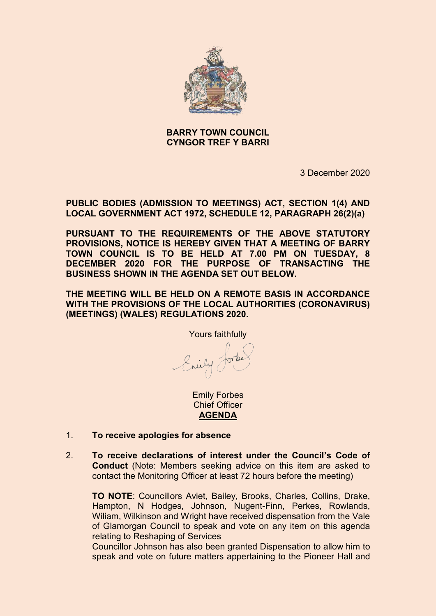

## **BARRY TOWN COUNCIL CYNGOR TREF Y BARRI**

3 December 2020

**PUBLIC BODIES (ADMISSION TO MEETINGS) ACT, SECTION 1(4) AND LOCAL GOVERNMENT ACT 1972, SCHEDULE 12, PARAGRAPH 26(2)(a)**

**PURSUANT TO THE REQUIREMENTS OF THE ABOVE STATUTORY PROVISIONS, NOTICE IS HEREBY GIVEN THAT A MEETING OF BARRY TOWN COUNCIL IS TO BE HELD AT 7.00 PM ON TUESDAY, 8 DECEMBER 2020 FOR THE PURPOSE OF TRANSACTING THE BUSINESS SHOWN IN THE AGENDA SET OUT BELOW.** 

**THE MEETING WILL BE HELD ON A REMOTE BASIS IN ACCORDANCE WITH THE PROVISIONS OF THE LOCAL AUTHORITIES (CORONAVIRUS) (MEETINGS) (WALES) REGULATIONS 2020.**

Yours faithfully Enily Jorke

Emily Forbes Chief Officer **AGENDA**

- 1. **To receive apologies for absence**
- 2. **To receive declarations of interest under the Council's Code of Conduct** (Note: Members seeking advice on this item are asked to contact the Monitoring Officer at least 72 hours before the meeting)

**TO NOTE**: Councillors Aviet, Bailey, Brooks, Charles, Collins, Drake, Hampton, N Hodges, Johnson, Nugent-Finn, Perkes, Rowlands, Wiliam, Wilkinson and Wright have received dispensation from the Vale of Glamorgan Council to speak and vote on any item on this agenda relating to Reshaping of Services

Councillor Johnson has also been granted Dispensation to allow him to speak and vote on future matters appertaining to the Pioneer Hall and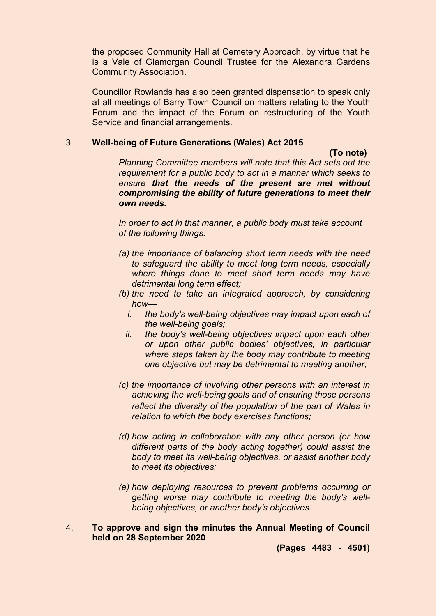the proposed Community Hall at Cemetery Approach, by virtue that he is a Vale of Glamorgan Council Trustee for the Alexandra Gardens Community Association.

Councillor Rowlands has also been granted dispensation to speak only at all meetings of Barry Town Council on matters relating to the Youth Forum and the impact of the Forum on restructuring of the Youth Service and financial arrangements.

#### 3. **Well-being of Future Generations (Wales) Act 2015**

**(To note)**

*Planning Committee members will note that this Act sets out the requirement for a public body to act in a manner which seeks to ensure that the needs of the present are met without compromising the ability of future generations to meet their own needs.*

*In order to act in that manner, a public body must take account of the following things:*

- *(a) the importance of balancing short term needs with the need to safeguard the ability to meet long term needs, especially where things done to meet short term needs may have detrimental long term effect;*
- *(b) the need to take an integrated approach, by considering how*
	- *i. the body's well-being objectives may impact upon each of the well-being goals;*
	- *ii. the body's well-being objectives impact upon each other or upon other public bodies' objectives, in particular where steps taken by the body may contribute to meeting one objective but may be detrimental to meeting another;*
- *(c) the importance of involving other persons with an interest in achieving the well-being goals and of ensuring those persons reflect the diversity of the population of the part of Wales in relation to which the body exercises functions;*
- *(d) how acting in collaboration with any other person (or how different parts of the body acting together) could assist the body to meet its well-being objectives, or assist another body to meet its objectives;*
- *(e) how deploying resources to prevent problems occurring or getting worse may contribute to meeting the body's wellbeing objectives, or another body's objectives.*
- 4. **To approve and sign the minutes the Annual Meeting of Council held on 28 September 2020**

**(Pages 4483 - 4501)**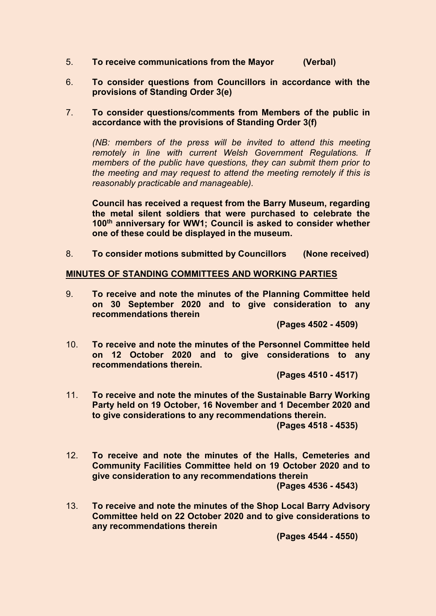- 5. **To receive communications from the Mayor (Verbal)**
- 6. **To consider questions from Councillors in accordance with the provisions of Standing Order 3(e)**
- 7. **To consider questions/comments from Members of the public in accordance with the provisions of Standing Order 3(f)**

*(NB: members of the press will be invited to attend this meeting remotely in line with current Welsh Government Regulations. If members of the public have questions, they can submit them prior to the meeting and may request to attend the meeting remotely if this is reasonably practicable and manageable).*

**Council has received a request from the Barry Museum, regarding the metal silent soldiers that were purchased to celebrate the 100th anniversary for WW1; Council is asked to consider whether one of these could be displayed in the museum.**

8. **To consider motions submitted by Councillors (None received)**

## **MINUTES OF STANDING COMMITTEES AND WORKING PARTIES**

9. **To receive and note the minutes of the Planning Committee held on 30 September 2020 and to give consideration to any recommendations therein**

**(Pages 4502 - 4509)**

10. **To receive and note the minutes of the Personnel Committee held on 12 October 2020 and to give considerations to any recommendations therein.** 

**(Pages 4510 - 4517)**

11. **To receive and note the minutes of the Sustainable Barry Working Party held on 19 October, 16 November and 1 December 2020 and to give considerations to any recommendations therein.**

**(Pages 4518 - 4535)**

12. **To receive and note the minutes of the Halls, Cemeteries and Community Facilities Committee held on 19 October 2020 and to give consideration to any recommendations therein**

**(Pages 4536 - 4543)**

13. **To receive and note the minutes of the Shop Local Barry Advisory Committee held on 22 October 2020 and to give considerations to any recommendations therein** 

**(Pages 4544 - 4550)**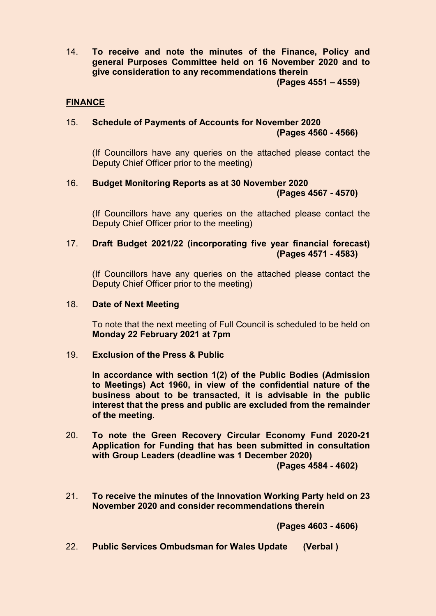14. **To receive and note the minutes of the Finance, Policy and general Purposes Committee held on 16 November 2020 and to give consideration to any recommendations therein**

**(Pages 4551 – 4559)**

## **FINANCE**

## 15. **Schedule of Payments of Accounts for November 2020 (Pages 4560 - 4566)**

(If Councillors have any queries on the attached please contact the Deputy Chief Officer prior to the meeting)

# 16. **Budget Monitoring Reports as at 30 November 2020 (Pages 4567 - 4570)**

(If Councillors have any queries on the attached please contact the Deputy Chief Officer prior to the meeting)

## 17. **Draft Budget 2021/22 (incorporating five year financial forecast) (Pages 4571 - 4583)**

(If Councillors have any queries on the attached please contact the Deputy Chief Officer prior to the meeting)

#### 18. **Date of Next Meeting**

To note that the next meeting of Full Council is scheduled to be held on **Monday 22 February 2021 at 7pm**

#### 19. **Exclusion of the Press & Public**

**In accordance with section 1(2) of the Public Bodies (Admission to Meetings) Act 1960, in view of the confidential nature of the business about to be transacted, it is advisable in the public interest that the press and public are excluded from the remainder of the meeting.**

20. **To note the Green Recovery Circular Economy Fund 2020-21 Application for Funding that has been submitted in consultation with Group Leaders (deadline was 1 December 2020)**

**(Pages 4584 - 4602)** 

21. **To receive the minutes of the Innovation Working Party held on 23 November 2020 and consider recommendations therein**

**(Pages 4603 - 4606)**

22. **Public Services Ombudsman for Wales Update (Verbal )**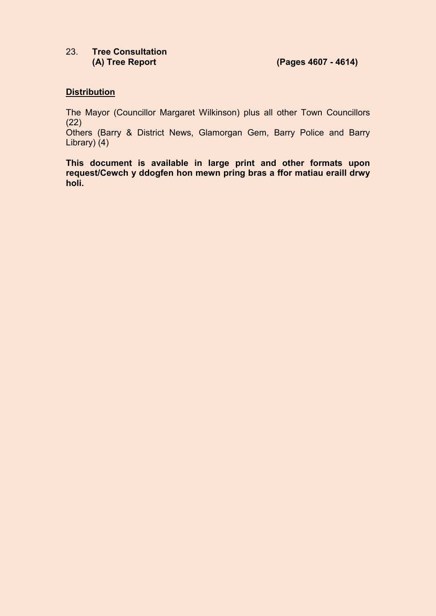# 23. **Tree Consultation**

## **Distribution**

The Mayor (Councillor Margaret Wilkinson) plus all other Town Councillors (22)

Others (Barry & District News, Glamorgan Gem, Barry Police and Barry Library) (4)

**This document is available in large print and other formats upon request/Cewch y ddogfen hon mewn pring bras a ffor matiau eraill drwy holi.**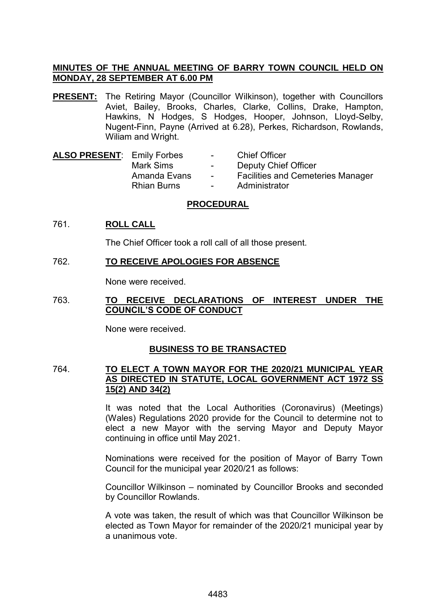## **MINUTES OF THE ANNUAL MEETING OF BARRY TOWN COUNCIL HELD ON MONDAY, 28 SEPTEMBER AT 6.00 PM**

- **PRESENT:** The Retiring Mayor (Councillor Wilkinson), together with Councillors Aviet, Bailey, Brooks, Charles, Clarke, Collins, Drake, Hampton, Hawkins, N Hodges, S Hodges, Hooper, Johnson, Lloyd-Selby, Nugent-Finn, Payne (Arrived at 6.28), Perkes, Richardson, Rowlands, Wiliam and Wright.
- ALSO PRESENT: Emily Forbes Chief Officer Mark Sims - Deputy Chief Officer Amanda Evans - Facilities and Cemeteries Manager Rhian Burns - Administrator

## **PROCEDURAL**

## 761. **ROLL CALL**

The Chief Officer took a roll call of all those present.

## 762. **TO RECEIVE APOLOGIES FOR ABSENCE**

None were received.

## 763. **TO RECEIVE DECLARATIONS OF INTEREST UNDER THE COUNCIL'S CODE OF CONDUCT**

None were received.

## **BUSINESS TO BE TRANSACTED**

## 764. **TO ELECT A TOWN MAYOR FOR THE 2020/21 MUNICIPAL YEAR AS DIRECTED IN STATUTE, LOCAL GOVERNMENT ACT 1972 SS 15(2) AND 34(2)**

It was noted that the Local Authorities (Coronavirus) (Meetings) (Wales) Regulations 2020 provide for the Council to determine not to elect a new Mayor with the serving Mayor and Deputy Mayor continuing in office until May 2021.

Nominations were received for the position of Mayor of Barry Town Council for the municipal year 2020/21 as follows:

Councillor Wilkinson – nominated by Councillor Brooks and seconded by Councillor Rowlands.

A vote was taken, the result of which was that Councillor Wilkinson be elected as Town Mayor for remainder of the 2020/21 municipal year by a unanimous vote.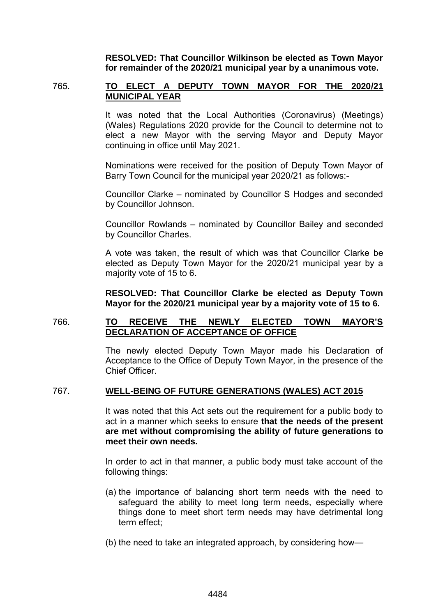**RESOLVED: That Councillor Wilkinson be elected as Town Mayor for remainder of the 2020/21 municipal year by a unanimous vote.**

## 765. **TO ELECT A DEPUTY TOWN MAYOR FOR THE 2020/21 MUNICIPAL YEAR**

It was noted that the Local Authorities (Coronavirus) (Meetings) (Wales) Regulations 2020 provide for the Council to determine not to elect a new Mayor with the serving Mayor and Deputy Mayor continuing in office until May 2021.

Nominations were received for the position of Deputy Town Mayor of Barry Town Council for the municipal year 2020/21 as follows:-

Councillor Clarke – nominated by Councillor S Hodges and seconded by Councillor Johnson.

Councillor Rowlands – nominated by Councillor Bailey and seconded by Councillor Charles.

A vote was taken, the result of which was that Councillor Clarke be elected as Deputy Town Mayor for the 2020/21 municipal year by a majority vote of 15 to 6.

**RESOLVED: That Councillor Clarke be elected as Deputy Town Mayor for the 2020/21 municipal year by a majority vote of 15 to 6.**

## 766. **TO RECEIVE THE NEWLY ELECTED TOWN MAYOR'S DECLARATION OF ACCEPTANCE OF OFFICE**

The newly elected Deputy Town Mayor made his Declaration of Acceptance to the Office of Deputy Town Mayor, in the presence of the Chief Officer.

## 767. **WELL-BEING OF FUTURE GENERATIONS (WALES) ACT 2015**

It was noted that this Act sets out the requirement for a public body to act in a manner which seeks to ensure **that the needs of the present are met without compromising the ability of future generations to meet their own needs.**

In order to act in that manner, a public body must take account of the following things:

- (a) the importance of balancing short term needs with the need to safeguard the ability to meet long term needs, especially where things done to meet short term needs may have detrimental long term effect;
- (b) the need to take an integrated approach, by considering how—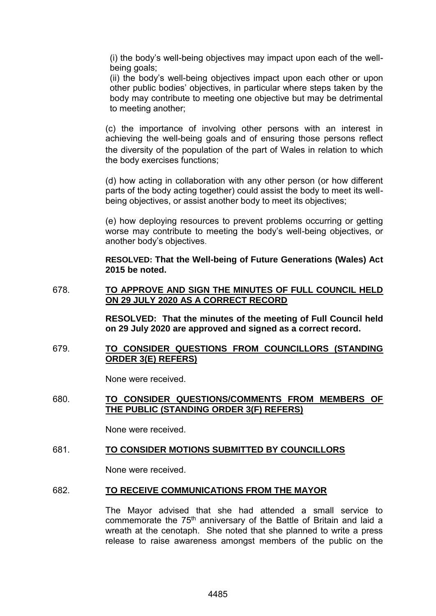(i) the body's well-being objectives may impact upon each of the wellbeing goals;

(ii) the body's well-being objectives impact upon each other or upon other public bodies' objectives, in particular where steps taken by the body may contribute to meeting one objective but may be detrimental to meeting another;

(c) the importance of involving other persons with an interest in achieving the well-being goals and of ensuring those persons reflect the diversity of the population of the part of Wales in relation to which the body exercises functions;

(d) how acting in collaboration with any other person (or how different parts of the body acting together) could assist the body to meet its wellbeing objectives, or assist another body to meet its objectives;

(e) how deploying resources to prevent problems occurring or getting worse may contribute to meeting the body's well-being objectives, or another body's objectives.

**RESOLVED: That the Well-being of Future Generations (Wales) Act 2015 be noted.**

## 678. **TO APPROVE AND SIGN THE MINUTES OF FULL COUNCIL HELD ON 29 JULY 2020 AS A CORRECT RECORD**

**RESOLVED: That the minutes of the meeting of Full Council held on 29 July 2020 are approved and signed as a correct record.**

679. **TO CONSIDER QUESTIONS FROM COUNCILLORS (STANDING ORDER 3(E) REFERS)**

None were received.

#### 680. **TO CONSIDER QUESTIONS/COMMENTS FROM MEMBERS OF THE PUBLIC (STANDING ORDER 3(F) REFERS)**

None were received.

#### 681. **TO CONSIDER MOTIONS SUBMITTED BY COUNCILLORS**

None were received.

#### 682. **TO RECEIVE COMMUNICATIONS FROM THE MAYOR**

The Mayor advised that she had attended a small service to commemorate the 75<sup>th</sup> anniversary of the Battle of Britain and laid a wreath at the cenotaph. She noted that she planned to write a press release to raise awareness amongst members of the public on the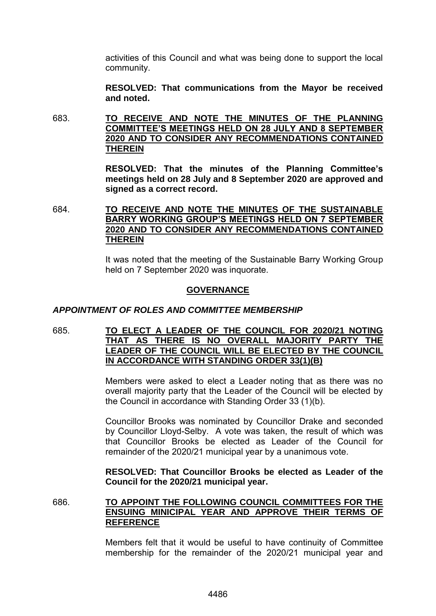activities of this Council and what was being done to support the local community.

**RESOLVED: That communications from the Mayor be received and noted.**

683. **TO RECEIVE AND NOTE THE MINUTES OF THE PLANNING COMMITTEE'S MEETINGS HELD ON 28 JULY AND 8 SEPTEMBER 2020 AND TO CONSIDER ANY RECOMMENDATIONS CONTAINED THEREIN**

> **RESOLVED: That the minutes of the Planning Committee's meetings held on 28 July and 8 September 2020 are approved and signed as a correct record.**

684. **TO RECEIVE AND NOTE THE MINUTES OF THE SUSTAINABLE BARRY WORKING GROUP'S MEETINGS HELD ON 7 SEPTEMBER 2020 AND TO CONSIDER ANY RECOMMENDATIONS CONTAINED THEREIN**

> It was noted that the meeting of the Sustainable Barry Working Group held on 7 September 2020 was inquorate.

## **GOVERNANCE**

#### *APPOINTMENT OF ROLES AND COMMITTEE MEMBERSHIP*

685. **TO ELECT A LEADER OF THE COUNCIL FOR 2020/21 NOTING THAT AS THERE IS NO OVERALL MAJORITY PARTY THE LEADER OF THE COUNCIL WILL BE ELECTED BY THE COUNCIL IN ACCORDANCE WITH STANDING ORDER 33(1)(B)**

> Members were asked to elect a Leader noting that as there was no overall majority party that the Leader of the Council will be elected by the Council in accordance with Standing Order 33 (1)(b).

> Councillor Brooks was nominated by Councillor Drake and seconded by Councillor Lloyd-Selby. A vote was taken, the result of which was that Councillor Brooks be elected as Leader of the Council for remainder of the 2020/21 municipal year by a unanimous vote.

> **RESOLVED: That Councillor Brooks be elected as Leader of the Council for the 2020/21 municipal year.**

686. **TO APPOINT THE FOLLOWING COUNCIL COMMITTEES FOR THE ENSUING MINICIPAL YEAR AND APPROVE THEIR TERMS OF REFERENCE**

> Members felt that it would be useful to have continuity of Committee membership for the remainder of the 2020/21 municipal year and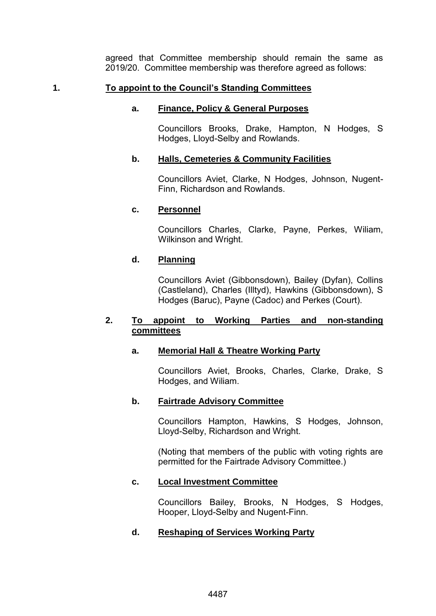agreed that Committee membership should remain the same as 2019/20. Committee membership was therefore agreed as follows:

# **1. To appoint to the Council's Standing Committees**

## **a. Finance, Policy & General Purposes**

Councillors Brooks, Drake, Hampton, N Hodges, S Hodges, Lloyd-Selby and Rowlands.

## **b. Halls, Cemeteries & Community Facilities**

Councillors Aviet, Clarke, N Hodges, Johnson, Nugent-Finn, Richardson and Rowlands.

# **c. Personnel**

Councillors Charles, Clarke, Payne, Perkes, Wiliam, Wilkinson and Wright.

# **d. Planning**

Councillors Aviet (Gibbonsdown), Bailey (Dyfan), Collins (Castleland), Charles (Illtyd), Hawkins (Gibbonsdown), S Hodges (Baruc), Payne (Cadoc) and Perkes (Court).

## **2. To appoint to Working Parties and non-standing committees**

## **a. Memorial Hall & Theatre Working Party**

Councillors Aviet, Brooks, Charles, Clarke, Drake, S Hodges, and Wiliam.

## **b. Fairtrade Advisory Committee**

Councillors Hampton, Hawkins, S Hodges, Johnson, Lloyd-Selby, Richardson and Wright.

(Noting that members of the public with voting rights are permitted for the Fairtrade Advisory Committee.)

# **c. Local Investment Committee**

Councillors Bailey, Brooks, N Hodges, S Hodges, Hooper, Lloyd-Selby and Nugent-Finn.

# **d. Reshaping of Services Working Party**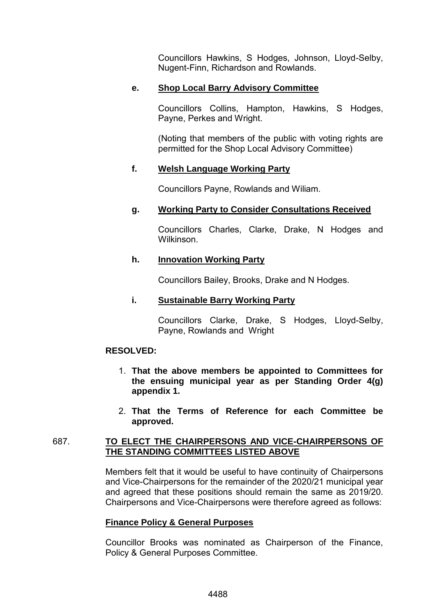Councillors Hawkins, S Hodges, Johnson, Lloyd-Selby, Nugent-Finn, Richardson and Rowlands.

## **e. Shop Local Barry Advisory Committee**

Councillors Collins, Hampton, Hawkins, S Hodges, Payne, Perkes and Wright.

(Noting that members of the public with voting rights are permitted for the Shop Local Advisory Committee)

# **f. Welsh Language Working Party**

Councillors Payne, Rowlands and Wiliam.

# **g. Working Party to Consider Consultations Received**

Councillors Charles, Clarke, Drake, N Hodges and Wilkinson.

# **h. Innovation Working Party**

Councillors Bailey, Brooks, Drake and N Hodges.

## **i. Sustainable Barry Working Party**

Councillors Clarke, Drake, S Hodges, Lloyd-Selby, Payne, Rowlands and Wright

## **RESOLVED:**

- 1. **That the above members be appointed to Committees for the ensuing municipal year as per Standing Order 4(g) appendix 1.**
- 2. **That the Terms of Reference for each Committee be approved.**

## 687. **TO ELECT THE CHAIRPERSONS AND VICE-CHAIRPERSONS OF THE STANDING COMMITTEES LISTED ABOVE**

Members felt that it would be useful to have continuity of Chairpersons and Vice-Chairpersons for the remainder of the 2020/21 municipal year and agreed that these positions should remain the same as 2019/20. Chairpersons and Vice-Chairpersons were therefore agreed as follows:

## **Finance Policy & General Purposes**

Councillor Brooks was nominated as Chairperson of the Finance, Policy & General Purposes Committee.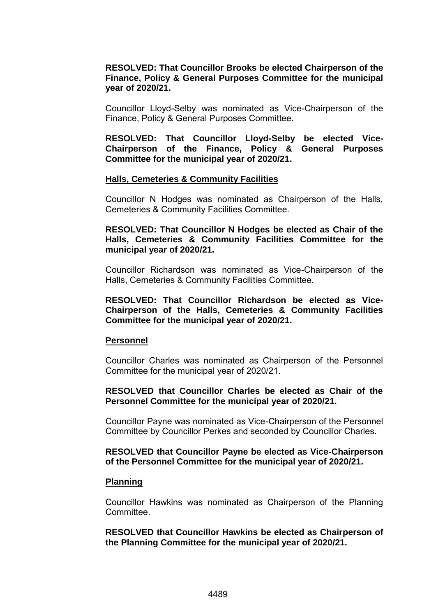## **RESOLVED: That Councillor Brooks be elected Chairperson of the Finance, Policy & General Purposes Committee for the municipal year of 2020/21.**

Councillor Lloyd-Selby was nominated as Vice-Chairperson of the Finance, Policy & General Purposes Committee.

**RESOLVED: That Councillor Lloyd-Selby be elected Vice-Chairperson of the Finance, Policy & General Purposes Committee for the municipal year of 2020/21.**

#### **Halls, Cemeteries & Community Facilities**

Councillor N Hodges was nominated as Chairperson of the Halls, Cemeteries & Community Facilities Committee.

## **RESOLVED: That Councillor N Hodges be elected as Chair of the Halls, Cemeteries & Community Facilities Committee for the municipal year of 2020/21.**

Councillor Richardson was nominated as Vice-Chairperson of the Halls, Cemeteries & Community Facilities Committee.

## **RESOLVED: That Councillor Richardson be elected as Vice-Chairperson of the Halls, Cemeteries & Community Facilities Committee for the municipal year of 2020/21.**

#### **Personnel**

Councillor Charles was nominated as Chairperson of the Personnel Committee for the municipal year of 2020/21.

## **RESOLVED that Councillor Charles be elected as Chair of the Personnel Committee for the municipal year of 2020/21.**

Councillor Payne was nominated as Vice-Chairperson of the Personnel Committee by Councillor Perkes and seconded by Councillor Charles.

#### **RESOLVED that Councillor Payne be elected as Vice-Chairperson of the Personnel Committee for the municipal year of 2020/21.**

#### **Planning**

Councillor Hawkins was nominated as Chairperson of the Planning **Committee.** 

**RESOLVED that Councillor Hawkins be elected as Chairperson of the Planning Committee for the municipal year of 2020/21.**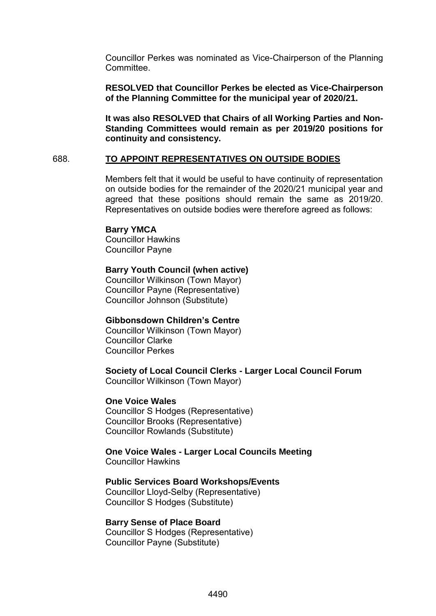Councillor Perkes was nominated as Vice-Chairperson of the Planning Committee.

**RESOLVED that Councillor Perkes be elected as Vice-Chairperson of the Planning Committee for the municipal year of 2020/21.**

**It was also RESOLVED that Chairs of all Working Parties and Non-Standing Committees would remain as per 2019/20 positions for continuity and consistency.**

#### 688. **TO APPOINT REPRESENTATIVES ON OUTSIDE BODIES**

Members felt that it would be useful to have continuity of representation on outside bodies for the remainder of the 2020/21 municipal year and agreed that these positions should remain the same as 2019/20. Representatives on outside bodies were therefore agreed as follows:

#### **Barry YMCA**

Councillor Hawkins Councillor Payne

## **Barry Youth Council (when active)**

Councillor Wilkinson (Town Mayor) Councillor Payne (Representative) Councillor Johnson (Substitute)

## **Gibbonsdown Children's Centre**

Councillor Wilkinson (Town Mayor) Councillor Clarke Councillor Perkes

## **Society of Local Council Clerks - Larger Local Council Forum**

Councillor Wilkinson (Town Mayor)

#### **One Voice Wales**

Councillor S Hodges (Representative) Councillor Brooks (Representative) Councillor Rowlands (Substitute)

**One Voice Wales - Larger Local Councils Meeting** Councillor Hawkins

#### **Public Services Board Workshops/Events**

Councillor Lloyd-Selby (Representative) Councillor S Hodges (Substitute)

#### **Barry Sense of Place Board**

Councillor S Hodges (Representative) Councillor Payne (Substitute)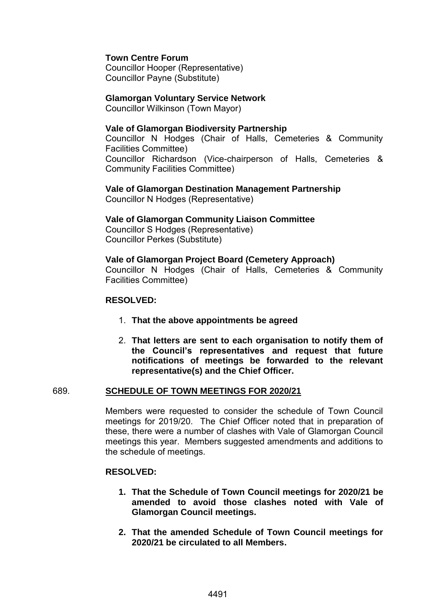## **Town Centre Forum**

Councillor Hooper (Representative) Councillor Payne (Substitute)

## **Glamorgan Voluntary Service Network**

Councillor Wilkinson (Town Mayor)

## **Vale of Glamorgan Biodiversity Partnership**

Councillor N Hodges (Chair of Halls, Cemeteries & Community Facilities Committee) Councillor Richardson (Vice-chairperson of Halls, Cemeteries & Community Facilities Committee)

**Vale of Glamorgan Destination Management Partnership** Councillor N Hodges (Representative)

**Vale of Glamorgan Community Liaison Committee** Councillor S Hodges (Representative)

Councillor Perkes (Substitute)

**Vale of Glamorgan Project Board (Cemetery Approach)** Councillor N Hodges (Chair of Halls, Cemeteries & Community Facilities Committee)

## **RESOLVED:**

- 1. **That the above appointments be agreed**
- 2. **That letters are sent to each organisation to notify them of the Council's representatives and request that future notifications of meetings be forwarded to the relevant representative(s) and the Chief Officer.**

## 689. **SCHEDULE OF TOWN MEETINGS FOR 2020/21**

Members were requested to consider the schedule of Town Council meetings for 2019/20. The Chief Officer noted that in preparation of these, there were a number of clashes with Vale of Glamorgan Council meetings this year. Members suggested amendments and additions to the schedule of meetings.

#### **RESOLVED:**

- **1. That the Schedule of Town Council meetings for 2020/21 be amended to avoid those clashes noted with Vale of Glamorgan Council meetings.**
- **2. That the amended Schedule of Town Council meetings for 2020/21 be circulated to all Members.**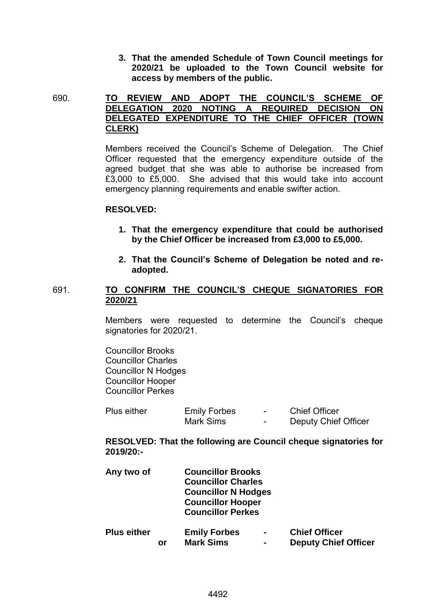**3. That the amended Schedule of Town Council meetings for 2020/21 be uploaded to the Town Council website for access by members of the public.**

690. **TO REVIEW AND ADOPT THE COUNCIL'S SCHEME OF DELEGATION 2020 NOTING A REQUIRED DECISION ON DELEGATED EXPENDITURE TO THE CHIEF OFFICER (TOWN CLERK)**

> Members received the Council's Scheme of Delegation. The Chief Officer requested that the emergency expenditure outside of the agreed budget that she was able to authorise be increased from £3,000 to £5,000. She advised that this would take into account emergency planning requirements and enable swifter action.

## **RESOLVED:**

- **1. That the emergency expenditure that could be authorised by the Chief Officer be increased from £3,000 to £5,000.**
- **2. That the Council's Scheme of Delegation be noted and readopted.**

## 691. **TO CONFIRM THE COUNCIL'S CHEQUE SIGNATORIES FOR 2020/21**

Members were requested to determine the Council's cheque signatories for 2020/21.

Councillor Brooks Councillor Charles Councillor N Hodges Councillor Hooper Councillor Perkes

| <b>Plus either</b> | <b>Emily Forbes</b> | $\overline{\phantom{0}}$ | <b>Chief Officer</b> |
|--------------------|---------------------|--------------------------|----------------------|
|                    | Mark Sims           | $\overline{\phantom{0}}$ | Deputy Chief Officer |

**RESOLVED: That the following are Council cheque signatories for 2019/20:-**

| Any two of         | <b>Councillor Brooks</b><br><b>Councillor Charles</b><br><b>Councillor N Hodges</b><br><b>Councillor Hooper</b><br><b>Councillor Perkes</b> |                                         |                                  |                                                     |
|--------------------|---------------------------------------------------------------------------------------------------------------------------------------------|-----------------------------------------|----------------------------------|-----------------------------------------------------|
| <b>Plus either</b> | or                                                                                                                                          | <b>Emily Forbes</b><br><b>Mark Sims</b> | $\blacksquare$<br>$\blacksquare$ | <b>Chief Officer</b><br><b>Deputy Chief Officer</b> |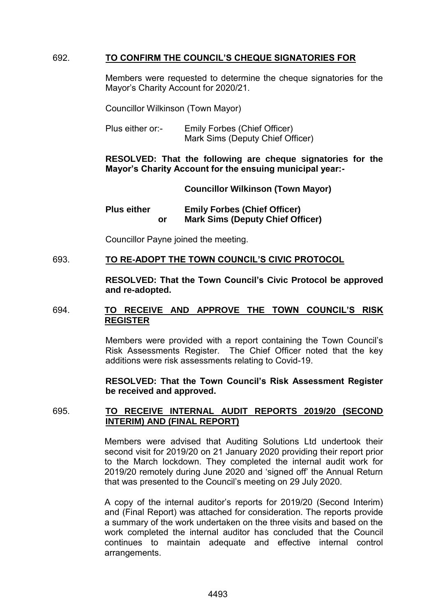## 692. **TO CONFIRM THE COUNCIL'S CHEQUE SIGNATORIES FOR**

Members were requested to determine the cheque signatories for the Mayor's Charity Account for 2020/21.

Councillor Wilkinson (Town Mayor)

Plus either or:- Emily Forbes (Chief Officer) Mark Sims (Deputy Chief Officer)

**RESOLVED: That the following are cheque signatories for the Mayor's Charity Account for the ensuing municipal year:-**

**Councillor Wilkinson (Town Mayor)**

**Plus either Emily Forbes (Chief Officer) or Mark Sims (Deputy Chief Officer)**

Councillor Payne joined the meeting.

## 693. **TO RE-ADOPT THE TOWN COUNCIL'S CIVIC PROTOCOL**

**RESOLVED: That the Town Council's Civic Protocol be approved and re-adopted.**

## 694. **TO RECEIVE AND APPROVE THE TOWN COUNCIL'S RISK REGISTER**

Members were provided with a report containing the Town Council's Risk Assessments Register. The Chief Officer noted that the key additions were risk assessments relating to Covid-19.

**RESOLVED: That the Town Council's Risk Assessment Register be received and approved.**

## 695. **TO RECEIVE INTERNAL AUDIT REPORTS 2019/20 (SECOND INTERIM) AND (FINAL REPORT)**

Members were advised that Auditing Solutions Ltd undertook their second visit for 2019/20 on 21 January 2020 providing their report prior to the March lockdown. They completed the internal audit work for 2019/20 remotely during June 2020 and 'signed off' the Annual Return that was presented to the Council's meeting on 29 July 2020.

A copy of the internal auditor's reports for 2019/20 (Second Interim) and (Final Report) was attached for consideration. The reports provide a summary of the work undertaken on the three visits and based on the work completed the internal auditor has concluded that the Council continues to maintain adequate and effective internal control arrangements.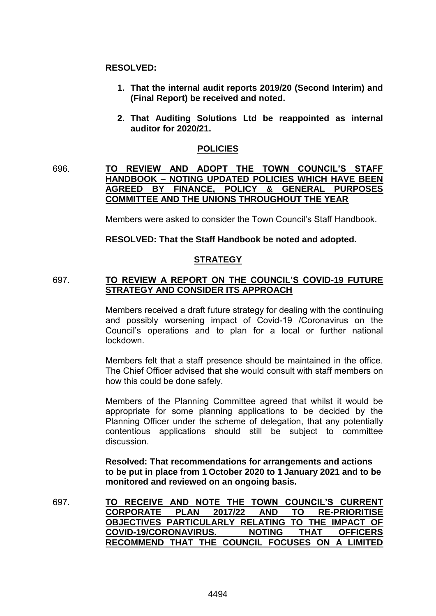#### **RESOLVED:**

- **1. That the internal audit reports 2019/20 (Second Interim) and (Final Report) be received and noted.**
- **2. That Auditing Solutions Ltd be reappointed as internal auditor for 2020/21.**

## **POLICIES**

696. **TO REVIEW AND ADOPT THE TOWN COUNCIL'S STAFF HANDBOOK – NOTING UPDATED POLICIES WHICH HAVE BEEN AGREED BY FINANCE, POLICY & GENERAL PURPOSES COMMITTEE AND THE UNIONS THROUGHOUT THE YEAR**

Members were asked to consider the Town Council's Staff Handbook.

## **RESOLVED: That the Staff Handbook be noted and adopted.**

# **STRATEGY**

## 697. **TO REVIEW A REPORT ON THE COUNCIL'S COVID-19 FUTURE STRATEGY AND CONSIDER ITS APPROACH**

Members received a draft future strategy for dealing with the continuing and possibly worsening impact of Covid-19 /Coronavirus on the Council's operations and to plan for a local or further national lockdown.

Members felt that a staff presence should be maintained in the office. The Chief Officer advised that she would consult with staff members on how this could be done safely.

Members of the Planning Committee agreed that whilst it would be appropriate for some planning applications to be decided by the Planning Officer under the scheme of delegation, that any potentially contentious applications should still be subject to committee discussion.

**Resolved: That recommendations for arrangements and actions to be put in place from 1 October 2020 to 1 January 2021 and to be monitored and reviewed on an ongoing basis.**

697. **TO RECEIVE AND NOTE THE TOWN COUNCIL'S CURRENT CORPORATE PLAN 2017/22 AND TO RE-PRIORITISE OBJECTIVES PARTICULARLY RELATING TO THE IMPACT OF COVID-19/CORONAVIRUS. NOTING THAT OFFICERS RECOMMEND THAT THE COUNCIL FOCUSES ON A LIMITED**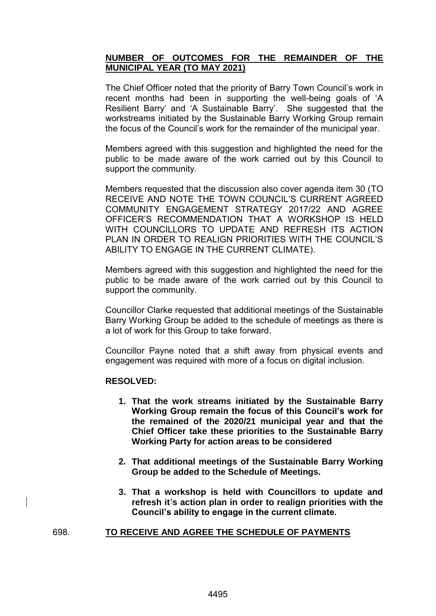# **NUMBER OF OUTCOMES FOR THE REMAINDER OF THE MUNICIPAL YEAR (TO MAY 2021)**

The Chief Officer noted that the priority of Barry Town Council's work in recent months had been in supporting the well-being goals of 'A Resilient Barry' and 'A Sustainable Barry'. She suggested that the workstreams initiated by the Sustainable Barry Working Group remain the focus of the Council's work for the remainder of the municipal year.

Members agreed with this suggestion and highlighted the need for the public to be made aware of the work carried out by this Council to support the community.

Members requested that the discussion also cover agenda item 30 (TO RECEIVE AND NOTE THE TOWN COUNCIL'S CURRENT AGREED COMMUNITY ENGAGEMENT STRATEGY 2017/22 AND AGREE OFFICER'S RECOMMENDATION THAT A WORKSHOP IS HELD WITH COUNCILLORS TO UPDATE AND REFRESH ITS ACTION PLAN IN ORDER TO REALIGN PRIORITIES WITH THE COUNCIL'S ABILITY TO ENGAGE IN THE CURRENT CLIMATE).

Members agreed with this suggestion and highlighted the need for the public to be made aware of the work carried out by this Council to support the community.

Councillor Clarke requested that additional meetings of the Sustainable Barry Working Group be added to the schedule of meetings as there is a lot of work for this Group to take forward.

Councillor Payne noted that a shift away from physical events and engagement was required with more of a focus on digital inclusion.

#### **RESOLVED:**

- **1. That the work streams initiated by the Sustainable Barry Working Group remain the focus of this Council's work for the remained of the 2020/21 municipal year and that the Chief Officer take these priorities to the Sustainable Barry Working Party for action areas to be considered**
- **2. That additional meetings of the Sustainable Barry Working Group be added to the Schedule of Meetings.**
- **3. That a workshop is held with Councillors to update and refresh it's action plan in order to realign priorities with the Council's ability to engage in the current climate.**

## 698. **TO RECEIVE AND AGREE THE SCHEDULE OF PAYMENTS**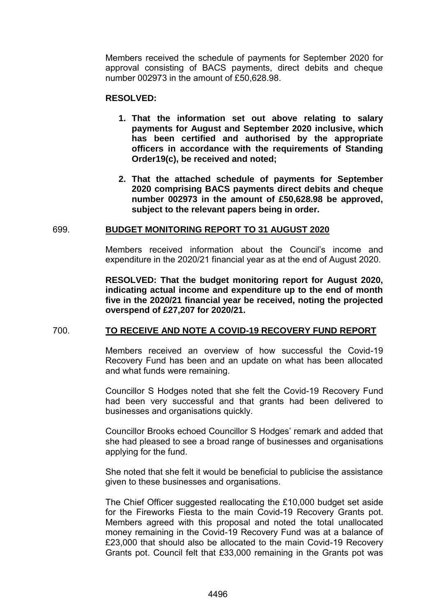Members received the schedule of payments for September 2020 for approval consisting of BACS payments, direct debits and cheque number 002973 in the amount of £50,628.98.

#### **RESOLVED:**

- **1. That the information set out above relating to salary payments for August and September 2020 inclusive, which has been certified and authorised by the appropriate officers in accordance with the requirements of Standing Order19(c), be received and noted;**
- **2. That the attached schedule of payments for September 2020 comprising BACS payments direct debits and cheque number 002973 in the amount of £50,628.98 be approved, subject to the relevant papers being in order.**

## 699. **BUDGET MONITORING REPORT TO 31 AUGUST 2020**

Members received information about the Council's income and expenditure in the 2020/21 financial year as at the end of August 2020.

**RESOLVED: That the budget monitoring report for August 2020, indicating actual income and expenditure up to the end of month five in the 2020/21 financial year be received, noting the projected overspend of £27,207 for 2020/21.**

## 700. **TO RECEIVE AND NOTE A COVID-19 RECOVERY FUND REPORT**

Members received an overview of how successful the Covid-19 Recovery Fund has been and an update on what has been allocated and what funds were remaining.

Councillor S Hodges noted that she felt the Covid-19 Recovery Fund had been very successful and that grants had been delivered to businesses and organisations quickly.

Councillor Brooks echoed Councillor S Hodges' remark and added that she had pleased to see a broad range of businesses and organisations applying for the fund.

She noted that she felt it would be beneficial to publicise the assistance given to these businesses and organisations.

The Chief Officer suggested reallocating the £10,000 budget set aside for the Fireworks Fiesta to the main Covid-19 Recovery Grants pot. Members agreed with this proposal and noted the total unallocated money remaining in the Covid-19 Recovery Fund was at a balance of £23,000 that should also be allocated to the main Covid-19 Recovery Grants pot. Council felt that £33,000 remaining in the Grants pot was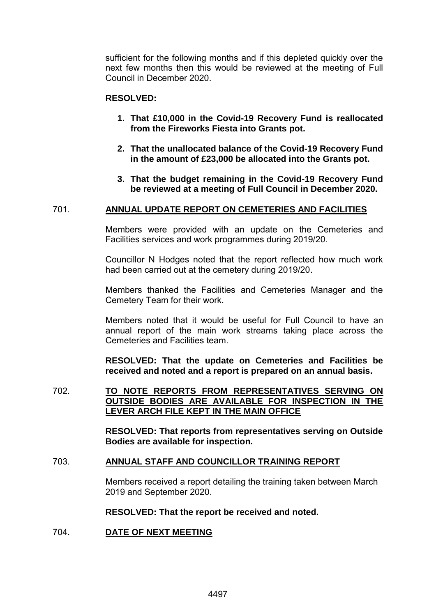sufficient for the following months and if this depleted quickly over the next few months then this would be reviewed at the meeting of Full Council in December 2020.

#### **RESOLVED:**

- **1. That £10,000 in the Covid-19 Recovery Fund is reallocated from the Fireworks Fiesta into Grants pot.**
- **2. That the unallocated balance of the Covid-19 Recovery Fund in the amount of £23,000 be allocated into the Grants pot.**
- **3. That the budget remaining in the Covid-19 Recovery Fund be reviewed at a meeting of Full Council in December 2020.**

#### 701. **ANNUAL UPDATE REPORT ON CEMETERIES AND FACILITIES**

Members were provided with an update on the Cemeteries and Facilities services and work programmes during 2019/20.

Councillor N Hodges noted that the report reflected how much work had been carried out at the cemetery during 2019/20.

Members thanked the Facilities and Cemeteries Manager and the Cemetery Team for their work.

Members noted that it would be useful for Full Council to have an annual report of the main work streams taking place across the Cemeteries and Facilities team.

**RESOLVED: That the update on Cemeteries and Facilities be received and noted and a report is prepared on an annual basis.**

702. **TO NOTE REPORTS FROM REPRESENTATIVES SERVING ON OUTSIDE BODIES ARE AVAILABLE FOR INSPECTION IN THE LEVER ARCH FILE KEPT IN THE MAIN OFFICE**

> **RESOLVED: That reports from representatives serving on Outside Bodies are available for inspection.**

## 703. **ANNUAL STAFF AND COUNCILLOR TRAINING REPORT**

Members received a report detailing the training taken between March 2019 and September 2020.

#### **RESOLVED: That the report be received and noted.**

## 704. **DATE OF NEXT MEETING**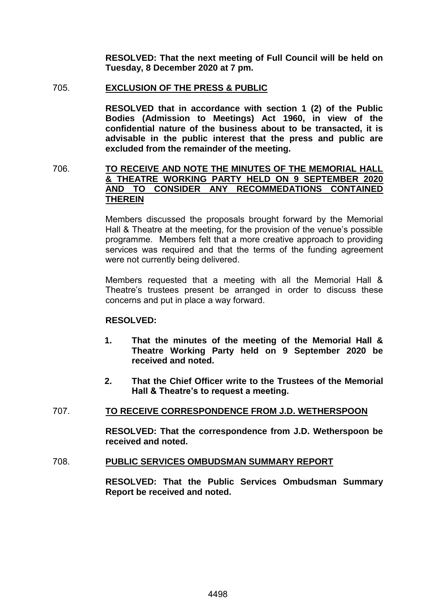**RESOLVED: That the next meeting of Full Council will be held on Tuesday, 8 December 2020 at 7 pm.**

#### 705. **EXCLUSION OF THE PRESS & PUBLIC**

**RESOLVED that in accordance with section 1 (2) of the Public Bodies (Admission to Meetings) Act 1960, in view of the confidential nature of the business about to be transacted, it is advisable in the public interest that the press and public are excluded from the remainder of the meeting.**

## 706. **TO RECEIVE AND NOTE THE MINUTES OF THE MEMORIAL HALL & THEATRE WORKING PARTY HELD ON 9 SEPTEMBER 2020 AND TO CONSIDER ANY RECOMMEDATIONS CONTAINED THEREIN**

Members discussed the proposals brought forward by the Memorial Hall & Theatre at the meeting, for the provision of the venue's possible programme. Members felt that a more creative approach to providing services was required and that the terms of the funding agreement were not currently being delivered.

Members requested that a meeting with all the Memorial Hall & Theatre's trustees present be arranged in order to discuss these concerns and put in place a way forward.

#### **RESOLVED:**

- **1. That the minutes of the meeting of the Memorial Hall & Theatre Working Party held on 9 September 2020 be received and noted.**
- **2. That the Chief Officer write to the Trustees of the Memorial Hall & Theatre's to request a meeting.**

#### 707. **TO RECEIVE CORRESPONDENCE FROM J.D. WETHERSPOON**

**RESOLVED: That the correspondence from J.D. Wetherspoon be received and noted.**

#### 708. **PUBLIC SERVICES OMBUDSMAN SUMMARY REPORT**

**RESOLVED: That the Public Services Ombudsman Summary Report be received and noted.**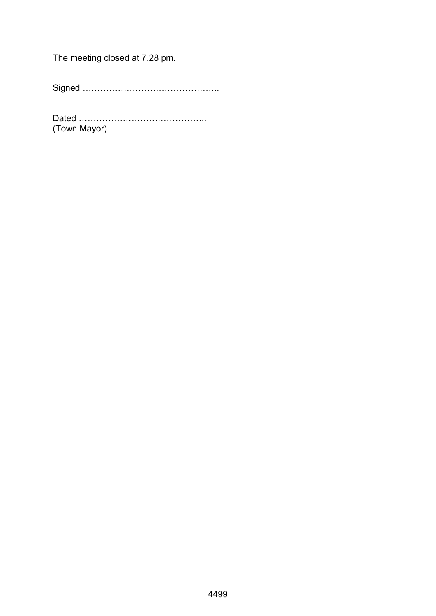The meeting closed at 7.28 pm.

Signed ………………………………………..

Dated …………………………………….. (Town Mayor)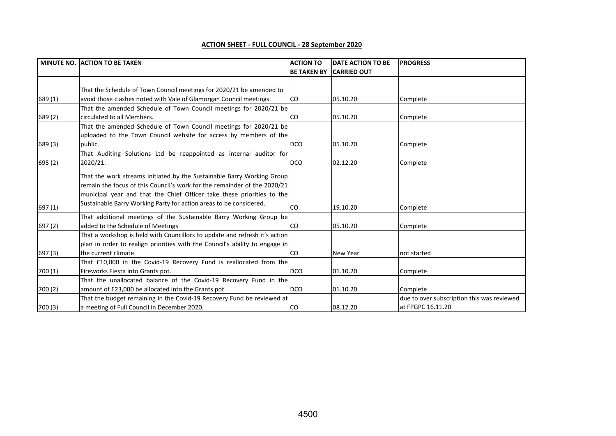| <b>MINUTE NO.</b> | <b>ACTION TO BE TAKEN</b>                                                   | <b>ACTION TO</b>   | <b>DATE ACTION TO BE</b> | <b>PROGRESS</b>                            |
|-------------------|-----------------------------------------------------------------------------|--------------------|--------------------------|--------------------------------------------|
|                   |                                                                             | <b>BE TAKEN BY</b> | <b>CARRIED OUT</b>       |                                            |
|                   |                                                                             |                    |                          |                                            |
|                   | That the Schedule of Town Council meetings for 2020/21 be amended to        |                    |                          |                                            |
| 689 (1)           | avoid those clashes noted with Vale of Glamorgan Council meetings.          | CO                 | 05.10.20                 | Complete                                   |
|                   | That the amended Schedule of Town Council meetings for 2020/21 be           |                    |                          |                                            |
| 689 (2)           | circulated to all Members.                                                  | <b>CO</b>          | 05.10.20                 | Complete                                   |
|                   | That the amended Schedule of Town Council meetings for 2020/21 be           |                    |                          |                                            |
|                   | uploaded to the Town Council website for access by members of the           |                    |                          |                                            |
| 689 (3)           | public.                                                                     | <b>DCO</b>         | 05.10.20                 | Complete                                   |
|                   | That Auditing Solutions Ltd be reappointed as internal auditor for          |                    |                          |                                            |
| 695 (2)           | 2020/21.                                                                    | <b>DCO</b>         | 02.12.20                 | Complete                                   |
|                   | That the work streams initiated by the Sustainable Barry Working Group      |                    |                          |                                            |
|                   | remain the focus of this Council's work for the remainder of the 2020/21    |                    |                          |                                            |
|                   | municipal year and that the Chief Officer take these priorities to the      |                    |                          |                                            |
|                   | Sustainable Barry Working Party for action areas to be considered.          |                    |                          |                                            |
| 697 (1)           |                                                                             | <b>CO</b>          | 19.10.20                 | Complete                                   |
|                   | That additional meetings of the Sustainable Barry Working Group be          |                    |                          |                                            |
| 697 (2)           | added to the Schedule of Meetings                                           | CO                 | 05.10.20                 | Complete                                   |
|                   | That a workshop is held with Councillors to update and refresh it's action  |                    |                          |                                            |
|                   | plan in order to realign priorities with the Council's ability to engage in |                    |                          |                                            |
| 697 (3)           | the current climate.                                                        | <b>CO</b>          | <b>New Year</b>          | not started                                |
|                   | That £10,000 in the Covid-19 Recovery Fund is reallocated from the          |                    |                          |                                            |
| 700 (1)           | Fireworks Fiesta into Grants pot.                                           | <b>DCO</b>         | 01.10.20                 | Complete                                   |
|                   | That the unallocated balance of the Covid-19 Recovery Fund in the           |                    |                          |                                            |
| 700 (2)           | amount of £23,000 be allocated into the Grants pot.                         | DCO                | 01.10.20                 | Complete                                   |
|                   | That the budget remaining in the Covid-19 Recovery Fund be reviewed at      |                    |                          | due to over subscription this was reviewed |
| 700(3)            | a meeting of Full Council in December 2020.                                 | <b>CO</b>          | 08.12.20                 | at FPGPC 16.11.20                          |

#### **ACTION SHEET - FULL COUNCIL - 28 September 2020**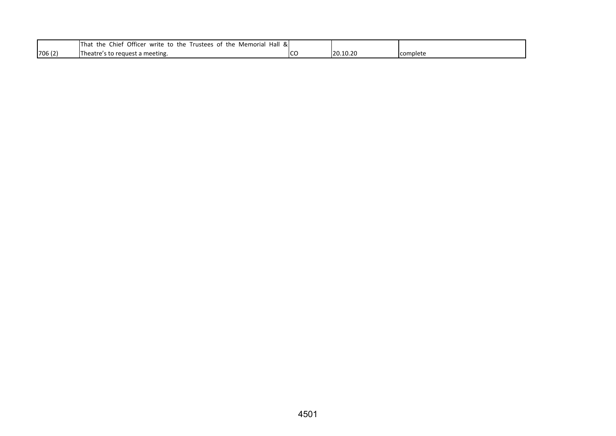|         | Officer write<br>Hall &<br>Chief<br>lTha <sup>.</sup><br>Memorial<br>the<br>to the<br>the<br>Trustees<br>ot |              |          |           |
|---------|-------------------------------------------------------------------------------------------------------------|--------------|----------|-----------|
| 706 (2) | Theatre's to request a meeting.                                                                             | $\sim$<br>יג | 20.10.20 | Icomplete |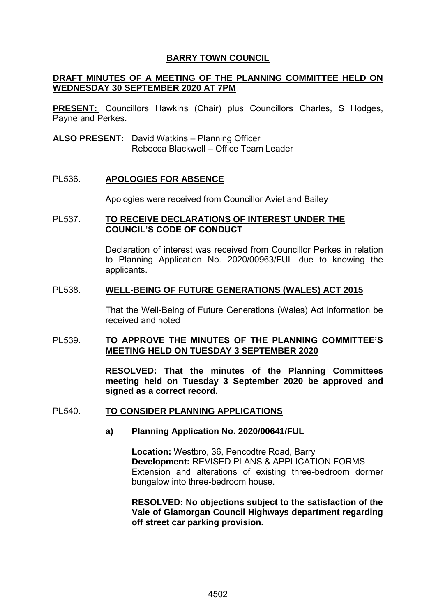## **BARRY TOWN COUNCIL**

## **DRAFT MINUTES OF A MEETING OF THE PLANNING COMMITTEE HELD ON WEDNESDAY 30 SEPTEMBER 2020 AT 7PM**

**PRESENT:** Councillors Hawkins (Chair) plus Councillors Charles, S Hodges, Payne and Perkes.

**ALSO PRESENT:** David Watkins – Planning Officer Rebecca Blackwell – Office Team Leader

#### PL536. **APOLOGIES FOR ABSENCE**

Apologies were received from Councillor Aviet and Bailey

#### PL537. **TO RECEIVE DECLARATIONS OF INTEREST UNDER THE COUNCIL'S CODE OF CONDUCT**

Declaration of interest was received from Councillor Perkes in relation to Planning Application No. 2020/00963/FUL due to knowing the applicants.

#### PL538. **WELL-BEING OF FUTURE GENERATIONS (WALES) ACT 2015**

That the Well-Being of Future Generations (Wales) Act information be received and noted

## PL539. **TO APPROVE THE MINUTES OF THE PLANNING COMMITTEE'S MEETING HELD ON TUESDAY 3 SEPTEMBER 2020**

**RESOLVED: That the minutes of the Planning Committees meeting held on Tuesday 3 September 2020 be approved and signed as a correct record.** 

#### PL540. **TO CONSIDER PLANNING APPLICATIONS**

#### **a) Planning Application No. 2020/00641/FUL**

**Location:** Westbro, 36, Pencodtre Road, Barry **Development:** REVISED PLANS & APPLICATION FORMS Extension and alterations of existing three-bedroom dormer bungalow into three-bedroom house.

**RESOLVED: No objections subject to the satisfaction of the Vale of Glamorgan Council Highways department regarding off street car parking provision.**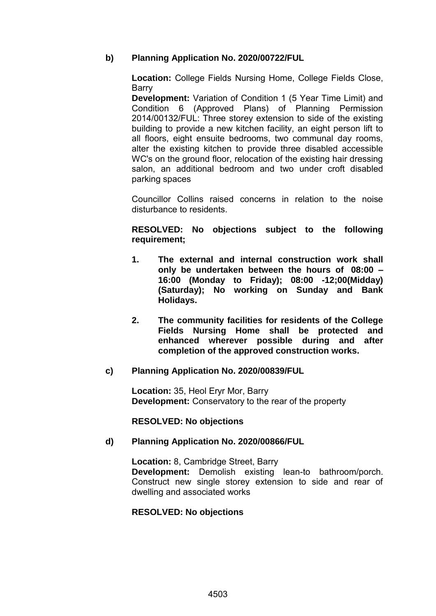# **b) Planning Application No. 2020/00722/FUL**

**Location:** College Fields Nursing Home, College Fields Close, Barry

**Development:** Variation of Condition 1 (5 Year Time Limit) and Condition 6 (Approved Plans) of Planning Permission 2014/00132/FUL: Three storey extension to side of the existing building to provide a new kitchen facility, an eight person lift to all floors, eight ensuite bedrooms, two communal day rooms, alter the existing kitchen to provide three disabled accessible WC's on the ground floor, relocation of the existing hair dressing salon, an additional bedroom and two under croft disabled parking spaces

Councillor Collins raised concerns in relation to the noise disturbance to residents.

## **RESOLVED: No objections subject to the following requirement;**

- **1. The external and internal construction work shall only be undertaken between the hours of 08:00 – 16:00 (Monday to Friday); 08:00 -12;00(Midday) (Saturday); No working on Sunday and Bank Holidays.**
- **2. The community facilities for residents of the College Fields Nursing Home shall be protected and enhanced wherever possible during and after completion of the approved construction works.**

## **c) Planning Application No. 2020/00839/FUL**

**Location:** 35, Heol Eryr Mor, Barry **Development:** Conservatory to the rear of the property

## **RESOLVED: No objections**

# **d) Planning Application No. 2020/00866/FUL**

**Location:** 8, Cambridge Street, Barry **Development:** Demolish existing lean-to bathroom/porch. Construct new single storey extension to side and rear of dwelling and associated works

## **RESOLVED: No objections**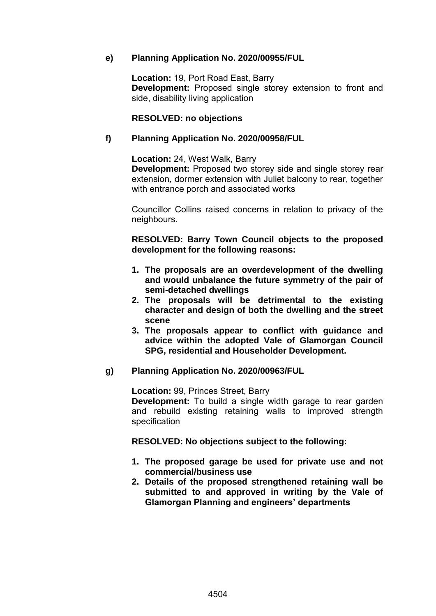## **e) Planning Application No. 2020/00955/FUL**

**Location:** 19, Port Road East, Barry **Development:** Proposed single storey extension to front and side, disability living application

## **RESOLVED: no objections**

## **f) Planning Application No. 2020/00958/FUL**

**Location:** 24, West Walk, Barry

**Development:** Proposed two storey side and single storey rear extension, dormer extension with Juliet balcony to rear, together with entrance porch and associated works

Councillor Collins raised concerns in relation to privacy of the neighbours.

**RESOLVED: Barry Town Council objects to the proposed development for the following reasons:**

- **1. The proposals are an overdevelopment of the dwelling and would unbalance the future symmetry of the pair of semi-detached dwellings**
- **2. The proposals will be detrimental to the existing character and design of both the dwelling and the street scene**
- **3. The proposals appear to conflict with guidance and advice within the adopted Vale of Glamorgan Council SPG, residential and Householder Development.**

#### **g) Planning Application No. 2020/00963/FUL**

**Location:** 99, Princes Street, Barry

**Development:** To build a single width garage to rear garden and rebuild existing retaining walls to improved strength specification

**RESOLVED: No objections subject to the following:**

- **1. The proposed garage be used for private use and not commercial/business use**
- **2. Details of the proposed strengthened retaining wall be submitted to and approved in writing by the Vale of Glamorgan Planning and engineers' departments**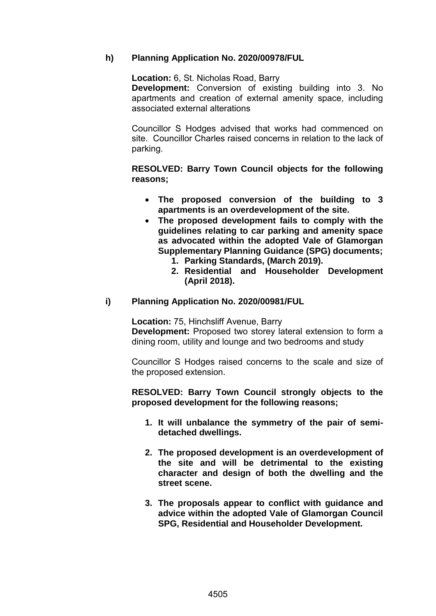## **h) Planning Application No. 2020/00978/FUL**

**Location:** 6, St. Nicholas Road, Barry

**Development:** Conversion of existing building into 3. No apartments and creation of external amenity space, including associated external alterations

Councillor S Hodges advised that works had commenced on site. Councillor Charles raised concerns in relation to the lack of parking.

## **RESOLVED: Barry Town Council objects for the following reasons;**

- **The proposed conversion of the building to 3 apartments is an overdevelopment of the site.**
- **The proposed development fails to comply with the guidelines relating to car parking and amenity space as advocated within the adopted Vale of Glamorgan Supplementary Planning Guidance (SPG) documents;**
	- **1. Parking Standards, (March 2019).**
	- **2. Residential and Householder Development (April 2018).**

## **i) Planning Application No. 2020/00981/FUL**

**Location:** 75, Hinchsliff Avenue, Barry **Development:** Proposed two storey lateral extension to form a dining room, utility and lounge and two bedrooms and study

Councillor S Hodges raised concerns to the scale and size of the proposed extension.

**RESOLVED: Barry Town Council strongly objects to the proposed development for the following reasons;**

- **1. It will unbalance the symmetry of the pair of semidetached dwellings.**
- **2. The proposed development is an overdevelopment of the site and will be detrimental to the existing character and design of both the dwelling and the street scene.**
- **3. The proposals appear to conflict with guidance and advice within the adopted Vale of Glamorgan Council SPG, Residential and Householder Development.**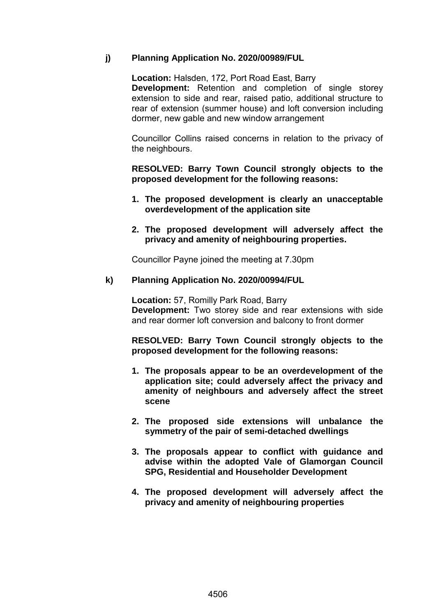## **j) Planning Application No. 2020/00989/FUL**

**Location:** Halsden, 172, Port Road East, Barry **Development:** Retention and completion of single storey extension to side and rear, raised patio, additional structure to rear of extension (summer house) and loft conversion including dormer, new gable and new window arrangement

Councillor Collins raised concerns in relation to the privacy of the neighbours.

**RESOLVED: Barry Town Council strongly objects to the proposed development for the following reasons:**

- **1. The proposed development is clearly an unacceptable overdevelopment of the application site**
- **2. The proposed development will adversely affect the privacy and amenity of neighbouring properties.**

Councillor Payne joined the meeting at 7.30pm

## **k) Planning Application No. 2020/00994/FUL**

**Location:** 57, Romilly Park Road, Barry **Development:** Two storey side and rear extensions with side and rear dormer loft conversion and balcony to front dormer

**RESOLVED: Barry Town Council strongly objects to the proposed development for the following reasons:**

- **1. The proposals appear to be an overdevelopment of the application site; could adversely affect the privacy and amenity of neighbours and adversely affect the street scene**
- **2. The proposed side extensions will unbalance the symmetry of the pair of semi-detached dwellings**
- **3. The proposals appear to conflict with guidance and advise within the adopted Vale of Glamorgan Council SPG, Residential and Householder Development**
- **4. The proposed development will adversely affect the privacy and amenity of neighbouring properties**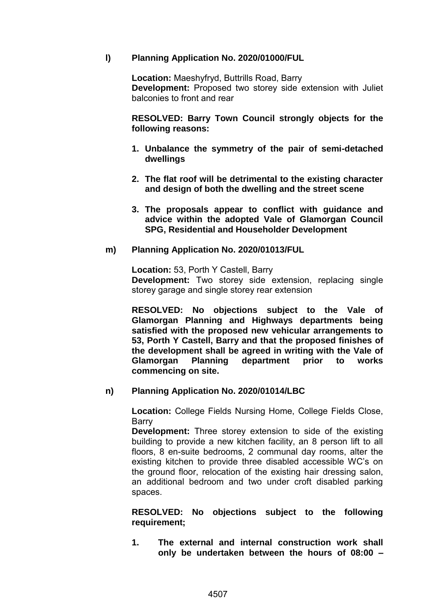## **l) Planning Application No. 2020/01000/FUL**

**Location:** Maeshyfryd, Buttrills Road, Barry **Development:** Proposed two storey side extension with Juliet balconies to front and rear

**RESOLVED: Barry Town Council strongly objects for the following reasons:**

- **1. Unbalance the symmetry of the pair of semi-detached dwellings**
- **2. The flat roof will be detrimental to the existing character and design of both the dwelling and the street scene**
- **3. The proposals appear to conflict with guidance and advice within the adopted Vale of Glamorgan Council SPG, Residential and Householder Development**

#### **m) Planning Application No. 2020/01013/FUL**

**Location:** 53, Porth Y Castell, Barry **Development:** Two storey side extension, replacing single storey garage and single storey rear extension

**RESOLVED: No objections subject to the Vale of Glamorgan Planning and Highways departments being satisfied with the proposed new vehicular arrangements to 53, Porth Y Castell, Barry and that the proposed finishes of the development shall be agreed in writing with the Vale of Glamorgan Planning department prior to works commencing on site.**

#### **n) Planning Application No. 2020/01014/LBC**

**Location:** College Fields Nursing Home, College Fields Close, Barry

**Development:** Three storey extension to side of the existing building to provide a new kitchen facility, an 8 person lift to all floors, 8 en-suite bedrooms, 2 communal day rooms, alter the existing kitchen to provide three disabled accessible WC's on the ground floor, relocation of the existing hair dressing salon, an additional bedroom and two under croft disabled parking spaces.

**RESOLVED: No objections subject to the following requirement;**

**1. The external and internal construction work shall only be undertaken between the hours of 08:00 –**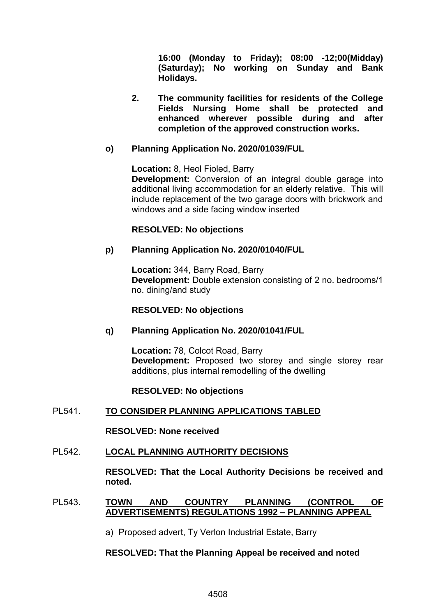**16:00 (Monday to Friday); 08:00 -12;00(Midday) (Saturday); No working on Sunday and Bank Holidays.**

**2. The community facilities for residents of the College Fields Nursing Home shall be protected and enhanced wherever possible during and after completion of the approved construction works.**

## **o) Planning Application No. 2020/01039/FUL**

**Location:** 8, Heol Fioled, Barry **Development:** Conversion of an integral double garage into additional living accommodation for an elderly relative. This will include replacement of the two garage doors with brickwork and windows and a side facing window inserted

## **RESOLVED: No objections**

## **p) Planning Application No. 2020/01040/FUL**

**Location:** 344, Barry Road, Barry **Development:** Double extension consisting of 2 no. bedrooms/1 no. dining/and study

## **RESOLVED: No objections**

## **q) Planning Application No. 2020/01041/FUL**

**Location:** 78, Colcot Road, Barry **Development:** Proposed two storey and single storey rear additions, plus internal remodelling of the dwelling

## **RESOLVED: No objections**

## PL541. **TO CONSIDER PLANNING APPLICATIONS TABLED**

**RESOLVED: None received** 

## PL542. **LOCAL PLANNING AUTHORITY DECISIONS**

**RESOLVED: That the Local Authority Decisions be received and noted.** 

## PL543. **TOWN AND COUNTRY PLANNING (CONTROL OF ADVERTISEMENTS) REGULATIONS 1992 – PLANNING APPEAL**

a) Proposed advert, Ty Verlon Industrial Estate, Barry

#### **RESOLVED: That the Planning Appeal be received and noted**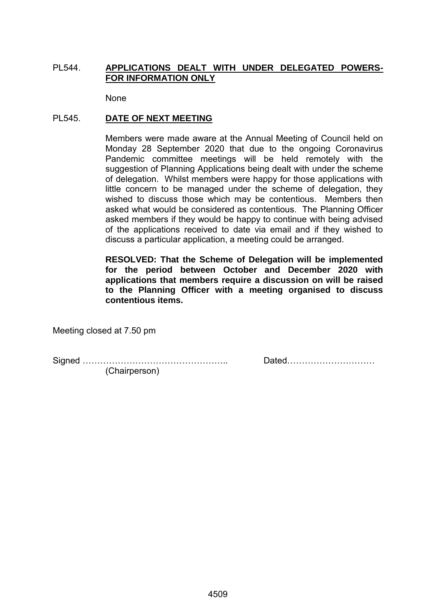## PL544. **APPLICATIONS DEALT WITH UNDER DELEGATED POWERS-FOR INFORMATION ONLY**

None

## PL545. **DATE OF NEXT MEETING**

Members were made aware at the Annual Meeting of Council held on Monday 28 September 2020 that due to the ongoing Coronavirus Pandemic committee meetings will be held remotely with the suggestion of Planning Applications being dealt with under the scheme of delegation. Whilst members were happy for those applications with little concern to be managed under the scheme of delegation, they wished to discuss those which may be contentious. Members then asked what would be considered as contentious. The Planning Officer asked members if they would be happy to continue with being advised of the applications received to date via email and if they wished to discuss a particular application, a meeting could be arranged.

**RESOLVED: That the Scheme of Delegation will be implemented for the period between October and December 2020 with applications that members require a discussion on will be raised to the Planning Officer with a meeting organised to discuss contentious items.** 

Meeting closed at 7.50 pm

Signed ………………………………………….. Dated…………………………

(Chairperson)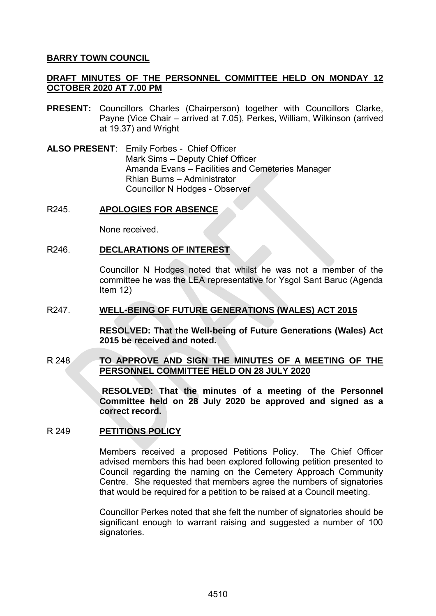## **BARRY TOWN COUNCIL**

## **DRAFT MINUTES OF THE PERSONNEL COMMITTEE HELD ON MONDAY 12 OCTOBER 2020 AT 7.00 PM**

- **PRESENT:** Councillors Charles (Chairperson) together with Councillors Clarke, Payne (Vice Chair – arrived at 7.05), Perkes, William, Wilkinson (arrived at 19.37) and Wright
- **ALSO PRESENT**: Emily Forbes Chief Officer Mark Sims – Deputy Chief Officer Amanda Evans – Facilities and Cemeteries Manager Rhian Burns – Administrator Councillor N Hodges - Observer

## R245. **APOLOGIES FOR ABSENCE**

None received.

## R246. **DECLARATIONS OF INTEREST**

Councillor N Hodges noted that whilst he was not a member of the committee he was the LEA representative for Ysgol Sant Baruc (Agenda Item 12)

## R247. **WELL-BEING OF FUTURE GENERATIONS (WALES) ACT 2015**

**RESOLVED: That the Well-being of Future Generations (Wales) Act 2015 be received and noted.**

## R 248 **TO APPROVE AND SIGN THE MINUTES OF A MEETING OF THE PERSONNEL COMMITTEE HELD ON 28 JULY 2020**

**RESOLVED: That the minutes of a meeting of the Personnel Committee held on 28 July 2020 be approved and signed as a correct record.** 

## R 249 **PETITIONS POLICY**

Members received a proposed Petitions Policy. The Chief Officer advised members this had been explored following petition presented to Council regarding the naming on the Cemetery Approach Community Centre. She requested that members agree the numbers of signatories that would be required for a petition to be raised at a Council meeting.

Councillor Perkes noted that she felt the number of signatories should be significant enough to warrant raising and suggested a number of 100 signatories.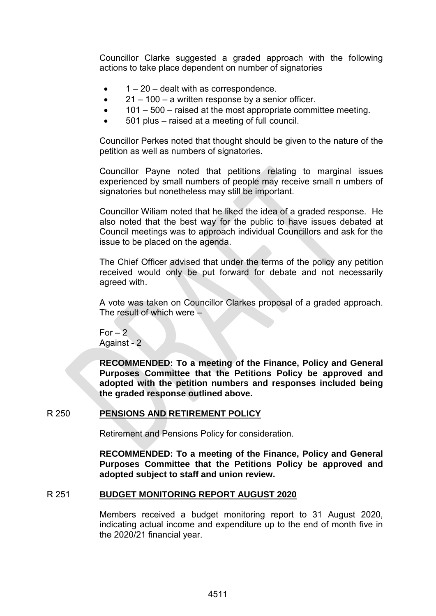Councillor Clarke suggested a graded approach with the following actions to take place dependent on number of signatories

- $\bullet$   $1 20$  dealt with as correspondence.
- $\bullet$  21 100 a written response by a senior officer.
- 101 500 raised at the most appropriate committee meeting.
- 501 plus raised at a meeting of full council.

Councillor Perkes noted that thought should be given to the nature of the petition as well as numbers of signatories.

Councillor Payne noted that petitions relating to marginal issues experienced by small numbers of people may receive small n umbers of signatories but nonetheless may still be important.

Councillor Wiliam noted that he liked the idea of a graded response. He also noted that the best way for the public to have issues debated at Council meetings was to approach individual Councillors and ask for the issue to be placed on the agenda.

The Chief Officer advised that under the terms of the policy any petition received would only be put forward for debate and not necessarily agreed with.

A vote was taken on Councillor Clarkes proposal of a graded approach. The result of which were –

 $For -2$ Against - 2

**RECOMMENDED: To a meeting of the Finance, Policy and General Purposes Committee that the Petitions Policy be approved and adopted with the petition numbers and responses included being the graded response outlined above.**

## R 250 **PENSIONS AND RETIREMENT POLICY**

Retirement and Pensions Policy for consideration.

**RECOMMENDED: To a meeting of the Finance, Policy and General Purposes Committee that the Petitions Policy be approved and adopted subject to staff and union review.**

#### R 251 **BUDGET MONITORING REPORT AUGUST 2020**

Members received a budget monitoring report to 31 August 2020, indicating actual income and expenditure up to the end of month five in the 2020/21 financial year.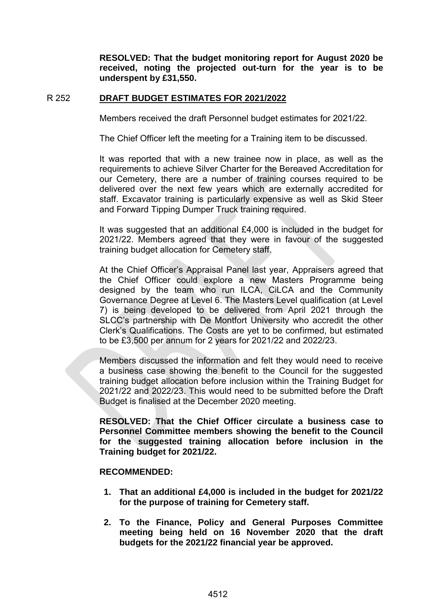**RESOLVED: That the budget monitoring report for August 2020 be received, noting the projected out-turn for the year is to be underspent by £31,550.**

#### R 252 **DRAFT BUDGET ESTIMATES FOR 2021/2022**

Members received the draft Personnel budget estimates for 2021/22.

The Chief Officer left the meeting for a Training item to be discussed.

It was reported that with a new trainee now in place, as well as the requirements to achieve Silver Charter for the Bereaved Accreditation for our Cemetery, there are a number of training courses required to be delivered over the next few years which are externally accredited for staff. Excavator training is particularly expensive as well as Skid Steer and Forward Tipping Dumper Truck training required.

It was suggested that an additional £4,000 is included in the budget for 2021/22. Members agreed that they were in favour of the suggested training budget allocation for Cemetery staff.

At the Chief Officer's Appraisal Panel last year, Appraisers agreed that the Chief Officer could explore a new Masters Programme being designed by the team who run ILCA, CiLCA and the Community Governance Degree at Level 6. The Masters Level qualification (at Level 7) is being developed to be delivered from April 2021 through the SLCC's partnership with De Montfort University who accredit the other Clerk's Qualifications. The Costs are yet to be confirmed, but estimated to be £3,500 per annum for 2 years for 2021/22 and 2022/23.

Members discussed the information and felt they would need to receive a business case showing the benefit to the Council for the suggested training budget allocation before inclusion within the Training Budget for 2021/22 and 2022/23. This would need to be submitted before the Draft Budget is finalised at the December 2020 meeting.

**RESOLVED: That the Chief Officer circulate a business case to Personnel Committee members showing the benefit to the Council for the suggested training allocation before inclusion in the Training budget for 2021/22.**

#### **RECOMMENDED:**

- **1. That an additional £4,000 is included in the budget for 2021/22 for the purpose of training for Cemetery staff.**
- **2. To the Finance, Policy and General Purposes Committee meeting being held on 16 November 2020 that the draft budgets for the 2021/22 financial year be approved.**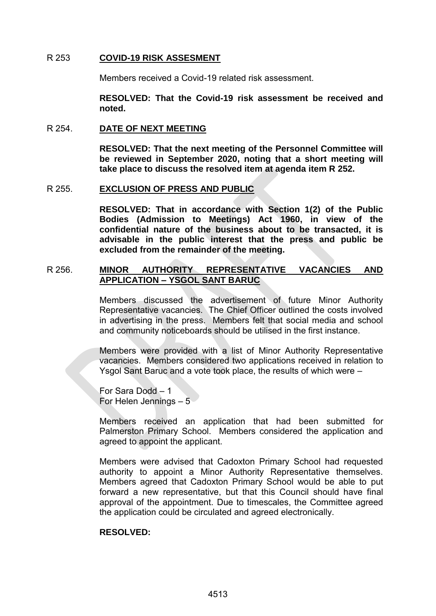#### R 253 **COVID-19 RISK ASSESMENT**

Members received a Covid-19 related risk assessment.

**RESOLVED: That the Covid-19 risk assessment be received and noted.**

#### R 254. **DATE OF NEXT MEETING**

**RESOLVED: That the next meeting of the Personnel Committee will be reviewed in September 2020, noting that a short meeting will take place to discuss the resolved item at agenda item R 252.** 

#### R 255. **EXCLUSION OF PRESS AND PUBLIC**

**RESOLVED: That in accordance with Section 1(2) of the Public Bodies (Admission to Meetings) Act 1960, in view of the confidential nature of the business about to be transacted, it is advisable in the public interest that the press and public be excluded from the remainder of the meeting.** 

## R 256. **MINOR AUTHORITY REPRESENTATIVE VACANCIES AND APPLICATION – YSGOL SANT BARUC**

Members discussed the advertisement of future Minor Authority Representative vacancies. The Chief Officer outlined the costs involved in advertising in the press. Members felt that social media and school and community noticeboards should be utilised in the first instance.

Members were provided with a list of Minor Authority Representative vacancies. Members considered two applications received in relation to Ysgol Sant Baruc and a vote took place, the results of which were –

For Sara Dodd – 1 For Helen Jennings  $-5$ 

Members received an application that had been submitted for Palmerston Primary School. Members considered the application and agreed to appoint the applicant.

Members were advised that Cadoxton Primary School had requested authority to appoint a Minor Authority Representative themselves. Members agreed that Cadoxton Primary School would be able to put forward a new representative, but that this Council should have final approval of the appointment. Due to timescales, the Committee agreed the application could be circulated and agreed electronically.

#### **RESOLVED:**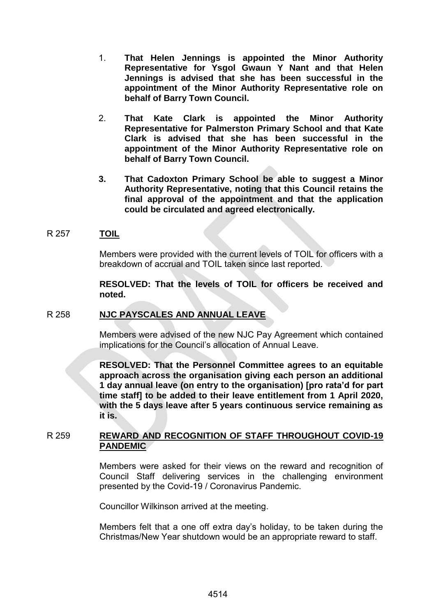- 1. **That Helen Jennings is appointed the Minor Authority Representative for Ysgol Gwaun Y Nant and that Helen Jennings is advised that she has been successful in the appointment of the Minor Authority Representative role on behalf of Barry Town Council.**
- 2. **That Kate Clark is appointed the Minor Authority Representative for Palmerston Primary School and that Kate Clark is advised that she has been successful in the appointment of the Minor Authority Representative role on behalf of Barry Town Council.**
- **3. That Cadoxton Primary School be able to suggest a Minor Authority Representative, noting that this Council retains the final approval of the appointment and that the application could be circulated and agreed electronically.**

#### R 257 **TOIL**

Members were provided with the current levels of TOIL for officers with a breakdown of accrual and TOIL taken since last reported.

**RESOLVED: That the levels of TOIL for officers be received and noted.**

## R 258 **NJC PAYSCALES AND ANNUAL LEAVE**

Members were advised of the new NJC Pay Agreement which contained implications for the Council's allocation of Annual Leave.

**RESOLVED: That the Personnel Committee agrees to an equitable approach across the organisation giving each person an additional 1 day annual leave (on entry to the organisation) [pro rata'd for part time staff] to be added to their leave entitlement from 1 April 2020, with the 5 days leave after 5 years continuous service remaining as it is.**

#### R 259 **REWARD AND RECOGNITION OF STAFF THROUGHOUT COVID-19 PANDEMIC**

Members were asked for their views on the reward and recognition of Council Staff delivering services in the challenging environment presented by the Covid-19 / Coronavirus Pandemic.

Councillor Wilkinson arrived at the meeting.

Members felt that a one off extra day's holiday, to be taken during the Christmas/New Year shutdown would be an appropriate reward to staff.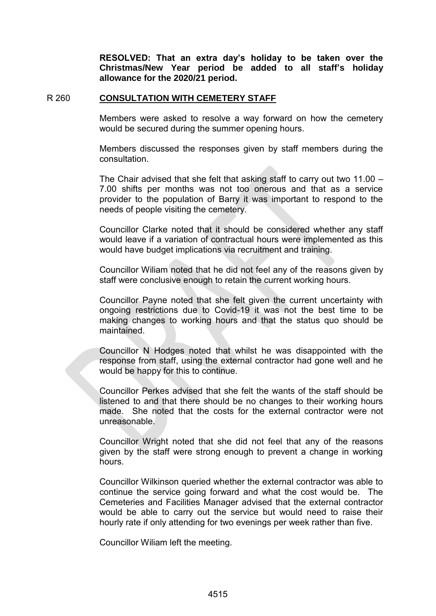**RESOLVED: That an extra day's holiday to be taken over the Christmas/New Year period be added to all staff's holiday allowance for the 2020/21 period.**

#### R 260 **CONSULTATION WITH CEMETERY STAFF**

Members were asked to resolve a way forward on how the cemetery would be secured during the summer opening hours.

Members discussed the responses given by staff members during the consultation.

The Chair advised that she felt that asking staff to carry out two 11.00 – 7.00 shifts per months was not too onerous and that as a service provider to the population of Barry it was important to respond to the needs of people visiting the cemetery.

Councillor Clarke noted that it should be considered whether any staff would leave if a variation of contractual hours were implemented as this would have budget implications via recruitment and training.

Councillor Wiliam noted that he did not feel any of the reasons given by staff were conclusive enough to retain the current working hours.

Councillor Payne noted that she felt given the current uncertainty with ongoing restrictions due to Covid-19 it was not the best time to be making changes to working hours and that the status quo should be maintained.

Councillor N Hodges noted that whilst he was disappointed with the response from staff, using the external contractor had gone well and he would be happy for this to continue.

Councillor Perkes advised that she felt the wants of the staff should be listened to and that there should be no changes to their working hours made. She noted that the costs for the external contractor were not unreasonable.

Councillor Wright noted that she did not feel that any of the reasons given by the staff were strong enough to prevent a change in working hours.

Councillor Wilkinson queried whether the external contractor was able to continue the service going forward and what the cost would be. The Cemeteries and Facilities Manager advised that the external contractor would be able to carry out the service but would need to raise their hourly rate if only attending for two evenings per week rather than five.

Councillor Wiliam left the meeting.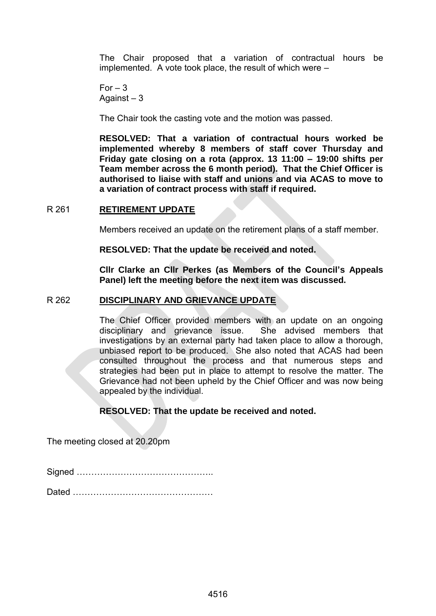The Chair proposed that a variation of contractual hours be implemented. A vote took place, the result of which were –

 $For - 3$ Against – 3

The Chair took the casting vote and the motion was passed.

**RESOLVED: That a variation of contractual hours worked be implemented whereby 8 members of staff cover Thursday and Friday gate closing on a rota (approx. 13 11:00 – 19:00 shifts per Team member across the 6 month period). That the Chief Officer is authorised to liaise with staff and unions and via ACAS to move to a variation of contract process with staff if required.**

#### R 261 **RETIREMENT UPDATE**

Members received an update on the retirement plans of a staff member.

**RESOLVED: That the update be received and noted.**

**Cllr Clarke an Cllr Perkes (as Members of the Council's Appeals Panel) left the meeting before the next item was discussed.**

#### R 262 **DISCIPLINARY AND GRIEVANCE UPDATE**

The Chief Officer provided members with an update on an ongoing disciplinary and grievance issue. She advised members that investigations by an external party had taken place to allow a thorough, unbiased report to be produced. She also noted that ACAS had been consulted throughout the process and that numerous steps and strategies had been put in place to attempt to resolve the matter. The Grievance had not been upheld by the Chief Officer and was now being appealed by the individual.

#### **RESOLVED: That the update be received and noted.**

The meeting closed at 20.20pm

Signed ………………………………………..

Dated …………………………………………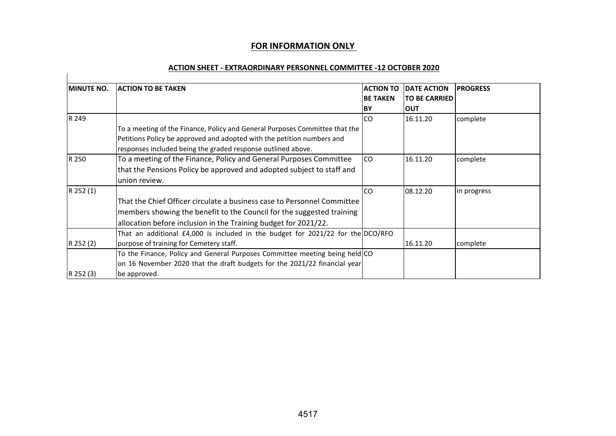## **FOR INFORMATION ONLY**

#### **ACTION SHEET - EXTRAORDINARY PERSONNEL COMMITTEE -12 OCTOBER 2020**

| <b>MINUTE NO.</b> | <b>ACTION TO BE TAKEN</b>                                                         | <b>ACTION TO</b><br><b>BE TAKEN</b><br><b>BY</b> | <b>DATE ACTION</b><br><b>TO BE CARRIED</b><br><b>OUT</b> | <b>PROGRESS</b> |
|-------------------|-----------------------------------------------------------------------------------|--------------------------------------------------|----------------------------------------------------------|-----------------|
| R 249             |                                                                                   | <b>CO</b>                                        | 16.11.20                                                 | complete        |
|                   | To a meeting of the Finance, Policy and General Purposes Committee that the       |                                                  |                                                          |                 |
|                   | Petitions Policy be approved and adopted with the petition numbers and            |                                                  |                                                          |                 |
|                   | responses included being the graded response outlined above.                      |                                                  |                                                          |                 |
| R 250             | To a meeting of the Finance, Policy and General Purposes Committee                | <b>CO</b>                                        | 16.11.20                                                 | complete        |
|                   | that the Pensions Policy be approved and adopted subject to staff and             |                                                  |                                                          |                 |
|                   | union review.                                                                     |                                                  |                                                          |                 |
| R 252 (1)         |                                                                                   | <b>CO</b>                                        | 08.12.20                                                 | in progress     |
|                   | That the Chief Officer circulate a business case to Personnel Committee           |                                                  |                                                          |                 |
|                   | members showing the benefit to the Council for the suggested training             |                                                  |                                                          |                 |
|                   | allocation before inclusion in the Training budget for 2021/22.                   |                                                  |                                                          |                 |
|                   | That an additional £4,000 is included in the budget for $2021/22$ for the DCO/RFO |                                                  |                                                          |                 |
| R 252 (2)         | purpose of training for Cemetery staff.                                           |                                                  | 16.11.20                                                 | complete        |
|                   | To the Finance, Policy and General Purposes Committee meeting being held CO       |                                                  |                                                          |                 |
|                   | on 16 November 2020 that the draft budgets for the 2021/22 financial year         |                                                  |                                                          |                 |
| R 252 (3)         | be approved.                                                                      |                                                  |                                                          |                 |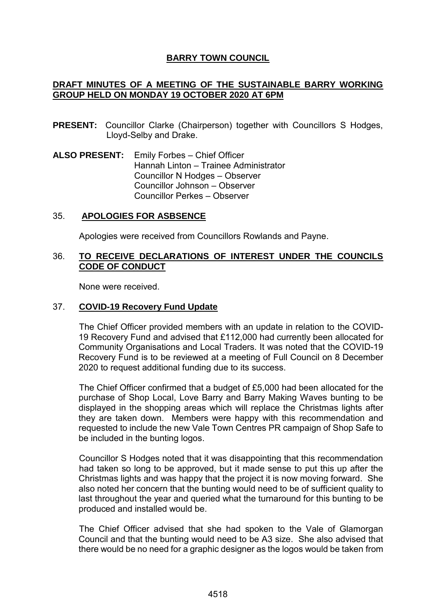# **BARRY TOWN COUNCIL**

# **DRAFT MINUTES OF A MEETING OF THE SUSTAINABLE BARRY WORKING GROUP HELD ON MONDAY 19 OCTOBER 2020 AT 6PM**

- **PRESENT:** Councillor Clarke (Chairperson) together with Councillors S Hodges, Lloyd-Selby and Drake.
- **ALSO PRESENT:** Emily Forbes Chief Officer Hannah Linton – Trainee Administrator Councillor N Hodges – Observer Councillor Johnson – Observer Councillor Perkes – Observer

#### 35. **APOLOGIES FOR ASBSENCE**

Apologies were received from Councillors Rowlands and Payne.

#### 36. **TO RECEIVE DECLARATIONS OF INTEREST UNDER THE COUNCILS CODE OF CONDUCT**

None were received.

#### 37. **COVID-19 Recovery Fund Update**

The Chief Officer provided members with an update in relation to the COVID-19 Recovery Fund and advised that £112,000 had currently been allocated for Community Organisations and Local Traders. It was noted that the COVID-19 Recovery Fund is to be reviewed at a meeting of Full Council on 8 December 2020 to request additional funding due to its success.

The Chief Officer confirmed that a budget of £5,000 had been allocated for the purchase of Shop Local, Love Barry and Barry Making Waves bunting to be displayed in the shopping areas which will replace the Christmas lights after they are taken down. Members were happy with this recommendation and requested to include the new Vale Town Centres PR campaign of Shop Safe to be included in the bunting logos.

Councillor S Hodges noted that it was disappointing that this recommendation had taken so long to be approved, but it made sense to put this up after the Christmas lights and was happy that the project it is now moving forward. She also noted her concern that the bunting would need to be of sufficient quality to last throughout the year and queried what the turnaround for this bunting to be produced and installed would be.

The Chief Officer advised that she had spoken to the Vale of Glamorgan Council and that the bunting would need to be A3 size. She also advised that there would be no need for a graphic designer as the logos would be taken from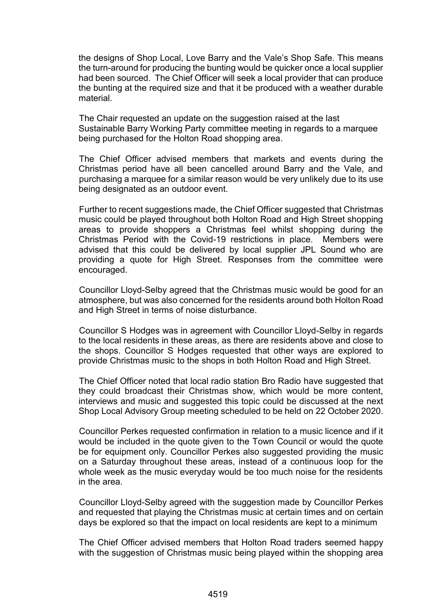the designs of Shop Local, Love Barry and the Vale's Shop Safe. This means the turn-around for producing the bunting would be quicker once a local supplier had been sourced. The Chief Officer will seek a local provider that can produce the bunting at the required size and that it be produced with a weather durable material.

The Chair requested an update on the suggestion raised at the last Sustainable Barry Working Party committee meeting in regards to a marquee being purchased for the Holton Road shopping area.

The Chief Officer advised members that markets and events during the Christmas period have all been cancelled around Barry and the Vale, and purchasing a marquee for a similar reason would be very unlikely due to its use being designated as an outdoor event.

Further to recent suggestions made, the Chief Officer suggested that Christmas music could be played throughout both Holton Road and High Street shopping areas to provide shoppers a Christmas feel whilst shopping during the Christmas Period with the Covid-19 restrictions in place. Members were advised that this could be delivered by local supplier JPL Sound who are providing a quote for High Street. Responses from the committee were encouraged.

Councillor Lloyd-Selby agreed that the Christmas music would be good for an atmosphere, but was also concerned for the residents around both Holton Road and High Street in terms of noise disturbance.

Councillor S Hodges was in agreement with Councillor Lloyd-Selby in regards to the local residents in these areas, as there are residents above and close to the shops. Councillor S Hodges requested that other ways are explored to provide Christmas music to the shops in both Holton Road and High Street.

The Chief Officer noted that local radio station Bro Radio have suggested that they could broadcast their Christmas show, which would be more content, interviews and music and suggested this topic could be discussed at the next Shop Local Advisory Group meeting scheduled to be held on 22 October 2020.

Councillor Perkes requested confirmation in relation to a music licence and if it would be included in the quote given to the Town Council or would the quote be for equipment only. Councillor Perkes also suggested providing the music on a Saturday throughout these areas, instead of a continuous loop for the whole week as the music everyday would be too much noise for the residents in the area.

Councillor Lloyd-Selby agreed with the suggestion made by Councillor Perkes and requested that playing the Christmas music at certain times and on certain days be explored so that the impact on local residents are kept to a minimum

The Chief Officer advised members that Holton Road traders seemed happy with the suggestion of Christmas music being played within the shopping area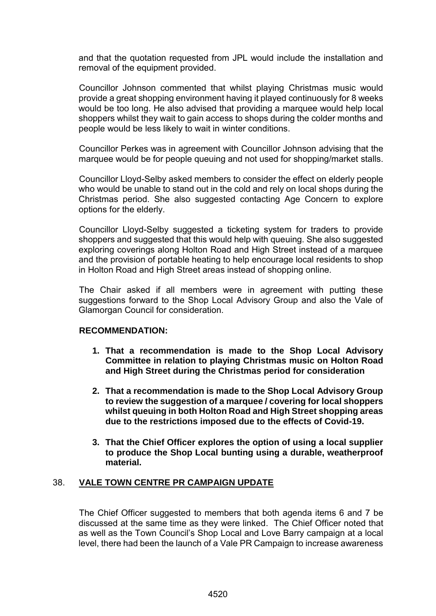and that the quotation requested from JPL would include the installation and removal of the equipment provided.

Councillor Johnson commented that whilst playing Christmas music would provide a great shopping environment having it played continuously for 8 weeks would be too long. He also advised that providing a marquee would help local shoppers whilst they wait to gain access to shops during the colder months and people would be less likely to wait in winter conditions.

Councillor Perkes was in agreement with Councillor Johnson advising that the marquee would be for people queuing and not used for shopping/market stalls.

Councillor Lloyd-Selby asked members to consider the effect on elderly people who would be unable to stand out in the cold and rely on local shops during the Christmas period. She also suggested contacting Age Concern to explore options for the elderly.

Councillor Lloyd-Selby suggested a ticketing system for traders to provide shoppers and suggested that this would help with queuing. She also suggested exploring coverings along Holton Road and High Street instead of a marquee and the provision of portable heating to help encourage local residents to shop in Holton Road and High Street areas instead of shopping online.

The Chair asked if all members were in agreement with putting these suggestions forward to the Shop Local Advisory Group and also the Vale of Glamorgan Council for consideration.

## **RECOMMENDATION:**

- **1. That a recommendation is made to the Shop Local Advisory Committee in relation to playing Christmas music on Holton Road and High Street during the Christmas period for consideration**
- **2. That a recommendation is made to the Shop Local Advisory Group to review the suggestion of a marquee / covering for local shoppers whilst queuing in both Holton Road and High Street shopping areas due to the restrictions imposed due to the effects of Covid-19.**
- **3. That the Chief Officer explores the option of using a local supplier to produce the Shop Local bunting using a durable, weatherproof material.**

## 38. **VALE TOWN CENTRE PR CAMPAIGN UPDATE**

The Chief Officer suggested to members that both agenda items 6 and 7 be discussed at the same time as they were linked. The Chief Officer noted that as well as the Town Council's Shop Local and Love Barry campaign at a local level, there had been the launch of a Vale PR Campaign to increase awareness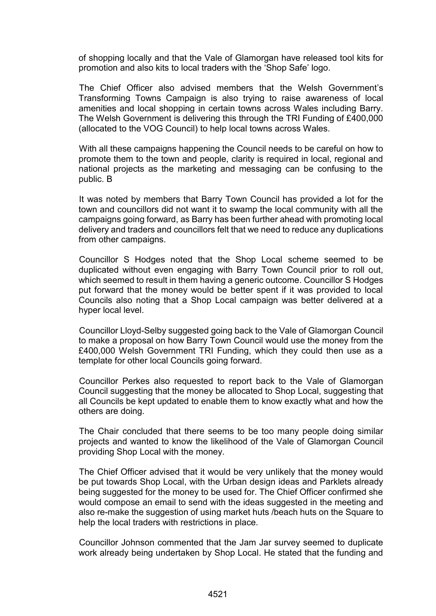of shopping locally and that the Vale of Glamorgan have released tool kits for promotion and also kits to local traders with the 'Shop Safe' logo.

The Chief Officer also advised members that the Welsh Government's Transforming Towns Campaign is also trying to raise awareness of local amenities and local shopping in certain towns across Wales including Barry. The Welsh Government is delivering this through the TRI Funding of £400,000 (allocated to the VOG Council) to help local towns across Wales.

With all these campaigns happening the Council needs to be careful on how to promote them to the town and people, clarity is required in local, regional and national projects as the marketing and messaging can be confusing to the public. B

It was noted by members that Barry Town Council has provided a lot for the town and councillors did not want it to swamp the local community with all the campaigns going forward, as Barry has been further ahead with promoting local delivery and traders and councillors felt that we need to reduce any duplications from other campaigns.

Councillor S Hodges noted that the Shop Local scheme seemed to be duplicated without even engaging with Barry Town Council prior to roll out, which seemed to result in them having a generic outcome. Councillor S Hodges put forward that the money would be better spent if it was provided to local Councils also noting that a Shop Local campaign was better delivered at a hyper local level.

Councillor Lloyd-Selby suggested going back to the Vale of Glamorgan Council to make a proposal on how Barry Town Council would use the money from the £400,000 Welsh Government TRI Funding, which they could then use as a template for other local Councils going forward.

Councillor Perkes also requested to report back to the Vale of Glamorgan Council suggesting that the money be allocated to Shop Local, suggesting that all Councils be kept updated to enable them to know exactly what and how the others are doing.

The Chair concluded that there seems to be too many people doing similar projects and wanted to know the likelihood of the Vale of Glamorgan Council providing Shop Local with the money.

The Chief Officer advised that it would be very unlikely that the money would be put towards Shop Local, with the Urban design ideas and Parklets already being suggested for the money to be used for. The Chief Officer confirmed she would compose an email to send with the ideas suggested in the meeting and also re-make the suggestion of using market huts /beach huts on the Square to help the local traders with restrictions in place.

Councillor Johnson commented that the Jam Jar survey seemed to duplicate work already being undertaken by Shop Local. He stated that the funding and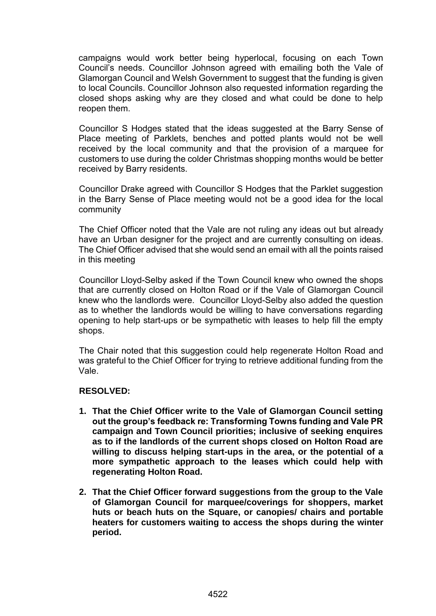campaigns would work better being hyperlocal, focusing on each Town Council's needs. Councillor Johnson agreed with emailing both the Vale of Glamorgan Council and Welsh Government to suggest that the funding is given to local Councils. Councillor Johnson also requested information regarding the closed shops asking why are they closed and what could be done to help reopen them.

Councillor S Hodges stated that the ideas suggested at the Barry Sense of Place meeting of Parklets, benches and potted plants would not be well received by the local community and that the provision of a marquee for customers to use during the colder Christmas shopping months would be better received by Barry residents.

Councillor Drake agreed with Councillor S Hodges that the Parklet suggestion in the Barry Sense of Place meeting would not be a good idea for the local community

The Chief Officer noted that the Vale are not ruling any ideas out but already have an Urban designer for the project and are currently consulting on ideas. The Chief Officer advised that she would send an email with all the points raised in this meeting

Councillor Lloyd-Selby asked if the Town Council knew who owned the shops that are currently closed on Holton Road or if the Vale of Glamorgan Council knew who the landlords were. Councillor Lloyd-Selby also added the question as to whether the landlords would be willing to have conversations regarding opening to help start-ups or be sympathetic with leases to help fill the empty shops.

The Chair noted that this suggestion could help regenerate Holton Road and was grateful to the Chief Officer for trying to retrieve additional funding from the Vale.

#### **RESOLVED:**

- **1. That the Chief Officer write to the Vale of Glamorgan Council setting out the group's feedback re: Transforming Towns funding and Vale PR campaign and Town Council priorities; inclusive of seeking enquires as to if the landlords of the current shops closed on Holton Road are willing to discuss helping start-ups in the area, or the potential of a more sympathetic approach to the leases which could help with regenerating Holton Road.**
- **2. That the Chief Officer forward suggestions from the group to the Vale of Glamorgan Council for marquee/coverings for shoppers, market huts or beach huts on the Square, or canopies/ chairs and portable heaters for customers waiting to access the shops during the winter period.**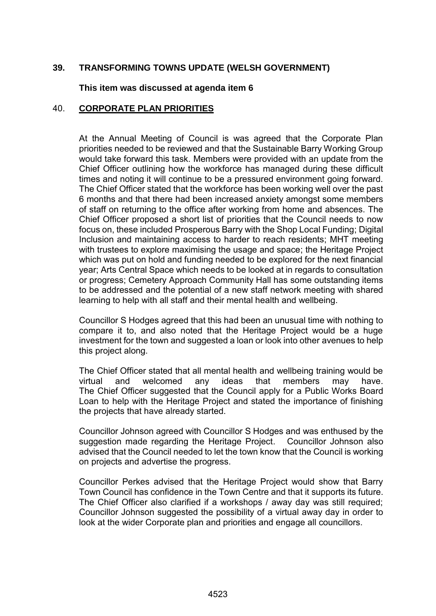## **39. TRANSFORMING TOWNS UPDATE (WELSH GOVERNMENT)**

#### **This item was discussed at agenda item 6**

## 40. **CORPORATE PLAN PRIORITIES**

At the Annual Meeting of Council is was agreed that the Corporate Plan priorities needed to be reviewed and that the Sustainable Barry Working Group would take forward this task. Members were provided with an update from the Chief Officer outlining how the workforce has managed during these difficult times and noting it will continue to be a pressured environment going forward. The Chief Officer stated that the workforce has been working well over the past 6 months and that there had been increased anxiety amongst some members of staff on returning to the office after working from home and absences. The Chief Officer proposed a short list of priorities that the Council needs to now focus on, these included Prosperous Barry with the Shop Local Funding; Digital Inclusion and maintaining access to harder to reach residents; MHT meeting with trustees to explore maximising the usage and space; the Heritage Project which was put on hold and funding needed to be explored for the next financial year; Arts Central Space which needs to be looked at in regards to consultation or progress; Cemetery Approach Community Hall has some outstanding items to be addressed and the potential of a new staff network meeting with shared learning to help with all staff and their mental health and wellbeing.

Councillor S Hodges agreed that this had been an unusual time with nothing to compare it to, and also noted that the Heritage Project would be a huge investment for the town and suggested a loan or look into other avenues to help this project along.

The Chief Officer stated that all mental health and wellbeing training would be virtual and welcomed any ideas that members may have. The Chief Officer suggested that the Council apply for a Public Works Board Loan to help with the Heritage Project and stated the importance of finishing the projects that have already started.

Councillor Johnson agreed with Councillor S Hodges and was enthused by the suggestion made regarding the Heritage Project. Councillor Johnson also advised that the Council needed to let the town know that the Council is working on projects and advertise the progress.

Councillor Perkes advised that the Heritage Project would show that Barry Town Council has confidence in the Town Centre and that it supports its future. The Chief Officer also clarified if a workshops / away day was still required; Councillor Johnson suggested the possibility of a virtual away day in order to look at the wider Corporate plan and priorities and engage all councillors.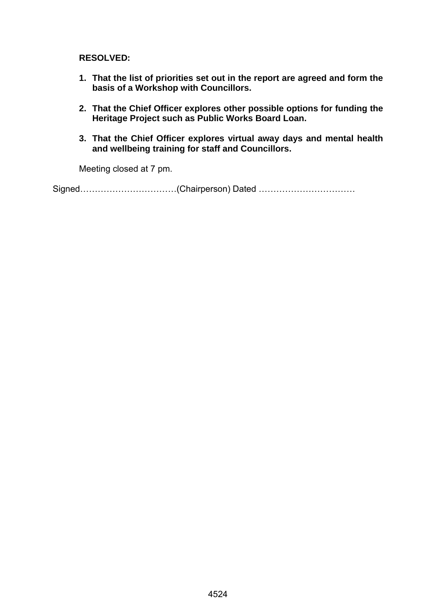## **RESOLVED:**

- **1. That the list of priorities set out in the report are agreed and form the basis of a Workshop with Councillors.**
- **2. That the Chief Officer explores other possible options for funding the Heritage Project such as Public Works Board Loan.**
- **3. That the Chief Officer explores virtual away days and mental health and wellbeing training for staff and Councillors.**

Meeting closed at 7 pm.

Signed……………………………(Chairperson) Dated ……………………………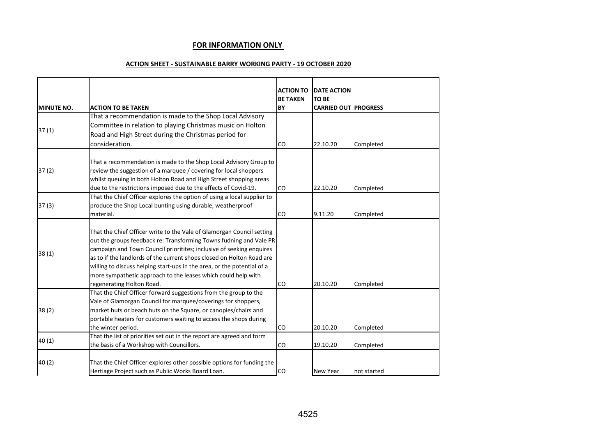#### **FOR INFORMATION ONLY**

#### **ACTION SHEET - SUSTAINABLE BARRY WORKING PARTY - 19 OCTOBER 2020**

|                   |                                                                                                                                                                                                                                                                                                                                                                                                                                                                       | <b>ACTION TO</b><br><b>BE TAKEN</b> | <b>DATE ACTION</b><br><b>TO BE</b> |             |
|-------------------|-----------------------------------------------------------------------------------------------------------------------------------------------------------------------------------------------------------------------------------------------------------------------------------------------------------------------------------------------------------------------------------------------------------------------------------------------------------------------|-------------------------------------|------------------------------------|-------------|
| <b>MINUTE NO.</b> | <b>ACTION TO BE TAKEN</b>                                                                                                                                                                                                                                                                                                                                                                                                                                             | BY                                  | <b>CARRIED OUT PROGRESS</b>        |             |
| 37(1)             | That a recommendation is made to the Shop Local Advisory<br>Committee in relation to playing Christmas music on Holton<br>Road and High Street during the Christmas period for                                                                                                                                                                                                                                                                                        |                                     |                                    |             |
|                   | consideration.                                                                                                                                                                                                                                                                                                                                                                                                                                                        | CO                                  | 22.10.20                           | Completed   |
| 37(2)             | That a recommendation is made to the Shop Local Advisory Group to<br>review the suggestion of a marquee / covering for local shoppers<br>whilst queuing in both Holton Road and High Street shopping areas<br>due to the restrictions imposed due to the effects of Covid-19.                                                                                                                                                                                         | <b>CO</b>                           | 22.10.20                           | Completed   |
| 37(3)             | That the Chief Officer explores the option of using a local supplier to<br>produce the Shop Local bunting using durable, weatherproof<br>material.                                                                                                                                                                                                                                                                                                                    | CO                                  | 9.11.20                            | Completed   |
| 38(1)             | That the Chief Officer write to the Vale of Glamorgan Council setting<br>out the groups feedback re: Transforming Towns fudning and Vale PR<br>campaign and Town Council prioritites; inclusive of seeking enquires<br>as to if the landlords of the current shops closed on Holton Road are<br>willing to discuss helping start-ups in the area, or the potential of a<br>more sympathetic approach to the leases which could help with<br>regenerating Holton Road. | CO                                  | 20.10.20                           | Completed   |
| 38(2)             | That the Chief Officer forward suggestions from the group to the<br>Vale of Glamorgan Council for marquee/coverings for shoppers,<br>market huts or beach huts on the Square, or canopies/chairs and<br>portable heaters for customers waiting to access the shops during<br>the winter period.                                                                                                                                                                       | CO                                  | 20.10.20                           | Completed   |
| 40(1)             | That the list of priorities set out in the report are agreed and form<br>the basis of a Workshop with Councillors.                                                                                                                                                                                                                                                                                                                                                    | CO                                  | 19.10.20                           | Completed   |
| 40(2)             | That the Chief Officer explores other possible options for funding the<br>Hertiage Project such as Public Works Board Loan.                                                                                                                                                                                                                                                                                                                                           | <b>CO</b>                           | <b>New Year</b>                    | not started |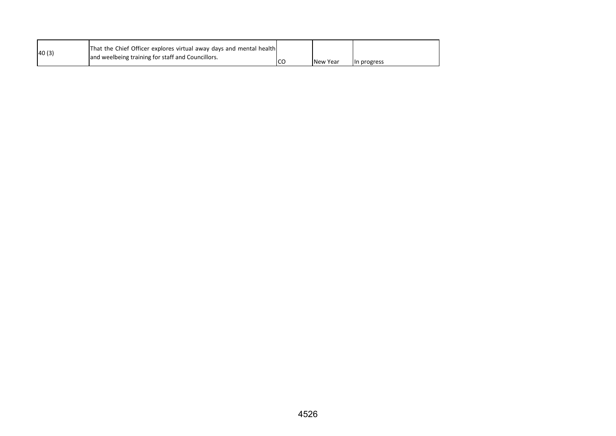| 40(3) | That the Chief Officer explores virtual away days and mental health |          |                    |
|-------|---------------------------------------------------------------------|----------|--------------------|
|       | and weelbeing training for staff and Councillors.                   | New Year | <b>In progress</b> |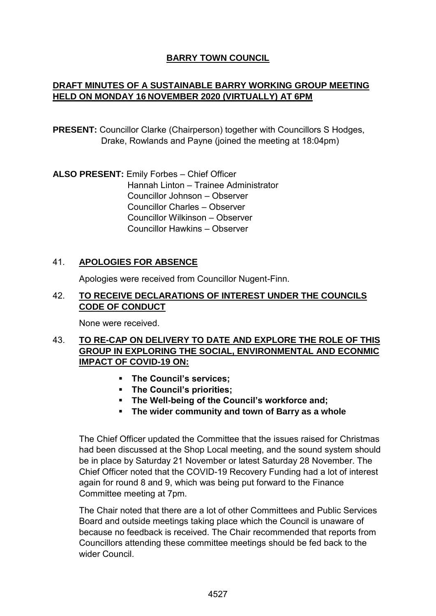# **BARRY TOWN COUNCIL**

# **DRAFT MINUTES OF A SUSTAINABLE BARRY WORKING GROUP MEETING HELD ON MONDAY 16 NOVEMBER 2020 (VIRTUALLY) AT 6PM**

**PRESENT:** Councillor Clarke (Chairperson) together with Councillors S Hodges, Drake, Rowlands and Payne (joined the meeting at 18:04pm)

**ALSO PRESENT:** Emily Forbes – Chief Officer Hannah Linton – Trainee Administrator Councillor Johnson – Observer Councillor Charles – Observer Councillor Wilkinson – Observer Councillor Hawkins – Observer

# 41. **APOLOGIES FOR ABSENCE**

Apologies were received from Councillor Nugent-Finn.

## 42. **TO RECEIVE DECLARATIONS OF INTEREST UNDER THE COUNCILS CODE OF CONDUCT**

None were received.

# 43. **TO RE-CAP ON DELIVERY TO DATE AND EXPLORE THE ROLE OF THIS GROUP IN EXPLORING THE SOCIAL, ENVIRONMENTAL AND ECONMIC IMPACT OF COVID-19 ON:**

- **The Council's services;**
- **The Council's priorities;**
- **The Well-being of the Council's workforce and;**
- **The wider community and town of Barry as a whole**

The Chief Officer updated the Committee that the issues raised for Christmas had been discussed at the Shop Local meeting, and the sound system should be in place by Saturday 21 November or latest Saturday 28 November. The Chief Officer noted that the COVID-19 Recovery Funding had a lot of interest again for round 8 and 9, which was being put forward to the Finance Committee meeting at 7pm.

The Chair noted that there are a lot of other Committees and Public Services Board and outside meetings taking place which the Council is unaware of because no feedback is received. The Chair recommended that reports from Councillors attending these committee meetings should be fed back to the wider Council.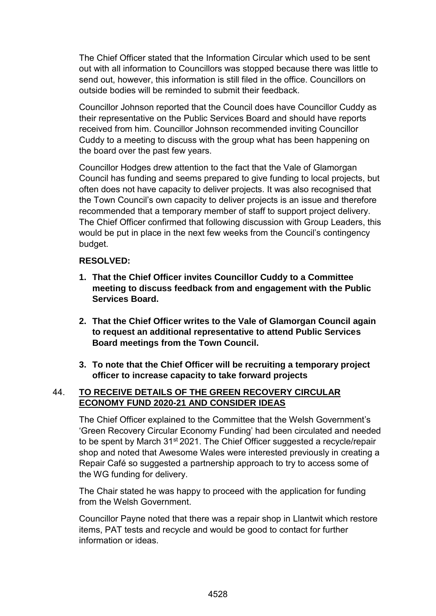The Chief Officer stated that the Information Circular which used to be sent out with all information to Councillors was stopped because there was little to send out, however, this information is still filed in the office. Councillors on outside bodies will be reminded to submit their feedback.

Councillor Johnson reported that the Council does have Councillor Cuddy as their representative on the Public Services Board and should have reports received from him. Councillor Johnson recommended inviting Councillor Cuddy to a meeting to discuss with the group what has been happening on the board over the past few years.

Councillor Hodges drew attention to the fact that the Vale of Glamorgan Council has funding and seems prepared to give funding to local projects, but often does not have capacity to deliver projects. It was also recognised that the Town Council's own capacity to deliver projects is an issue and therefore recommended that a temporary member of staff to support project delivery. The Chief Officer confirmed that following discussion with Group Leaders, this would be put in place in the next few weeks from the Council's contingency budget.

# **RESOLVED:**

- **1. That the Chief Officer invites Councillor Cuddy to a Committee meeting to discuss feedback from and engagement with the Public Services Board.**
- **2. That the Chief Officer writes to the Vale of Glamorgan Council again to request an additional representative to attend Public Services Board meetings from the Town Council.**
- **3. To note that the Chief Officer will be recruiting a temporary project officer to increase capacity to take forward projects**

# 44. **TO RECEIVE DETAILS OF THE GREEN RECOVERY CIRCULAR ECONOMY FUND 2020-21 AND CONSIDER IDEAS**

The Chief Officer explained to the Committee that the Welsh Government's 'Green Recovery Circular Economy Funding' had been circulated and needed to be spent by March 31<sup>st</sup> 2021. The Chief Officer suggested a recycle/repair shop and noted that Awesome Wales were interested previously in creating a Repair Café so suggested a partnership approach to try to access some of the WG funding for delivery.

The Chair stated he was happy to proceed with the application for funding from the Welsh Government.

Councillor Payne noted that there was a repair shop in Llantwit which restore items, PAT tests and recycle and would be good to contact for further information or ideas.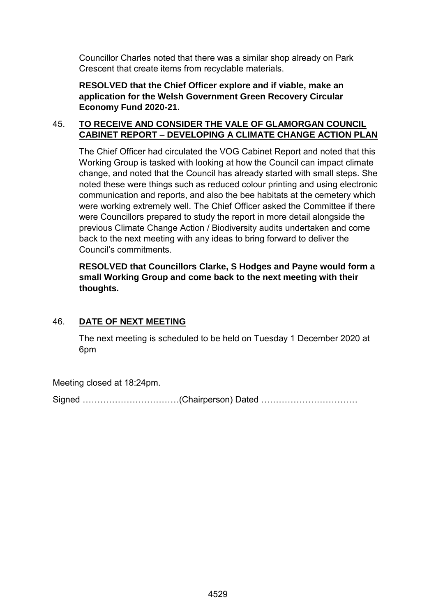Councillor Charles noted that there was a similar shop already on Park Crescent that create items from recyclable materials.

**RESOLVED that the Chief Officer explore and if viable, make an application for the Welsh Government Green Recovery Circular Economy Fund 2020-21.**

# 45. **TO RECEIVE AND CONSIDER THE VALE OF GLAMORGAN COUNCIL CABINET REPORT – DEVELOPING A CLIMATE CHANGE ACTION PLAN**

The Chief Officer had circulated the VOG Cabinet Report and noted that this Working Group is tasked with looking at how the Council can impact climate change, and noted that the Council has already started with small steps. She noted these were things such as reduced colour printing and using electronic communication and reports, and also the bee habitats at the cemetery which were working extremely well. The Chief Officer asked the Committee if there were Councillors prepared to study the report in more detail alongside the previous Climate Change Action / Biodiversity audits undertaken and come back to the next meeting with any ideas to bring forward to deliver the Council's commitments.

**RESOLVED that Councillors Clarke, S Hodges and Payne would form a small Working Group and come back to the next meeting with their thoughts.**

# 46. **DATE OF NEXT MEETING**

The next meeting is scheduled to be held on Tuesday 1 December 2020 at 6pm

Meeting closed at 18:24pm.

Signed ……………………………(Chairperson) Dated ……………………………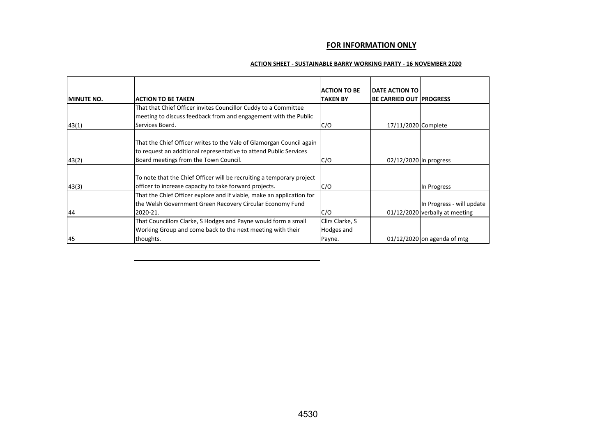#### **FOR INFORMATION ONLY**

| <b>ACTION SHEET - SUSTAINABLE BARRY WORKING PARTY - 16 NOVEMBER 2020</b> |
|--------------------------------------------------------------------------|
|                                                                          |

| <b>IMINUTE NO.</b> | <b>ACTION TO BE TAKEN</b>                                                                                                                                                          | <b>ACTION TO BE</b><br><b>TAKEN BY</b> | <b>DATE ACTION TO</b>          |                                |
|--------------------|------------------------------------------------------------------------------------------------------------------------------------------------------------------------------------|----------------------------------------|--------------------------------|--------------------------------|
|                    | That that Chief Officer invites Councillor Cuddy to a Committee                                                                                                                    |                                        | <b>BE CARRIED OUT PROGRESS</b> |                                |
|                    | meeting to discuss feedback from and engagement with the Public                                                                                                                    |                                        |                                |                                |
| 43(1)              | Services Board.                                                                                                                                                                    | C/O                                    | 17/11/2020 Complete            |                                |
| 43(2)              | That the Chief Officer writes to the Vale of Glamorgan Council again<br>to request an additional representative to attend Public Services<br>Board meetings from the Town Council. | C/O                                    | 02/12/2020 in progress         |                                |
|                    |                                                                                                                                                                                    |                                        |                                |                                |
|                    | To note that the Chief Officer will be recruiting a temporary project                                                                                                              |                                        |                                |                                |
| 43(3)              | officer to increase capacity to take forward projects.                                                                                                                             | C/O                                    |                                | In Progress                    |
|                    | That the Chief Officer explore and if viable, make an application for<br>the Welsh Government Green Recovery Circular Economy Fund                                                 |                                        |                                | In Progress - will update      |
| 44                 | 2020-21.                                                                                                                                                                           | C/O                                    |                                | 01/12/2020 verbally at meeting |
|                    | That Councillors Clarke, S Hodges and Payne would form a small                                                                                                                     | Cllrs Clarke, S                        |                                |                                |
|                    | Working Group and come back to the next meeting with their                                                                                                                         | Hodges and                             |                                |                                |
| 45                 | thoughts.                                                                                                                                                                          | Payne.                                 |                                | $01/12/2020$ on agenda of mtg  |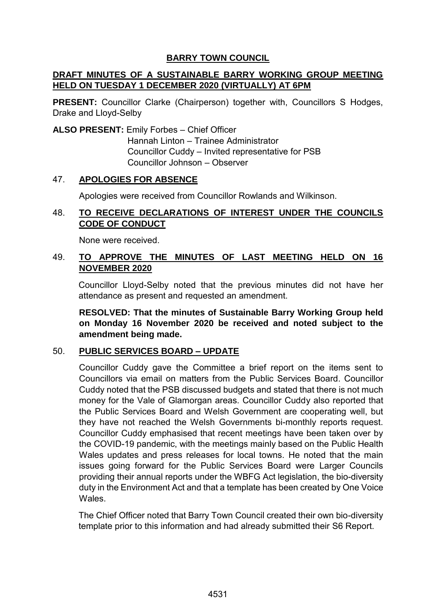# **BARRY TOWN COUNCIL**

# **DRAFT MINUTES OF A SUSTAINABLE BARRY WORKING GROUP MEETING HELD ON TUESDAY 1 DECEMBER 2020 (VIRTUALLY) AT 6PM**

**PRESENT:** Councillor Clarke (Chairperson) together with, Councillors S Hodges, Drake and Lloyd-Selby

**ALSO PRESENT:** Emily Forbes – Chief Officer

Hannah Linton – Trainee Administrator Councillor Cuddy – Invited representative for PSB Councillor Johnson – Observer

## 47. **APOLOGIES FOR ABSENCE**

Apologies were received from Councillor Rowlands and Wilkinson.

# 48. **TO RECEIVE DECLARATIONS OF INTEREST UNDER THE COUNCILS CODE OF CONDUCT**

None were received.

# 49. **TO APPROVE THE MINUTES OF LAST MEETING HELD ON 16 NOVEMBER 2020**

Councillor Lloyd-Selby noted that the previous minutes did not have her attendance as present and requested an amendment.

**RESOLVED: That the minutes of Sustainable Barry Working Group held on Monday 16 November 2020 be received and noted subject to the amendment being made.**

## 50. **PUBLIC SERVICES BOARD – UPDATE**

Councillor Cuddy gave the Committee a brief report on the items sent to Councillors via email on matters from the Public Services Board. Councillor Cuddy noted that the PSB discussed budgets and stated that there is not much money for the Vale of Glamorgan areas. Councillor Cuddy also reported that the Public Services Board and Welsh Government are cooperating well, but they have not reached the Welsh Governments bi-monthly reports request. Councillor Cuddy emphasised that recent meetings have been taken over by the COVID-19 pandemic, with the meetings mainly based on the Public Health Wales updates and press releases for local towns. He noted that the main issues going forward for the Public Services Board were Larger Councils providing their annual reports under the WBFG Act legislation, the bio-diversity duty in the Environment Act and that a template has been created by One Voice Wales.

The Chief Officer noted that Barry Town Council created their own bio-diversity template prior to this information and had already submitted their S6 Report.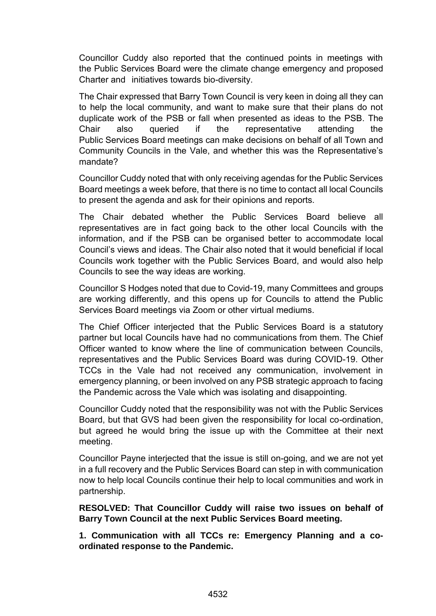Councillor Cuddy also reported that the continued points in meetings with the Public Services Board were the climate change emergency and proposed Charter and initiatives towards bio-diversity.

The Chair expressed that Barry Town Council is very keen in doing all they can to help the local community, and want to make sure that their plans do not duplicate work of the PSB or fall when presented as ideas to the PSB. The Chair also queried if the representative attending the Public Services Board meetings can make decisions on behalf of all Town and Community Councils in the Vale, and whether this was the Representative's mandate?

Councillor Cuddy noted that with only receiving agendas for the Public Services Board meetings a week before, that there is no time to contact all local Councils to present the agenda and ask for their opinions and reports.

The Chair debated whether the Public Services Board believe all representatives are in fact going back to the other local Councils with the information, and if the PSB can be organised better to accommodate local Council's views and ideas. The Chair also noted that it would beneficial if local Councils work together with the Public Services Board, and would also help Councils to see the way ideas are working.

Councillor S Hodges noted that due to Covid-19, many Committees and groups are working differently, and this opens up for Councils to attend the Public Services Board meetings via Zoom or other virtual mediums.

The Chief Officer interjected that the Public Services Board is a statutory partner but local Councils have had no communications from them. The Chief Officer wanted to know where the line of communication between Councils, representatives and the Public Services Board was during COVID-19. Other TCCs in the Vale had not received any communication, involvement in emergency planning, or been involved on any PSB strategic approach to facing the Pandemic across the Vale which was isolating and disappointing.

Councillor Cuddy noted that the responsibility was not with the Public Services Board, but that GVS had been given the responsibility for local co-ordination, but agreed he would bring the issue up with the Committee at their next meeting.

Councillor Payne interjected that the issue is still on-going, and we are not yet in a full recovery and the Public Services Board can step in with communication now to help local Councils continue their help to local communities and work in partnership.

**RESOLVED: That Councillor Cuddy will raise two issues on behalf of Barry Town Council at the next Public Services Board meeting.**

**1. Communication with all TCCs re: Emergency Planning and a coordinated response to the Pandemic.**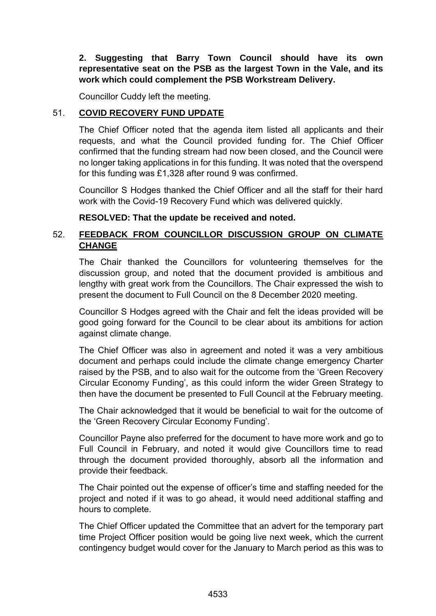**2. Suggesting that Barry Town Council should have its own representative seat on the PSB as the largest Town in the Vale, and its work which could complement the PSB Workstream Delivery.**

Councillor Cuddy left the meeting.

# 51. **COVID RECOVERY FUND UPDATE**

The Chief Officer noted that the agenda item listed all applicants and their requests, and what the Council provided funding for. The Chief Officer confirmed that the funding stream had now been closed, and the Council were no longer taking applications in for this funding. It was noted that the overspend for this funding was £1,328 after round 9 was confirmed.

Councillor S Hodges thanked the Chief Officer and all the staff for their hard work with the Covid-19 Recovery Fund which was delivered quickly.

## **RESOLVED: That the update be received and noted.**

# 52. **FEEDBACK FROM COUNCILLOR DISCUSSION GROUP ON CLIMATE CHANGE**

The Chair thanked the Councillors for volunteering themselves for the discussion group, and noted that the document provided is ambitious and lengthy with great work from the Councillors. The Chair expressed the wish to present the document to Full Council on the 8 December 2020 meeting.

Councillor S Hodges agreed with the Chair and felt the ideas provided will be good going forward for the Council to be clear about its ambitions for action against climate change.

The Chief Officer was also in agreement and noted it was a very ambitious document and perhaps could include the climate change emergency Charter raised by the PSB, and to also wait for the outcome from the 'Green Recovery Circular Economy Funding', as this could inform the wider Green Strategy to then have the document be presented to Full Council at the February meeting.

The Chair acknowledged that it would be beneficial to wait for the outcome of the 'Green Recovery Circular Economy Funding'.

Councillor Payne also preferred for the document to have more work and go to Full Council in February, and noted it would give Councillors time to read through the document provided thoroughly, absorb all the information and provide their feedback.

The Chair pointed out the expense of officer's time and staffing needed for the project and noted if it was to go ahead, it would need additional staffing and hours to complete.

The Chief Officer updated the Committee that an advert for the temporary part time Project Officer position would be going live next week, which the current contingency budget would cover for the January to March period as this was to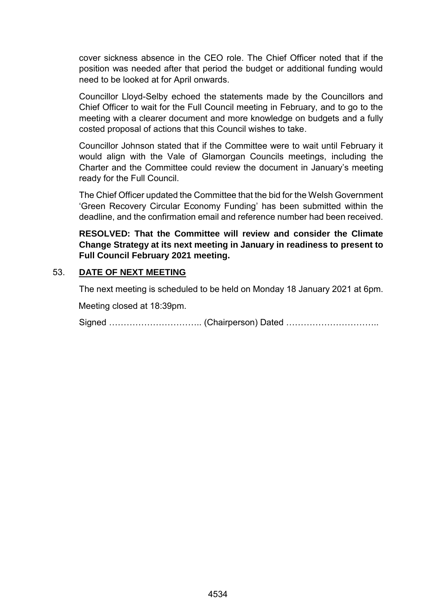cover sickness absence in the CEO role. The Chief Officer noted that if the position was needed after that period the budget or additional funding would need to be looked at for April onwards.

Councillor Lloyd-Selby echoed the statements made by the Councillors and Chief Officer to wait for the Full Council meeting in February, and to go to the meeting with a clearer document and more knowledge on budgets and a fully costed proposal of actions that this Council wishes to take.

Councillor Johnson stated that if the Committee were to wait until February it would align with the Vale of Glamorgan Councils meetings, including the Charter and the Committee could review the document in January's meeting ready for the Full Council.

The Chief Officer updated the Committee that the bid for the Welsh Government 'Green Recovery Circular Economy Funding' has been submitted within the deadline, and the confirmation email and reference number had been received.

**RESOLVED: That the Committee will review and consider the Climate Change Strategy at its next meeting in January in readiness to present to Full Council February 2021 meeting.**

# 53. **DATE OF NEXT MEETING**

The next meeting is scheduled to be held on Monday 18 January 2021 at 6pm.

Meeting closed at 18:39pm.

Signed ………………………….. (Chairperson) Dated …………………………..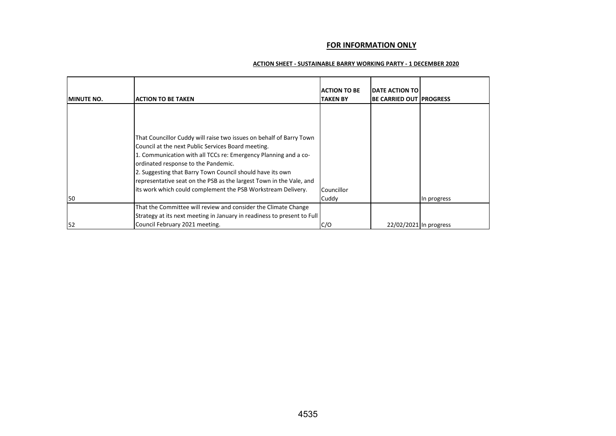#### **FOR INFORMATION ONLY**

| <b>IMINUTE NO.</b> | ACTION TO BE TAKEN                                                                                                                                                                                                                                                                                                                                                                                                                      | <b>ACTION TO BE</b><br><b>TAKEN BY</b> | <b>DATE ACTION TO</b><br><b>BE CARRIED OUT PROGRESS</b> |             |
|--------------------|-----------------------------------------------------------------------------------------------------------------------------------------------------------------------------------------------------------------------------------------------------------------------------------------------------------------------------------------------------------------------------------------------------------------------------------------|----------------------------------------|---------------------------------------------------------|-------------|
|                    |                                                                                                                                                                                                                                                                                                                                                                                                                                         |                                        |                                                         |             |
| 50                 | That Councillor Cuddy will raise two issues on behalf of Barry Town<br>Council at the next Public Services Board meeting.<br>1. Communication with all TCCs re: Emergency Planning and a co-<br>ordinated response to the Pandemic.<br>2. Suggesting that Barry Town Council should have its own<br>representative seat on the PSB as the largest Town in the Vale, and<br>its work which could complement the PSB Workstream Delivery. | Councillor<br>Cuddy                    |                                                         | In progress |
|                    | That the Committee will review and consider the Climate Change                                                                                                                                                                                                                                                                                                                                                                          |                                        |                                                         |             |
|                    | Strategy at its next meeting in January in readiness to present to Full                                                                                                                                                                                                                                                                                                                                                                 |                                        |                                                         |             |
| 52                 | Council February 2021 meeting.                                                                                                                                                                                                                                                                                                                                                                                                          | C/O                                    | 22/02/2021 In progress                                  |             |

#### **ACTION SHEET - SUSTAINABLE BARRY WORKING PARTY - 1 DECEMBER 2020**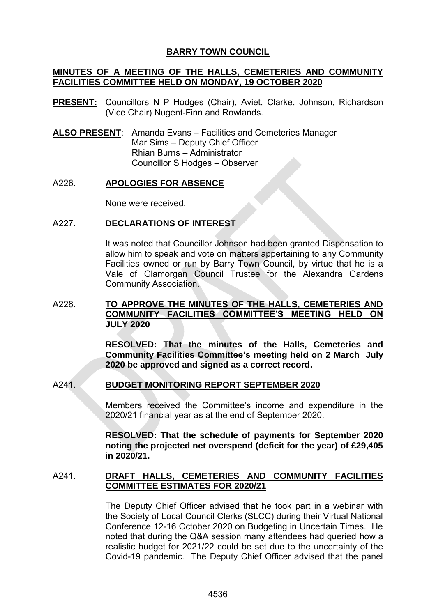## **BARRY TOWN COUNCIL**

## **MINUTES OF A MEETING OF THE HALLS, CEMETERIES AND COMMUNITY FACILITIES COMMITTEE HELD ON MONDAY, 19 OCTOBER 2020**

- **PRESENT:** Councillors N P Hodges (Chair), Aviet, Clarke, Johnson, Richardson (Vice Chair) Nugent-Finn and Rowlands.
- **ALSO PRESENT**: Amanda Evans Facilities and Cemeteries Manager Mar Sims – Deputy Chief Officer Rhian Burns – Administrator Councillor S Hodges – Observer

#### A226. **APOLOGIES FOR ABSENCE**

None were received.

#### A227. **DECLARATIONS OF INTEREST**

It was noted that Councillor Johnson had been granted Dispensation to allow him to speak and vote on matters appertaining to any Community Facilities owned or run by Barry Town Council, by virtue that he is a Vale of Glamorgan Council Trustee for the Alexandra Gardens Community Association.

## A228. **TO APPROVE THE MINUTES OF THE HALLS, CEMETERIES AND COMMUNITY FACILITIES COMMITTEE'S MEETING HELD ON JULY 2020**

**RESOLVED: That the minutes of the Halls, Cemeteries and Community Facilities Committee's meeting held on 2 March July 2020 be approved and signed as a correct record.**

#### A241. **BUDGET MONITORING REPORT SEPTEMBER 2020**

Members received the Committee's income and expenditure in the 2020/21 financial year as at the end of September 2020.

**RESOLVED: That the schedule of payments for September 2020 noting the projected net overspend (deficit for the year) of £29,405 in 2020/21.**

#### A241. **DRAFT HALLS, CEMETERIES AND COMMUNITY FACILITIES COMMITTEE ESTIMATES FOR 2020/21**

The Deputy Chief Officer advised that he took part in a webinar with the Society of Local Council Clerks (SLCC) during their Virtual National Conference 12-16 October 2020 on Budgeting in Uncertain Times. He noted that during the Q&A session many attendees had queried how a realistic budget for 2021/22 could be set due to the uncertainty of the Covid-19 pandemic. The Deputy Chief Officer advised that the panel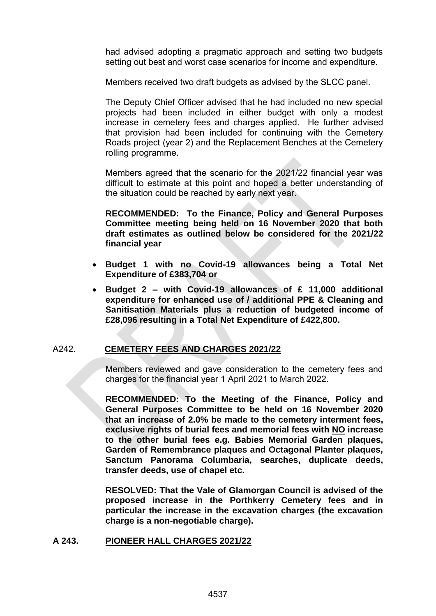had advised adopting a pragmatic approach and setting two budgets setting out best and worst case scenarios for income and expenditure.

Members received two draft budgets as advised by the SLCC panel.

The Deputy Chief Officer advised that he had included no new special projects had been included in either budget with only a modest increase in cemetery fees and charges applied. He further advised that provision had been included for continuing with the Cemetery Roads project (year 2) and the Replacement Benches at the Cemetery rolling programme.

Members agreed that the scenario for the 2021/22 financial year was difficult to estimate at this point and hoped a better understanding of the situation could be reached by early next year.

**RECOMMENDED: To the Finance, Policy and General Purposes Committee meeting being held on 16 November 2020 that both draft estimates as outlined below be considered for the 2021/22 financial year**

- **Budget 1 with no Covid-19 allowances being a Total Net Expenditure of £383,704 or**
- **Budget 2 – with Covid-19 allowances of £ 11,000 additional expenditure for enhanced use of / additional PPE & Cleaning and Sanitisation Materials plus a reduction of budgeted income of £28,096 resulting in a Total Net Expenditure of £422,800.**

## A242. **CEMETERY FEES AND CHARGES 2021/22**

Members reviewed and gave consideration to the cemetery fees and charges for the financial year 1 April 2021 to March 2022.

**RECOMMENDED: To the Meeting of the Finance, Policy and General Purposes Committee to be held on 16 November 2020 that an increase of 2.0% be made to the cemetery interment fees, exclusive rights of burial fees and memorial fees with NO increase to the other burial fees e.g. Babies Memorial Garden plaques, Garden of Remembrance plaques and Octagonal Planter plaques, Sanctum Panorama Columbaria, searches, duplicate deeds, transfer deeds, use of chapel etc.**

**RESOLVED: That the Vale of Glamorgan Council is advised of the proposed increase in the Porthkerry Cemetery fees and in particular the increase in the excavation charges (the excavation charge is a non-negotiable charge).**

#### **A 243. PIONEER HALL CHARGES 2021/22**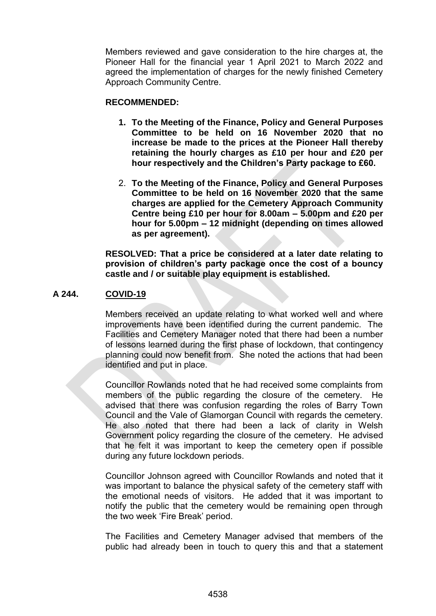Members reviewed and gave consideration to the hire charges at, the Pioneer Hall for the financial year 1 April 2021 to March 2022 and agreed the implementation of charges for the newly finished Cemetery Approach Community Centre.

#### **RECOMMENDED:**

- **1. To the Meeting of the Finance, Policy and General Purposes Committee to be held on 16 November 2020 that no increase be made to the prices at the Pioneer Hall thereby retaining the hourly charges as £10 per hour and £20 per hour respectively and the Children's Party package to £60.**
- 2. **To the Meeting of the Finance, Policy and General Purposes Committee to be held on 16 November 2020 that the same charges are applied for the Cemetery Approach Community Centre being £10 per hour for 8.00am – 5.00pm and £20 per hour for 5.00pm – 12 midnight (depending on times allowed as per agreement).**

**RESOLVED: That a price be considered at a later date relating to provision of children's party package once the cost of a bouncy castle and / or suitable play equipment is established.**

## **A 244. COVID-19**

Members received an update relating to what worked well and where improvements have been identified during the current pandemic. The Facilities and Cemetery Manager noted that there had been a number of lessons learned during the first phase of lockdown, that contingency planning could now benefit from. She noted the actions that had been identified and put in place.

Councillor Rowlands noted that he had received some complaints from members of the public regarding the closure of the cemetery. He advised that there was confusion regarding the roles of Barry Town Council and the Vale of Glamorgan Council with regards the cemetery. He also noted that there had been a lack of clarity in Welsh Government policy regarding the closure of the cemetery. He advised that he felt it was important to keep the cemetery open if possible during any future lockdown periods.

Councillor Johnson agreed with Councillor Rowlands and noted that it was important to balance the physical safety of the cemetery staff with the emotional needs of visitors. He added that it was important to notify the public that the cemetery would be remaining open through the two week 'Fire Break' period.

The Facilities and Cemetery Manager advised that members of the public had already been in touch to query this and that a statement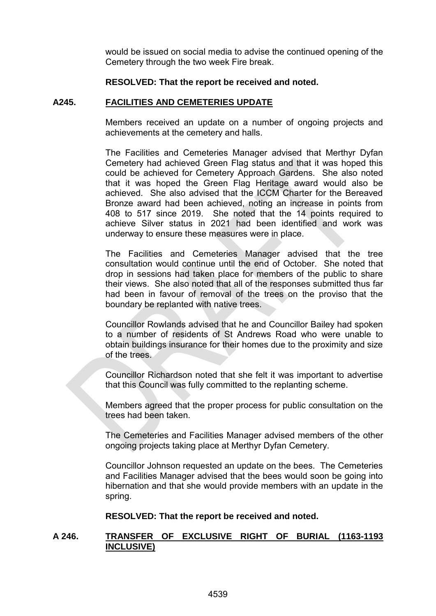would be issued on social media to advise the continued opening of the Cemetery through the two week Fire break.

#### **RESOLVED: That the report be received and noted.**

## **A245. FACILITIES AND CEMETERIES UPDATE**

Members received an update on a number of ongoing projects and achievements at the cemetery and halls.

The Facilities and Cemeteries Manager advised that Merthyr Dyfan Cemetery had achieved Green Flag status and that it was hoped this could be achieved for Cemetery Approach Gardens. She also noted that it was hoped the Green Flag Heritage award would also be achieved. She also advised that the ICCM Charter for the Bereaved Bronze award had been achieved, noting an increase in points from 408 to 517 since 2019. She noted that the 14 points required to achieve Silver status in 2021 had been identified and work was underway to ensure these measures were in place.

The Facilities and Cemeteries Manager advised that the tree consultation would continue until the end of October. She noted that drop in sessions had taken place for members of the public to share their views. She also noted that all of the responses submitted thus far had been in favour of removal of the trees on the proviso that the boundary be replanted with native trees.

Councillor Rowlands advised that he and Councillor Bailey had spoken to a number of residents of St Andrews Road who were unable to obtain buildings insurance for their homes due to the proximity and size of the trees.

Councillor Richardson noted that she felt it was important to advertise that this Council was fully committed to the replanting scheme.

Members agreed that the proper process for public consultation on the trees had been taken.

The Cemeteries and Facilities Manager advised members of the other ongoing projects taking place at Merthyr Dyfan Cemetery.

Councillor Johnson requested an update on the bees. The Cemeteries and Facilities Manager advised that the bees would soon be going into hibernation and that she would provide members with an update in the spring.

## **RESOLVED: That the report be received and noted.**

#### **A 246. TRANSFER OF EXCLUSIVE RIGHT OF BURIAL (1163-1193 INCLUSIVE)**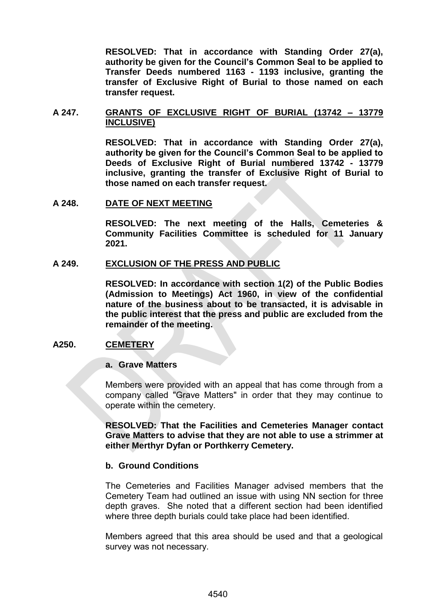**RESOLVED: That in accordance with Standing Order 27(a), authority be given for the Council's Common Seal to be applied to Transfer Deeds numbered 1163 - 1193 inclusive, granting the transfer of Exclusive Right of Burial to those named on each transfer request.** 

#### **A 247. GRANTS OF EXCLUSIVE RIGHT OF BURIAL (13742 – 13779 INCLUSIVE)**

**RESOLVED: That in accordance with Standing Order 27(a), authority be given for the Council's Common Seal to be applied to Deeds of Exclusive Right of Burial numbered 13742 - 13779 inclusive, granting the transfer of Exclusive Right of Burial to those named on each transfer request.** 

#### **A 248. DATE OF NEXT MEETING**

**RESOLVED: The next meeting of the Halls, Cemeteries & Community Facilities Committee is scheduled for 11 January 2021.**

#### **A 249. EXCLUSION OF THE PRESS AND PUBLIC**

**RESOLVED: In accordance with section 1(2) of the Public Bodies (Admission to Meetings) Act 1960, in view of the confidential nature of the business about to be transacted, it is advisable in the public interest that the press and public are excluded from the remainder of the meeting.**

#### **A250. CEMETERY**

#### **a. Grave Matters**

Members were provided with an appeal that has come through from a company called "Grave Matters" in order that they may continue to operate within the cemetery.

**RESOLVED: That the Facilities and Cemeteries Manager contact Grave Matters to advise that they are not able to use a strimmer at either Merthyr Dyfan or Porthkerry Cemetery.**

#### **b. Ground Conditions**

The Cemeteries and Facilities Manager advised members that the Cemetery Team had outlined an issue with using NN section for three depth graves. She noted that a different section had been identified where three depth burials could take place had been identified.

Members agreed that this area should be used and that a geological survey was not necessary.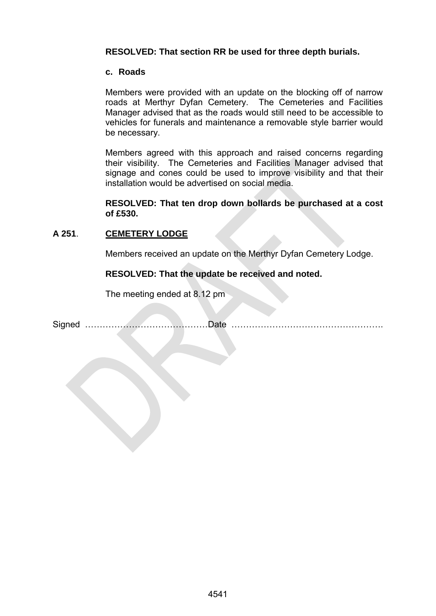# **RESOLVED: That section RR be used for three depth burials.**

#### **c. Roads**

Members were provided with an update on the blocking off of narrow roads at Merthyr Dyfan Cemetery. The Cemeteries and Facilities Manager advised that as the roads would still need to be accessible to vehicles for funerals and maintenance a removable style barrier would be necessary.

Members agreed with this approach and raised concerns regarding their visibility. The Cemeteries and Facilities Manager advised that signage and cones could be used to improve visibility and that their installation would be advertised on social media.

**RESOLVED: That ten drop down bollards be purchased at a cost of £530.**

## **A 251**. **CEMETERY LODGE**

Members received an update on the Merthyr Dyfan Cemetery Lodge.

**RESOLVED: That the update be received and noted.**

The meeting ended at 8.12 pm

Signed ……………………………………Date …………………………………………….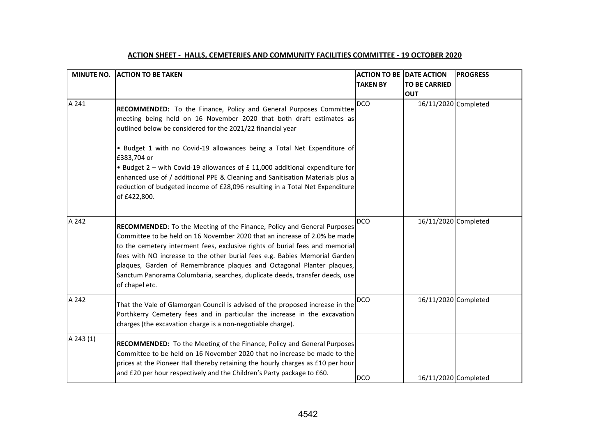#### **ACTION SHEET - HALLS, CEMETERIES AND COMMUNITY FACILITIES COMMITTEE - 19 OCTOBER 2020**

|           | MINUTE NO. ACTION TO BE TAKEN                                                                                                                                                                                                                                                                                                                                                                                                                                                                | <b>ACTION TO BE DATE ACTION</b><br><b>TAKEN BY</b> | <b>TO BE CARRIED</b><br><b>OUT</b> | <b>PROGRESS</b> |
|-----------|----------------------------------------------------------------------------------------------------------------------------------------------------------------------------------------------------------------------------------------------------------------------------------------------------------------------------------------------------------------------------------------------------------------------------------------------------------------------------------------------|----------------------------------------------------|------------------------------------|-----------------|
| A 241     | RECOMMENDED: To the Finance, Policy and General Purposes Committee<br>meeting being held on 16 November 2020 that both draft estimates as<br>outlined below be considered for the 2021/22 financial year                                                                                                                                                                                                                                                                                     | <b>DCO</b>                                         | 16/11/2020 Completed               |                 |
|           | • Budget 1 with no Covid-19 allowances being a Total Net Expenditure of<br>£383,704 or<br>• Budget 2 - with Covid-19 allowances of £ 11,000 additional expenditure for<br>enhanced use of / additional PPE & Cleaning and Sanitisation Materials plus a<br>reduction of budgeted income of £28,096 resulting in a Total Net Expenditure<br>of £422,800.                                                                                                                                      |                                                    |                                    |                 |
| A 242     | RECOMMENDED: To the Meeting of the Finance, Policy and General Purposes<br>Committee to be held on 16 November 2020 that an increase of 2.0% be made<br>to the cemetery interment fees, exclusive rights of burial fees and memorial<br>fees with NO increase to the other burial fees e.g. Babies Memorial Garden<br>plaques, Garden of Remembrance plaques and Octagonal Planter plaques,<br>Sanctum Panorama Columbaria, searches, duplicate deeds, transfer deeds, use<br>of chapel etc. | <b>DCO</b>                                         | 16/11/2020 Completed               |                 |
| A 242     | That the Vale of Glamorgan Council is advised of the proposed increase in the<br>Porthkerry Cemetery fees and in particular the increase in the excavation<br>charges (the excavation charge is a non-negotiable charge).                                                                                                                                                                                                                                                                    | <b>DCO</b>                                         | 16/11/2020 Completed               |                 |
| A 243 (1) | <b>RECOMMENDED:</b> To the Meeting of the Finance, Policy and General Purposes<br>Committee to be held on 16 November 2020 that no increase be made to the<br>prices at the Pioneer Hall thereby retaining the hourly charges as £10 per hour<br>and £20 per hour respectively and the Children's Party package to £60.                                                                                                                                                                      | DCO                                                | 16/11/2020 Completed               |                 |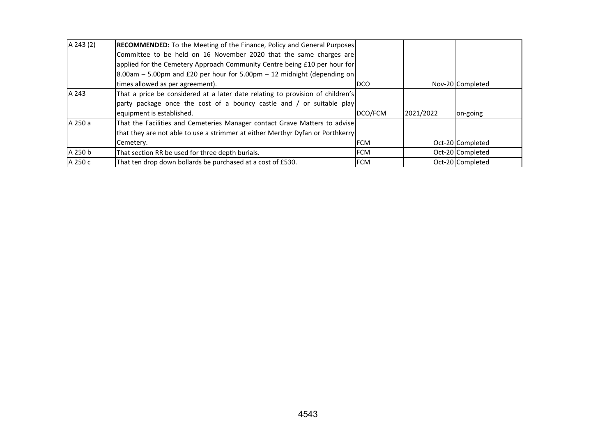| A 243 (2) | <b>RECOMMENDED:</b> To the Meeting of the Finance, Policy and General Purposes |            |           |                  |
|-----------|--------------------------------------------------------------------------------|------------|-----------|------------------|
|           | Committee to be held on 16 November 2020 that the same charges are             |            |           |                  |
|           | applied for the Cemetery Approach Community Centre being £10 per hour for      |            |           |                  |
|           | 8.00am $-$ 5.00pm and £20 per hour for 5.00pm $-$ 12 midnight (depending on    |            |           |                  |
|           | times allowed as per agreement).                                               | <b>DCO</b> |           | Nov-20 Completed |
| A 243     | That a price be considered at a later date relating to provision of children's |            |           |                  |
|           | party package once the cost of a bouncy castle and / or suitable play          |            |           |                  |
|           | equipment is established.                                                      | DCO/FCM    | 2021/2022 | on-going         |
| A 250 a   | That the Facilities and Cemeteries Manager contact Grave Matters to advise     |            |           |                  |
|           | that they are not able to use a strimmer at either Merthyr Dyfan or Porthkerry |            |           |                  |
|           | Cemetery.                                                                      | <b>FCM</b> |           | Oct-20 Completed |
| A 250 b   | That section RR be used for three depth burials.                               | <b>FCM</b> |           | Oct-20 Completed |
| A 250 c   | That ten drop down bollards be purchased at a cost of £530.                    | <b>FCM</b> |           | Oct-20 Completed |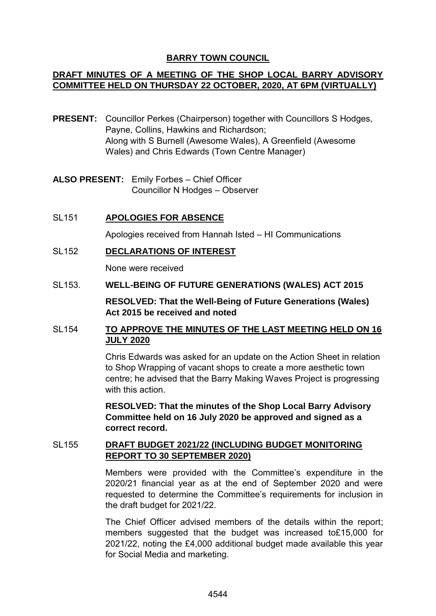# **BARRY TOWN COUNCIL**

# **DRAFT MINUTES OF A MEETING OF THE SHOP LOCAL BARRY ADVISORY COMMITTEE HELD ON THURSDAY 22 OCTOBER, 2020, AT 6PM (VIRTUALLY)**

- **PRESENT:** Councillor Perkes (Chairperson) together with Councillors S Hodges, Payne, Collins, Hawkins and Richardson; Along with S Burnell (Awesome Wales), A Greenfield (Awesome Wales) and Chris Edwards (Town Centre Manager)
- **ALSO PRESENT:** Emily Forbes Chief Officer Councillor N Hodges – Observer
- SL151 **APOLOGIES FOR ABSENCE**

Apologies received from Hannah Isted – HI Communications

SL152 **DECLARATIONS OF INTEREST**

None were received

## SL153. **WELL-BEING OF FUTURE GENERATIONS (WALES) ACT 2015**

**RESOLVED: That the Well-Being of Future Generations (Wales) Act 2015 be received and noted** 

# SL154 **TO APPROVE THE MINUTES OF THE LAST MEETING HELD ON 16 JULY 2020**

Chris Edwards was asked for an update on the Action Sheet in relation to Shop Wrapping of vacant shops to create a more aesthetic town centre; he advised that the Barry Making Waves Project is progressing with this action.

**RESOLVED: That the minutes of the Shop Local Barry Advisory Committee held on 16 July 2020 be approved and signed as a correct record.** 

## SL155 **DRAFT BUDGET 2021/22 (INCLUDING BUDGET MONITORING REPORT TO 30 SEPTEMBER 2020)**

Members were provided with the Committee's expenditure in the 2020/21 financial year as at the end of September 2020 and were requested to determine the Committee's requirements for inclusion in the draft budget for 2021/22.

The Chief Officer advised members of the details within the report; members suggested that the budget was increased to£15,000 for 2021/22, noting the £4,000 additional budget made available this year for Social Media and marketing.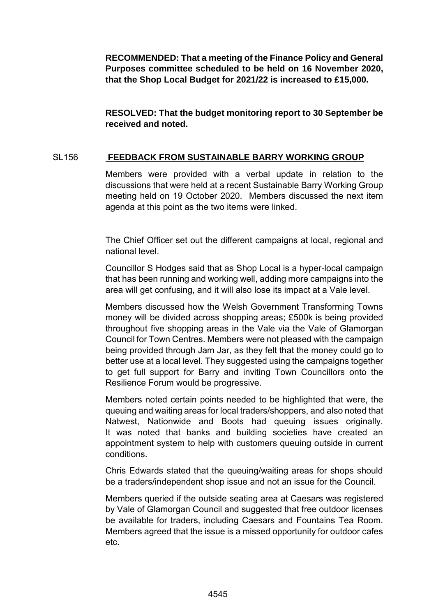**RECOMMENDED: That a meeting of the Finance Policy and General Purposes committee scheduled to be held on 16 November 2020, that the Shop Local Budget for 2021/22 is increased to £15,000.**

**RESOLVED: That the budget monitoring report to 30 September be received and noted.**

## SL156 **FEEDBACK FROM SUSTAINABLE BARRY WORKING GROUP**

Members were provided with a verbal update in relation to the discussions that were held at a recent Sustainable Barry Working Group meeting held on 19 October 2020. Members discussed the next item agenda at this point as the two items were linked.

The Chief Officer set out the different campaigns at local, regional and national level.

Councillor S Hodges said that as Shop Local is a hyper-local campaign that has been running and working well, adding more campaigns into the area will get confusing, and it will also lose its impact at a Vale level.

Members discussed how the Welsh Government Transforming Towns money will be divided across shopping areas; £500k is being provided throughout five shopping areas in the Vale via the Vale of Glamorgan Council for Town Centres. Members were not pleased with the campaign being provided through Jam Jar, as they felt that the money could go to better use at a local level. They suggested using the campaigns together to get full support for Barry and inviting Town Councillors onto the Resilience Forum would be progressive.

Members noted certain points needed to be highlighted that were, the queuing and waiting areas for local traders/shoppers, and also noted that Natwest, Nationwide and Boots had queuing issues originally. It was noted that banks and building societies have created an appointment system to help with customers queuing outside in current conditions.

Chris Edwards stated that the queuing/waiting areas for shops should be a traders/independent shop issue and not an issue for the Council.

Members queried if the outside seating area at Caesars was registered by Vale of Glamorgan Council and suggested that free outdoor licenses be available for traders, including Caesars and Fountains Tea Room. Members agreed that the issue is a missed opportunity for outdoor cafes etc.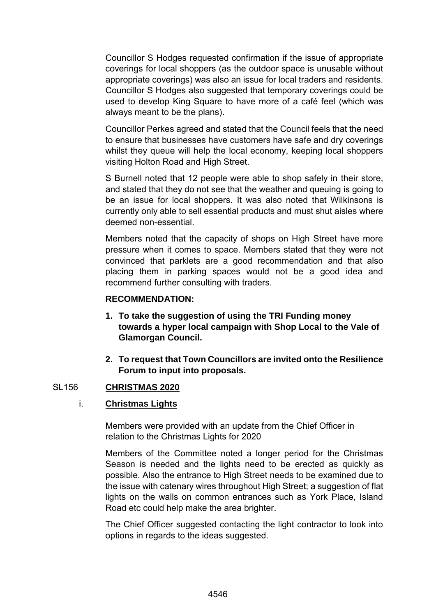Councillor S Hodges requested confirmation if the issue of appropriate coverings for local shoppers (as the outdoor space is unusable without appropriate coverings) was also an issue for local traders and residents. Councillor S Hodges also suggested that temporary coverings could be used to develop King Square to have more of a café feel (which was always meant to be the plans).

Councillor Perkes agreed and stated that the Council feels that the need to ensure that businesses have customers have safe and dry coverings whilst they queue will help the local economy, keeping local shoppers visiting Holton Road and High Street.

S Burnell noted that 12 people were able to shop safely in their store, and stated that they do not see that the weather and queuing is going to be an issue for local shoppers. It was also noted that Wilkinsons is currently only able to sell essential products and must shut aisles where deemed non-essential.

Members noted that the capacity of shops on High Street have more pressure when it comes to space. Members stated that they were not convinced that parklets are a good recommendation and that also placing them in parking spaces would not be a good idea and recommend further consulting with traders.

#### **RECOMMENDATION:**

- **1. To take the suggestion of using the TRI Funding money towards a hyper local campaign with Shop Local to the Vale of Glamorgan Council.**
- **2. To request that Town Councillors are invited onto the Resilience Forum to input into proposals.**

## SL156 **CHRISTMAS 2020**

## i. **Christmas Lights**

Members were provided with an update from the Chief Officer in relation to the Christmas Lights for 2020

Members of the Committee noted a longer period for the Christmas Season is needed and the lights need to be erected as quickly as possible. Also the entrance to High Street needs to be examined due to the issue with catenary wires throughout High Street; a suggestion of flat lights on the walls on common entrances such as York Place, Island Road etc could help make the area brighter.

The Chief Officer suggested contacting the light contractor to look into options in regards to the ideas suggested.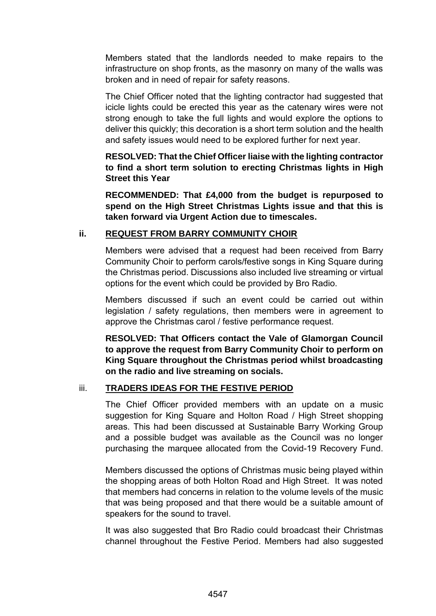Members stated that the landlords needed to make repairs to the infrastructure on shop fronts, as the masonry on many of the walls was broken and in need of repair for safety reasons.

The Chief Officer noted that the lighting contractor had suggested that icicle lights could be erected this year as the catenary wires were not strong enough to take the full lights and would explore the options to deliver this quickly; this decoration is a short term solution and the health and safety issues would need to be explored further for next year.

**RESOLVED: That the Chief Officer liaise with the lighting contractor to find a short term solution to erecting Christmas lights in High Street this Year**

**RECOMMENDED: That £4,000 from the budget is repurposed to spend on the High Street Christmas Lights issue and that this is taken forward via Urgent Action due to timescales.** 

## **ii. REQUEST FROM BARRY COMMUNITY CHOIR**

Members were advised that a request had been received from Barry Community Choir to perform carols/festive songs in King Square during the Christmas period. Discussions also included live streaming or virtual options for the event which could be provided by Bro Radio.

Members discussed if such an event could be carried out within legislation / safety regulations, then members were in agreement to approve the Christmas carol / festive performance request.

**RESOLVED: That Officers contact the Vale of Glamorgan Council to approve the request from Barry Community Choir to perform on King Square throughout the Christmas period whilst broadcasting on the radio and live streaming on socials.**

## iii. **TRADERS IDEAS FOR THE FESTIVE PERIOD**

The Chief Officer provided members with an update on a music suggestion for King Square and Holton Road / High Street shopping areas. This had been discussed at Sustainable Barry Working Group and a possible budget was available as the Council was no longer purchasing the marquee allocated from the Covid-19 Recovery Fund.

Members discussed the options of Christmas music being played within the shopping areas of both Holton Road and High Street. It was noted that members had concerns in relation to the volume levels of the music that was being proposed and that there would be a suitable amount of speakers for the sound to travel.

It was also suggested that Bro Radio could broadcast their Christmas channel throughout the Festive Period. Members had also suggested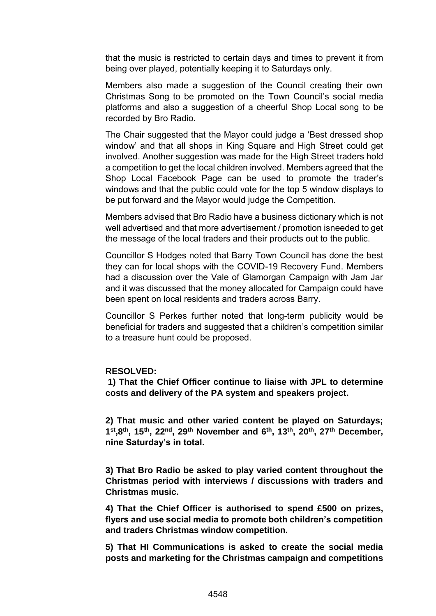that the music is restricted to certain days and times to prevent it from being over played, potentially keeping it to Saturdays only.

Members also made a suggestion of the Council creating their own Christmas Song to be promoted on the Town Council's social media platforms and also a suggestion of a cheerful Shop Local song to be recorded by Bro Radio.

The Chair suggested that the Mayor could judge a 'Best dressed shop window' and that all shops in King Square and High Street could get involved. Another suggestion was made for the High Street traders hold a competition to get the local children involved. Members agreed that the Shop Local Facebook Page can be used to promote the trader's windows and that the public could vote for the top 5 window displays to be put forward and the Mayor would judge the Competition.

Members advised that Bro Radio have a business dictionary which is not well advertised and that more advertisement / promotion isneeded to get the message of the local traders and their products out to the public.

Councillor S Hodges noted that Barry Town Council has done the best they can for local shops with the COVID-19 Recovery Fund. Members had a discussion over the Vale of Glamorgan Campaign with Jam Jar and it was discussed that the money allocated for Campaign could have been spent on local residents and traders across Barry.

Councillor S Perkes further noted that long-term publicity would be beneficial for traders and suggested that a children's competition similar to a treasure hunt could be proposed.

#### **RESOLVED:**

**1) That the Chief Officer continue to liaise with JPL to determine costs and delivery of the PA system and speakers project.**

**2) That music and other varied content be played on Saturdays; 1 st,8th, 15th, 22nd, 29th November and 6th, 13th , 20th, 27th December, nine Saturday's in total.**

**3) That Bro Radio be asked to play varied content throughout the Christmas period with interviews / discussions with traders and Christmas music.**

**4) That the Chief Officer is authorised to spend £500 on prizes, flyers and use social media to promote both children's competition and traders Christmas window competition.**

**5) That HI Communications is asked to create the social media posts and marketing for the Christmas campaign and competitions**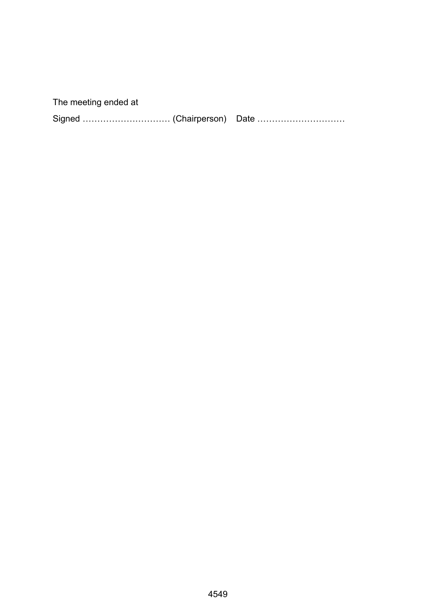| The meeting ended at |  |
|----------------------|--|
|                      |  |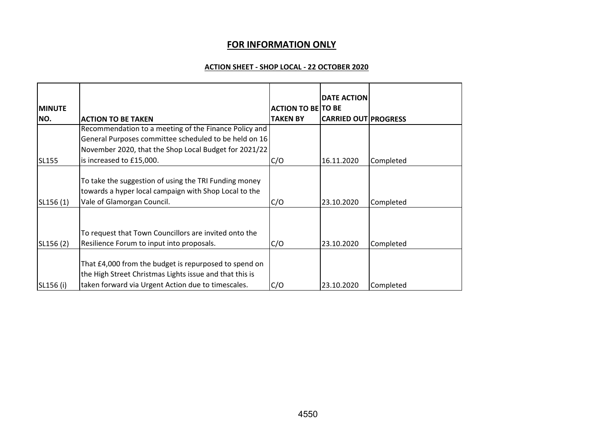# **FOR INFORMATION ONLY**

#### **ACTION SHEET - SHOP LOCAL - 22 OCTOBER 2020**

|               |                                                                                                                                                                        |                           | <b>DATE ACTION</b>          |           |
|---------------|------------------------------------------------------------------------------------------------------------------------------------------------------------------------|---------------------------|-----------------------------|-----------|
| <b>MINUTE</b> |                                                                                                                                                                        | <b>ACTION TO BE TO BE</b> |                             |           |
| NO.           | <b>ACTION TO BE TAKEN</b>                                                                                                                                              | <b>TAKEN BY</b>           | <b>CARRIED OUT PROGRESS</b> |           |
|               | Recommendation to a meeting of the Finance Policy and                                                                                                                  |                           |                             |           |
|               | General Purposes committee scheduled to be held on 16                                                                                                                  |                           |                             |           |
|               | November 2020, that the Shop Local Budget for 2021/22                                                                                                                  |                           |                             |           |
| <b>SL155</b>  | is increased to £15,000.                                                                                                                                               | C/O                       | 16.11.2020                  | Completed |
| SL156(1)      | To take the suggestion of using the TRI Funding money<br>towards a hyper local campaign with Shop Local to the<br>Vale of Glamorgan Council.                           | C/O                       | 23.10.2020                  | Completed |
| SL156 (2)     | To request that Town Councillors are invited onto the<br>Resilience Forum to input into proposals.                                                                     | C/O                       | 23.10.2020                  | Completed |
| SL156 (i)     | That £4,000 from the budget is repurposed to spend on<br>the High Street Christmas Lights issue and that this is<br>taken forward via Urgent Action due to timescales. | C/O                       | 23.10.2020                  | Completed |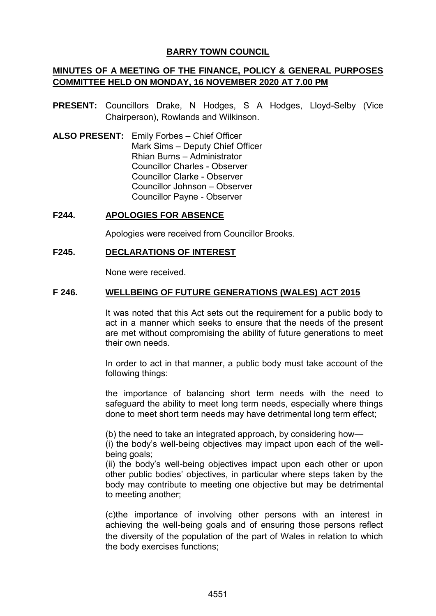# **BARRY TOWN COUNCIL**

# **MINUTES OF A MEETING OF THE FINANCE, POLICY & GENERAL PURPOSES COMMITTEE HELD ON MONDAY, 16 NOVEMBER 2020 AT 7.00 PM**

- **PRESENT:** Councillors Drake, N Hodges, S A Hodges, Lloyd-Selby (Vice Chairperson), Rowlands and Wilkinson.
- **ALSO PRESENT:** Emily Forbes Chief Officer Mark Sims – Deputy Chief Officer Rhian Burns – Administrator Councillor Charles - Observer Councillor Clarke - Observer Councillor Johnson – Observer Councillor Payne - Observer

#### **F244. APOLOGIES FOR ABSENCE**

Apologies were received from Councillor Brooks.

#### **F245. DECLARATIONS OF INTEREST**

None were received.

#### **F 246. WELLBEING OF FUTURE GENERATIONS (WALES) ACT 2015**

It was noted that this Act sets out the requirement for a public body to act in a manner which seeks to ensure that the needs of the present are met without compromising the ability of future generations to meet their own needs.

In order to act in that manner, a public body must take account of the following things:

the importance of balancing short term needs with the need to safeguard the ability to meet long term needs, especially where things done to meet short term needs may have detrimental long term effect;

(b) the need to take an integrated approach, by considering how—

(i) the body's well-being objectives may impact upon each of the wellbeing goals;

(ii) the body's well-being objectives impact upon each other or upon other public bodies' objectives, in particular where steps taken by the body may contribute to meeting one objective but may be detrimental to meeting another;

(c)the importance of involving other persons with an interest in achieving the well-being goals and of ensuring those persons reflect the diversity of the population of the part of Wales in relation to which the body exercises functions;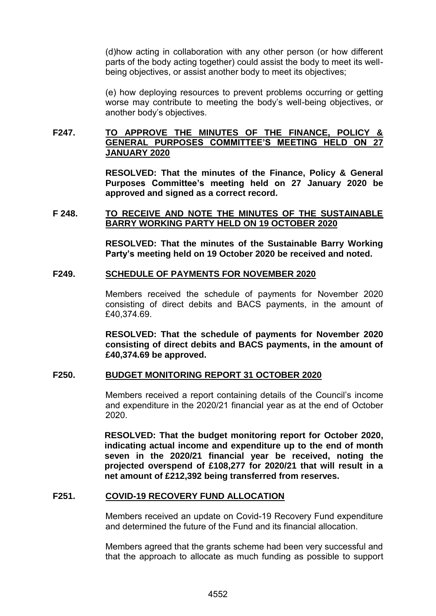(d)how acting in collaboration with any other person (or how different parts of the body acting together) could assist the body to meet its wellbeing objectives, or assist another body to meet its objectives;

(e) how deploying resources to prevent problems occurring or getting worse may contribute to meeting the body's well-being objectives, or another body's objectives.

# **F247. TO APPROVE THE MINUTES OF THE FINANCE, POLICY & GENERAL PURPOSES COMMITTEE'S MEETING HELD ON 27 JANUARY 2020**

**RESOLVED: That the minutes of the Finance, Policy & General Purposes Committee's meeting held on 27 January 2020 be approved and signed as a correct record.**

#### **F 248. TO RECEIVE AND NOTE THE MINUTES OF THE SUSTAINABLE BARRY WORKING PARTY HELD ON 19 OCTOBER 2020**

**RESOLVED: That the minutes of the Sustainable Barry Working Party's meeting held on 19 October 2020 be received and noted.**

#### **F249. SCHEDULE OF PAYMENTS FOR NOVEMBER 2020**

Members received the schedule of payments for November 2020 consisting of direct debits and BACS payments, in the amount of £40,374.69.

**RESOLVED: That the schedule of payments for November 2020 consisting of direct debits and BACS payments, in the amount of £40,374.69 be approved.**

# **F250. BUDGET MONITORING REPORT 31 OCTOBER 2020**

Members received a report containing details of the Council's income and expenditure in the 2020/21 financial year as at the end of October 2020.

**RESOLVED: That the budget monitoring report for October 2020, indicating actual income and expenditure up to the end of month seven in the 2020/21 financial year be received, noting the projected overspend of £108,277 for 2020/21 that will result in a net amount of £212,392 being transferred from reserves.**

#### **F251. COVID-19 RECOVERY FUND ALLOCATION**

Members received an update on Covid-19 Recovery Fund expenditure and determined the future of the Fund and its financial allocation.

Members agreed that the grants scheme had been very successful and that the approach to allocate as much funding as possible to support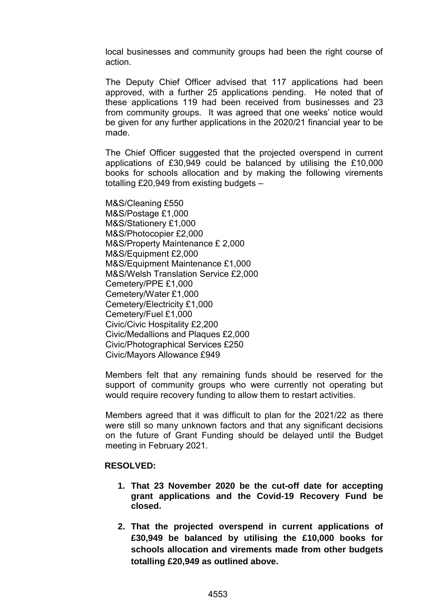local businesses and community groups had been the right course of action.

The Deputy Chief Officer advised that 117 applications had been approved, with a further 25 applications pending. He noted that of these applications 119 had been received from businesses and 23 from community groups. It was agreed that one weeks' notice would be given for any further applications in the 2020/21 financial year to be made.

The Chief Officer suggested that the projected overspend in current applications of £30,949 could be balanced by utilising the £10,000 books for schools allocation and by making the following virements totalling £20,949 from existing budgets –

M&S/Cleaning £550 M&S/Postage £1,000 M&S/Stationery £1,000 M&S/Photocopier £2,000 M&S/Property Maintenance £ 2,000 M&S/Equipment £2,000 M&S/Equipment Maintenance £1,000 M&S/Welsh Translation Service £2,000 Cemetery/PPE £1,000 Cemetery/Water £1,000 Cemetery/Electricity £1,000 Cemetery/Fuel £1,000 Civic/Civic Hospitality £2,200 Civic/Medallions and Plaques £2,000 Civic/Photographical Services £250 Civic/Mayors Allowance £949

Members felt that any remaining funds should be reserved for the support of community groups who were currently not operating but would require recovery funding to allow them to restart activities.

Members agreed that it was difficult to plan for the 2021/22 as there were still so many unknown factors and that any significant decisions on the future of Grant Funding should be delayed until the Budget meeting in February 2021.

#### **RESOLVED:**

- **1. That 23 November 2020 be the cut-off date for accepting grant applications and the Covid-19 Recovery Fund be closed.**
- **2. That the projected overspend in current applications of £30,949 be balanced by utilising the £10,000 books for schools allocation and virements made from other budgets totalling £20,949 as outlined above.**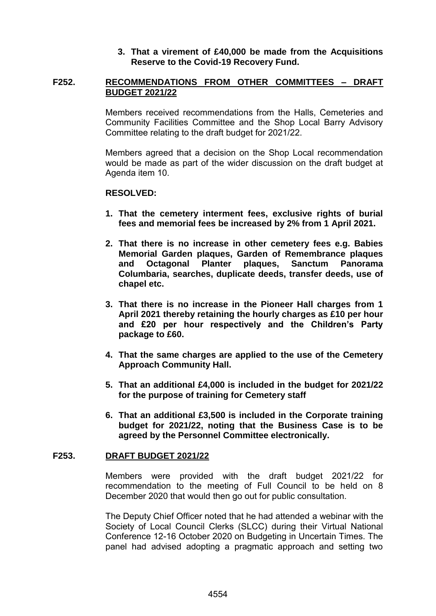#### **3. That a virement of £40,000 be made from the Acquisitions Reserve to the Covid-19 Recovery Fund.**

#### **F252. RECOMMENDATIONS FROM OTHER COMMITTEES – DRAFT BUDGET 2021/22**

Members received recommendations from the Halls, Cemeteries and Community Facilities Committee and the Shop Local Barry Advisory Committee relating to the draft budget for 2021/22.

Members agreed that a decision on the Shop Local recommendation would be made as part of the wider discussion on the draft budget at Agenda item 10.

#### **RESOLVED:**

- **1. That the cemetery interment fees, exclusive rights of burial fees and memorial fees be increased by 2% from 1 April 2021.**
- **2. That there is no increase in other cemetery fees e.g. Babies Memorial Garden plaques, Garden of Remembrance plaques and Octagonal Planter plaques, Sanctum Panorama Columbaria, searches, duplicate deeds, transfer deeds, use of chapel etc.**
- **3. That there is no increase in the Pioneer Hall charges from 1 April 2021 thereby retaining the hourly charges as £10 per hour and £20 per hour respectively and the Children's Party package to £60.**
- **4. That the same charges are applied to the use of the Cemetery Approach Community Hall.**
- **5. That an additional £4,000 is included in the budget for 2021/22 for the purpose of training for Cemetery staff**
- **6. That an additional £3,500 is included in the Corporate training budget for 2021/22, noting that the Business Case is to be agreed by the Personnel Committee electronically.**

#### **F253. DRAFT BUDGET 2021/22**

Members were provided with the draft budget 2021/22 for recommendation to the meeting of Full Council to be held on 8 December 2020 that would then go out for public consultation.

The Deputy Chief Officer noted that he had attended a webinar with the Society of Local Council Clerks (SLCC) during their Virtual National Conference 12-16 October 2020 on Budgeting in Uncertain Times. The panel had advised adopting a pragmatic approach and setting two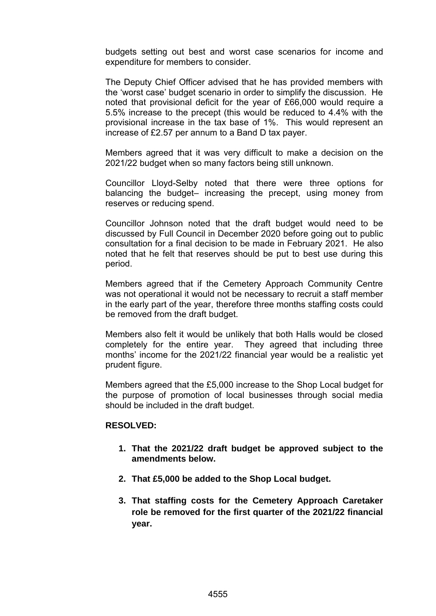budgets setting out best and worst case scenarios for income and expenditure for members to consider.

The Deputy Chief Officer advised that he has provided members with the 'worst case' budget scenario in order to simplify the discussion. He noted that provisional deficit for the year of £66,000 would require a 5.5% increase to the precept (this would be reduced to 4.4% with the provisional increase in the tax base of 1%. This would represent an increase of £2.57 per annum to a Band D tax payer.

Members agreed that it was very difficult to make a decision on the 2021/22 budget when so many factors being still unknown.

Councillor Lloyd-Selby noted that there were three options for balancing the budget– increasing the precept, using money from reserves or reducing spend.

Councillor Johnson noted that the draft budget would need to be discussed by Full Council in December 2020 before going out to public consultation for a final decision to be made in February 2021. He also noted that he felt that reserves should be put to best use during this period.

Members agreed that if the Cemetery Approach Community Centre was not operational it would not be necessary to recruit a staff member in the early part of the year, therefore three months staffing costs could be removed from the draft budget.

Members also felt it would be unlikely that both Halls would be closed completely for the entire year. They agreed that including three months' income for the 2021/22 financial year would be a realistic yet prudent figure.

Members agreed that the £5,000 increase to the Shop Local budget for the purpose of promotion of local businesses through social media should be included in the draft budget.

#### **RESOLVED:**

- **1. That the 2021/22 draft budget be approved subject to the amendments below.**
- **2. That £5,000 be added to the Shop Local budget.**
- **3. That staffing costs for the Cemetery Approach Caretaker role be removed for the first quarter of the 2021/22 financial year.**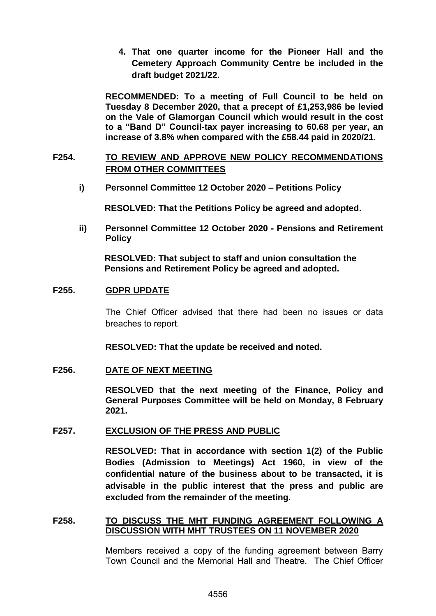**4. That one quarter income for the Pioneer Hall and the Cemetery Approach Community Centre be included in the draft budget 2021/22.**

**RECOMMENDED: To a meeting of Full Council to be held on Tuesday 8 December 2020, that a precept of £1,253,986 be levied on the Vale of Glamorgan Council which would result in the cost to a "Band D" Council-tax payer increasing to 60.68 per year, an increase of 3.8% when compared with the £58.44 paid in 2020/21**.

# **F254. TO REVIEW AND APPROVE NEW POLICY RECOMMENDATIONS FROM OTHER COMMITTEES**

**i) Personnel Committee 12 October 2020 – Petitions Policy**

**RESOLVED: That the Petitions Policy be agreed and adopted.**

**ii) Personnel Committee 12 October 2020 - Pensions and Retirement Policy**

**RESOLVED: That subject to staff and union consultation the Pensions and Retirement Policy be agreed and adopted.**

#### **F255. GDPR UPDATE**

The Chief Officer advised that there had been no issues or data breaches to report.

**RESOLVED: That the update be received and noted.**

#### **F256. DATE OF NEXT MEETING**

**RESOLVED that the next meeting of the Finance, Policy and General Purposes Committee will be held on Monday, 8 February 2021.**

#### **F257. EXCLUSION OF THE PRESS AND PUBLIC**

**RESOLVED: That in accordance with section 1(2) of the Public Bodies (Admission to Meetings) Act 1960, in view of the confidential nature of the business about to be transacted, it is advisable in the public interest that the press and public are excluded from the remainder of the meeting.**

#### **F258. TO DISCUSS THE MHT FUNDING AGREEMENT FOLLOWING A DISCUSSION WITH MHT TRUSTEES ON 11 NOVEMBER 2020**

Members received a copy of the funding agreement between Barry Town Council and the Memorial Hall and Theatre. The Chief Officer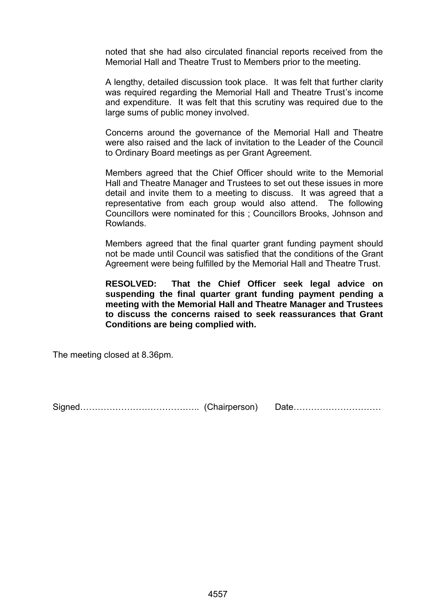noted that she had also circulated financial reports received from the Memorial Hall and Theatre Trust to Members prior to the meeting.

A lengthy, detailed discussion took place. It was felt that further clarity was required regarding the Memorial Hall and Theatre Trust's income and expenditure. It was felt that this scrutiny was required due to the large sums of public money involved.

Concerns around the governance of the Memorial Hall and Theatre were also raised and the lack of invitation to the Leader of the Council to Ordinary Board meetings as per Grant Agreement.

Members agreed that the Chief Officer should write to the Memorial Hall and Theatre Manager and Trustees to set out these issues in more detail and invite them to a meeting to discuss. It was agreed that a representative from each group would also attend. The following Councillors were nominated for this ; Councillors Brooks, Johnson and Rowlands.

Members agreed that the final quarter grant funding payment should not be made until Council was satisfied that the conditions of the Grant Agreement were being fulfilled by the Memorial Hall and Theatre Trust.

**RESOLVED: That the Chief Officer seek legal advice on suspending the final quarter grant funding payment pending a meeting with the Memorial Hall and Theatre Manager and Trustees to discuss the concerns raised to seek reassurances that Grant Conditions are being complied with.**

The meeting closed at 8.36pm.

Signed………………………………….. (Chairperson) Date…………………………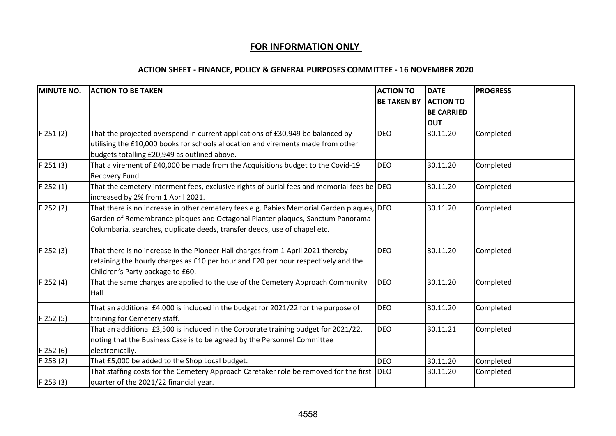# **FOR INFORMATION ONLY**

#### **ACTION SHEET - FINANCE, POLICY & GENERAL PURPOSES COMMITTEE - 16 NOVEMBER 2020**

| MINUTE NO.    | <b>ACTION TO BE TAKEN</b>                                                                                                                                                                                                                               | <b>ACTION TO</b><br><b>BE TAKEN BY</b> | <b>DATE</b><br><b>ACTION TO</b><br><b>BE CARRIED</b><br><b>OUT</b> | <b>PROGRESS</b> |
|---------------|---------------------------------------------------------------------------------------------------------------------------------------------------------------------------------------------------------------------------------------------------------|----------------------------------------|--------------------------------------------------------------------|-----------------|
| F 251(2)      | That the projected overspend in current applications of £30,949 be balanced by<br>utilising the £10,000 books for schools allocation and virements made from other<br>budgets totalling £20,949 as outlined above.                                      | <b>DEO</b>                             | 30.11.20                                                           | Completed       |
| $F$ 251 $(3)$ | That a virement of £40,000 be made from the Acquisitions budget to the Covid-19<br>Recovery Fund.                                                                                                                                                       | <b>DEO</b>                             | 30.11.20                                                           | Completed       |
| $F$ 252 $(1)$ | That the cemetery interment fees, exclusive rights of burial fees and memorial fees be DEO<br>increased by 2% from 1 April 2021.                                                                                                                        |                                        | 30.11.20                                                           | Completed       |
| $F$ 252 $(2)$ | That there is no increase in other cemetery fees e.g. Babies Memorial Garden plaques, DEO<br>Garden of Remembrance plaques and Octagonal Planter plaques, Sanctum Panorama<br>Columbaria, searches, duplicate deeds, transfer deeds, use of chapel etc. |                                        | 30.11.20                                                           | Completed       |
| F 252 (3)     | That there is no increase in the Pioneer Hall charges from 1 April 2021 thereby<br>retaining the hourly charges as £10 per hour and £20 per hour respectively and the<br>Children's Party package to £60.                                               | <b>DEO</b>                             | 30.11.20                                                           | Completed       |
| F 252(4)      | That the same charges are applied to the use of the Cemetery Approach Community<br>Hall.                                                                                                                                                                | <b>DEO</b>                             | 30.11.20                                                           | Completed       |
| F 252 (5)     | That an additional £4,000 is included in the budget for 2021/22 for the purpose of<br>training for Cemetery staff.                                                                                                                                      | <b>DEO</b>                             | 30.11.20                                                           | Completed       |
| $F$ 252 (6)   | That an additional £3,500 is included in the Corporate training budget for 2021/22,<br>noting that the Business Case is to be agreed by the Personnel Committee<br>electronically.                                                                      | <b>DEO</b>                             | 30.11.21                                                           | Completed       |
| $F$ 253 (2)   | That £5,000 be added to the Shop Local budget.                                                                                                                                                                                                          | <b>DEO</b>                             | 30.11.20                                                           | Completed       |
| $F$ 253 (3)   | That staffing costs for the Cemetery Approach Caretaker role be removed for the first DEO<br>quarter of the 2021/22 financial year.                                                                                                                     |                                        | 30.11.20                                                           | Completed       |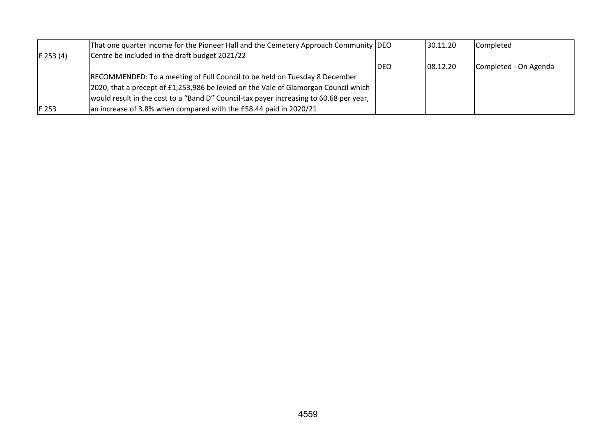|             | That one quarter income for the Pioneer Hall and the Cemetery Approach Community DEO   |      | 30.11.20   | Completed             |
|-------------|----------------------------------------------------------------------------------------|------|------------|-----------------------|
| $F$ 253 (4) | Centre be included in the draft budget 2021/22                                         |      |            |                       |
|             |                                                                                        | IDEO | [08.12.20] | Completed - On Agenda |
|             | RECOMMENDED: To a meeting of Full Council to be held on Tuesday 8 December             |      |            |                       |
|             | 2020, that a precept of £1,253,986 be levied on the Vale of Glamorgan Council which    |      |            |                       |
|             | would result in the cost to a "Band D" Council-tax payer increasing to 60.68 per year, |      |            |                       |
| F 253       | an increase of 3.8% when compared with the £58.44 paid in 2020/21                      |      |            |                       |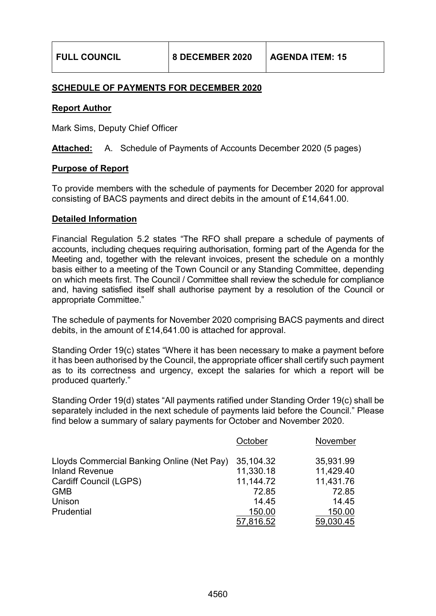# **SCHEDULE OF PAYMENTS FOR DECEMBER 2020**

#### **Report Author**

Mark Sims, Deputy Chief Officer

**Attached:** A. Schedule of Payments of Accounts December 2020 (5 pages)

#### **Purpose of Report**

To provide members with the schedule of payments for December 2020 for approval consisting of BACS payments and direct debits in the amount of £14,641.00.

#### **Detailed Information**

Financial Regulation 5.2 states "The RFO shall prepare a schedule of payments of accounts, including cheques requiring authorisation, forming part of the Agenda for the Meeting and, together with the relevant invoices, present the schedule on a monthly basis either to a meeting of the Town Council or any Standing Committee, depending on which meets first. The Council / Committee shall review the schedule for compliance and, having satisfied itself shall authorise payment by a resolution of the Council or appropriate Committee."

The schedule of payments for November 2020 comprising BACS payments and direct debits, in the amount of £14,641.00 is attached for approval.

Standing Order 19(c) states "Where it has been necessary to make a payment before it has been authorised by the Council, the appropriate officer shall certify such payment as to its correctness and urgency, except the salaries for which a report will be produced quarterly."

Standing Order 19(d) states "All payments ratified under Standing Order 19(c) shall be separately included in the next schedule of payments laid before the Council." Please find below a summary of salary payments for October and November 2020.

|                                            | October   | November  |
|--------------------------------------------|-----------|-----------|
| Lloyds Commercial Banking Online (Net Pay) | 35,104.32 | 35,931.99 |
| <b>Inland Revenue</b>                      | 11,330.18 | 11,429.40 |
| Cardiff Council (LGPS)                     | 11,144.72 | 11,431.76 |
| <b>GMB</b>                                 | 72.85     | 72.85     |
| Unison                                     | 14.45     | 14.45     |
| Prudential                                 | 150.00    | 150.00    |
|                                            | 57,816.52 | 59,030.45 |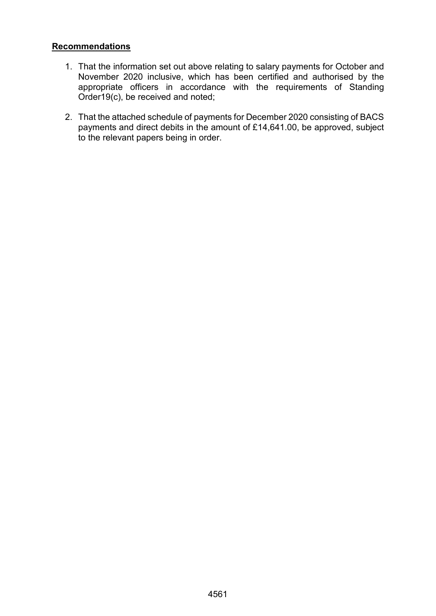# **Recommendations**

- 1. That the information set out above relating to salary payments for October and November 2020 inclusive, which has been certified and authorised by the appropriate officers in accordance with the requirements of Standing Order19(c), be received and noted;
- 2. That the attached schedule of payments for December 2020 consisting of BACS payments and direct debits in the amount of £14,641.00, be approved, subject to the relevant papers being in order.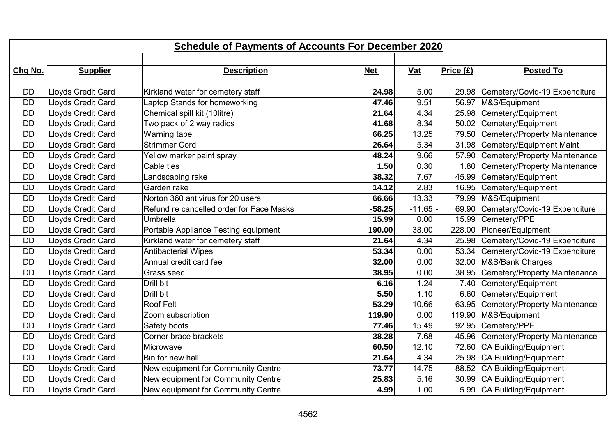| <b>Schedule of Payments of Accounts For December 2020</b> |                    |                                          |            |            |           |                                     |
|-----------------------------------------------------------|--------------------|------------------------------------------|------------|------------|-----------|-------------------------------------|
|                                                           |                    |                                          |            |            |           |                                     |
| Chq No.                                                   | <b>Supplier</b>    | <b>Description</b>                       | <b>Net</b> | <b>Vat</b> | Price (£) | <b>Posted To</b>                    |
|                                                           |                    |                                          |            |            |           |                                     |
| <b>DD</b>                                                 | Lloyds Credit Card | Kirkland water for cemetery staff        | 24.98      | 5.00       |           | 29.98 Cemetery/Covid-19 Expenditure |
| <b>DD</b>                                                 | Lloyds Credit Card | Laptop Stands for homeworking            | 47.46      | 9.51       |           | 56.97   M&S/Equipment               |
| <b>DD</b>                                                 | Lloyds Credit Card | Chemical spill kit (10litre)             | 21.64      | 4.34       |           | 25.98 Cemetery/Equipment            |
| <b>DD</b>                                                 | Lloyds Credit Card | Two pack of 2 way radios                 | 41.68      | 8.34       |           | 50.02 Cemetery/Equipment            |
| <b>DD</b>                                                 | Lloyds Credit Card | Warning tape                             | 66.25      | 13.25      | 79.50     | Cemetery/Property Maintenance       |
| <b>DD</b>                                                 | Lloyds Credit Card | <b>Strimmer Cord</b>                     | 26.64      | 5.34       |           | 31.98 Cemetery/Equipment Maint      |
| <b>DD</b>                                                 | Lloyds Credit Card | Yellow marker paint spray                | 48.24      | 9.66       |           | 57.90 Cemetery/Property Maintenance |
| <b>DD</b>                                                 | Lloyds Credit Card | Cable ties                               | 1.50       | 0.30       |           | 1.80 Cemetery/Property Maintenance  |
| <b>DD</b>                                                 | Lloyds Credit Card | Landscaping rake                         | 38.32      | 7.67       | 45.99     | Cemetery/Equipment                  |
| <b>DD</b>                                                 | Lloyds Credit Card | Garden rake                              | 14.12      | 2.83       |           | 16.95 Cemetery/Equipment            |
| <b>DD</b>                                                 | Lloyds Credit Card | Norton 360 antivirus for 20 users        | 66.66      | 13.33      |           | 79.99   M&S/Equipment               |
| <b>DD</b>                                                 | Lloyds Credit Card | Refund re cancelled order for Face Masks | $-58.25$   | $-11.65$   |           | 69.90 Cemetery/Covid-19 Expenditure |
| <b>DD</b>                                                 | Lloyds Credit Card | Umbrella                                 | 15.99      | 0.00       |           | 15.99 Cemetery/PPE                  |
| <b>DD</b>                                                 | Lloyds Credit Card | Portable Appliance Testing equipment     | 190.00     | 38.00      | 228.00    | Pioneer/Equipment                   |
| <b>DD</b>                                                 | Lloyds Credit Card | Kirkland water for cemetery staff        | 21.64      | 4.34       |           | 25.98 Cemetery/Covid-19 Expenditure |
| <b>DD</b>                                                 | Lloyds Credit Card | <b>Antibacterial Wipes</b>               | 53.34      | 0.00       |           | 53.34 Cemetery/Covid-19 Expenditure |
| <b>DD</b>                                                 | Lloyds Credit Card | Annual credit card fee                   | 32.00      | 0.00       |           | 32.00 M&S/Bank Charges              |
| <b>DD</b>                                                 | Lloyds Credit Card | Grass seed                               | 38.95      | 0.00       | 38.95     | Cemetery/Property Maintenance       |
| <b>DD</b>                                                 | Lloyds Credit Card | Drill bit                                | 6.16       | 1.24       |           | 7.40 Cemetery/Equipment             |
| <b>DD</b>                                                 | Lloyds Credit Card | Drill bit                                | 5.50       | 1.10       |           | 6.60 Cemetery/Equipment             |
| <b>DD</b>                                                 | Lloyds Credit Card | Roof Felt                                | 53.29      | 10.66      |           | 63.95 Cemetery/Property Maintenance |
| <b>DD</b>                                                 | Lloyds Credit Card | Zoom subscription                        | 119.90     | 0.00       | 119.90    | M&S/Equipment                       |
| <b>DD</b>                                                 | Lloyds Credit Card | Safety boots                             | 77.46      | 15.49      | 92.95     | Cemetery/PPE                        |
| <b>DD</b>                                                 | Lloyds Credit Card | Corner brace brackets                    | 38.28      | 7.68       |           | 45.96 Cemetery/Property Maintenance |
| <b>DD</b>                                                 | Lloyds Credit Card | Microwave                                | 60.50      | 12.10      |           | 72.60 CA Building/Equipment         |
| <b>DD</b>                                                 | Lloyds Credit Card | Bin for new hall                         | 21.64      | 4.34       |           | 25.98 CA Building/Equipment         |
| <b>DD</b>                                                 | Lloyds Credit Card | New equipment for Community Centre       | 73.77      | 14.75      |           | 88.52 CA Building/Equipment         |
| <b>DD</b>                                                 | Lloyds Credit Card | New equipment for Community Centre       | 25.83      | 5.16       |           | 30.99 CA Building/Equipment         |
| <b>DD</b>                                                 | Lloyds Credit Card | New equipment for Community Centre       | 4.99       | 1.00       |           | 5.99 CA Building/Equipment          |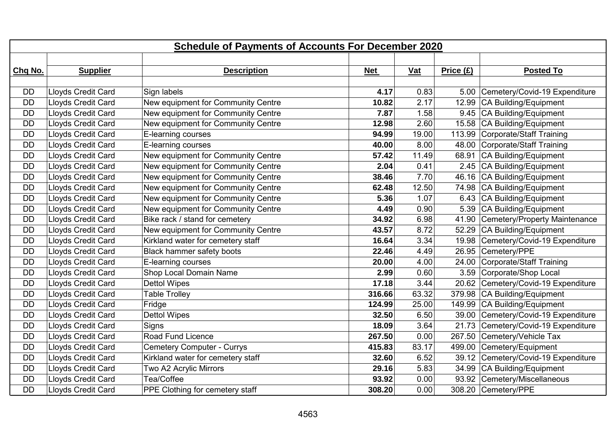|           | <b>Schedule of Payments of Accounts For December 2020</b> |                                    |            |       |           |                                     |  |  |
|-----------|-----------------------------------------------------------|------------------------------------|------------|-------|-----------|-------------------------------------|--|--|
|           |                                                           |                                    |            |       |           |                                     |  |  |
| Chq No.   | <b>Supplier</b>                                           | <b>Description</b>                 | <b>Net</b> | $vat$ | Price (E) | <b>Posted To</b>                    |  |  |
|           |                                                           |                                    |            |       |           |                                     |  |  |
| <b>DD</b> | Lloyds Credit Card                                        | Sign labels                        | 4.17       | 0.83  |           | 5.00 Cemetery/Covid-19 Expenditure  |  |  |
| <b>DD</b> | Lloyds Credit Card                                        | New equipment for Community Centre | 10.82      | 2.17  | 12.99     | CA Building/Equipment               |  |  |
| <b>DD</b> | Lloyds Credit Card                                        | New equipment for Community Centre | 7.87       | 1.58  |           | 9.45   CA Building/Equipment        |  |  |
| <b>DD</b> | Lloyds Credit Card                                        | New equipment for Community Centre | 12.98      | 2.60  | 15.58     | CA Building/Equipment               |  |  |
| <b>DD</b> | Lloyds Credit Card                                        | E-learning courses                 | 94.99      | 19.00 | 113.99    | Corporate/Staff Training            |  |  |
| <b>DD</b> | Lloyds Credit Card                                        | E-learning courses                 | 40.00      | 8.00  | 48.00     | Corporate/Staff Training            |  |  |
| <b>DD</b> | Lloyds Credit Card                                        | New equipment for Community Centre | 57.42      | 11.49 | 68.91     | CA Building/Equipment               |  |  |
| <b>DD</b> | Lloyds Credit Card                                        | New equipment for Community Centre | 2.04       | 0.41  |           | 2.45   CA Building/Equipment        |  |  |
| <b>DD</b> | Lloyds Credit Card                                        | New equipment for Community Centre | 38.46      | 7.70  | 46.16     | CA Building/Equipment               |  |  |
| <b>DD</b> | Lloyds Credit Card                                        | New equipment for Community Centre | 62.48      | 12.50 |           | 74.98 CA Building/Equipment         |  |  |
| <b>DD</b> | Lloyds Credit Card                                        | New equipment for Community Centre | 5.36       | 1.07  |           | 6.43   CA Building/Equipment        |  |  |
| <b>DD</b> | Lloyds Credit Card                                        | New equipment for Community Centre | 4.49       | 0.90  |           | 5.39 CA Building/Equipment          |  |  |
| <b>DD</b> | Lloyds Credit Card                                        | Bike rack / stand for cemetery     | 34.92      | 6.98  | 41.90     | Cemetery/Property Maintenance       |  |  |
| <b>DD</b> | Lloyds Credit Card                                        | New equipment for Community Centre | 43.57      | 8.72  | 52.29     | CA Building/Equipment               |  |  |
| <b>DD</b> | Lloyds Credit Card                                        | Kirkland water for cemetery staff  | 16.64      | 3.34  | 19.98     | Cemetery/Covid-19 Expenditure       |  |  |
| <b>DD</b> | Lloyds Credit Card                                        | Black hammer safety boots          | 22.46      | 4.49  | 26.95     | Cemetery/PPE                        |  |  |
| <b>DD</b> | Lloyds Credit Card                                        | E-learning courses                 | 20.00      | 4.00  |           | 24.00 Corporate/Staff Training      |  |  |
| <b>DD</b> | Lloyds Credit Card                                        | Shop Local Domain Name             | 2.99       | 0.60  |           | 3.59 Corporate/Shop Local           |  |  |
| <b>DD</b> | Lloyds Credit Card                                        | <b>Dettol Wipes</b>                | 17.18      | 3.44  |           | 20.62 Cemetery/Covid-19 Expenditure |  |  |
| <b>DD</b> | Lloyds Credit Card                                        | <b>Table Trolley</b>               | 316.66     | 63.32 | 379.98    | CA Building/Equipment               |  |  |
| <b>DD</b> | Lloyds Credit Card                                        | Fridge                             | 124.99     | 25.00 | 149.99    | CA Building/Equipment               |  |  |
| <b>DD</b> | Lloyds Credit Card                                        | <b>Dettol Wipes</b>                | 32.50      | 6.50  |           | 39.00 Cemetery/Covid-19 Expenditure |  |  |
| <b>DD</b> | Lloyds Credit Card                                        | Signs                              | 18.09      | 3.64  | 21.73     | Cemetery/Covid-19 Expenditure       |  |  |
| <b>DD</b> | Lloyds Credit Card                                        | Road Fund Licence                  | 267.50     | 0.00  | 267.50    | Cemetery/Vehicle Tax                |  |  |
| <b>DD</b> | Lloyds Credit Card                                        | <b>Cemetery Computer - Currys</b>  | 415.83     | 83.17 | 499.00    | Cemetery/Equipment                  |  |  |
| <b>DD</b> | Lloyds Credit Card                                        | Kirkland water for cemetery staff  | 32.60      | 6.52  |           | 39.12 Cemetery/Covid-19 Expenditure |  |  |
| <b>DD</b> | Lloyds Credit Card                                        | Two A2 Acrylic Mirrors             | 29.16      | 5.83  | 34.99     | CA Building/Equipment               |  |  |
| <b>DD</b> | Lloyds Credit Card                                        | Tea/Coffee                         | 93.92      | 0.00  |           | 93.92 Cemetery/Miscellaneous        |  |  |
| <b>DD</b> | Lloyds Credit Card                                        | PPE Clothing for cemetery staff    | 308.20     | 0.00  |           | 308.20 Cemetery/PPE                 |  |  |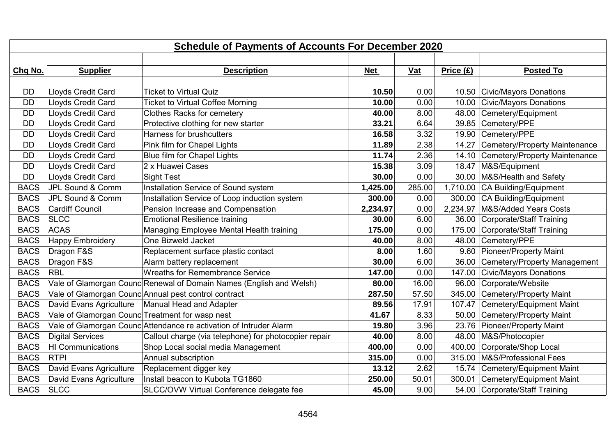|             | <b>Schedule of Payments of Accounts For December 2020</b> |                                                                     |            |            |             |                                |  |  |
|-------------|-----------------------------------------------------------|---------------------------------------------------------------------|------------|------------|-------------|--------------------------------|--|--|
|             |                                                           |                                                                     |            |            |             |                                |  |  |
| Chq No.     | <b>Supplier</b>                                           | <b>Description</b>                                                  | <b>Net</b> | <u>Vat</u> | Price $(E)$ | <b>Posted To</b>               |  |  |
|             |                                                           |                                                                     |            |            |             |                                |  |  |
| <b>DD</b>   | Lloyds Credit Card                                        | <b>Ticket to Virtual Quiz</b>                                       | 10.50      | 0.00       |             | 10.50 Civic/Mayors Donations   |  |  |
| <b>DD</b>   | Lloyds Credit Card                                        | <b>Ticket to Virtual Coffee Morning</b>                             | 10.00      | 0.00       | 10.00       | Civic/Mayors Donations         |  |  |
| <b>DD</b>   | Lloyds Credit Card                                        | <b>Clothes Racks for cemetery</b>                                   | 40.00      | 8.00       | 48.00       | Cemetery/Equipment             |  |  |
| <b>DD</b>   | Lloyds Credit Card                                        | Protective clothing for new starter                                 | 33.21      | 6.64       | 39.85       | Cemetery/PPE                   |  |  |
| <b>DD</b>   | Lloyds Credit Card                                        | Harness for brushcutters                                            | 16.58      | 3.32       | 19.90       | Cemetery/PPE                   |  |  |
| <b>DD</b>   | Lloyds Credit Card                                        | Pink film for Chapel Lights                                         | 11.89      | 2.38       | 14.27       | Cemetery/Property Maintenance  |  |  |
| <b>DD</b>   | Lloyds Credit Card                                        | Blue film for Chapel Lights                                         | 11.74      | 2.36       | 14.10       | Cemetery/Property Maintenance  |  |  |
| <b>DD</b>   | Lloyds Credit Card                                        | 2 x Huawei Cases                                                    | 15.38      | 3.09       | 18.47       | M&S/Equipment                  |  |  |
| <b>DD</b>   | Lloyds Credit Card                                        | <b>Sight Test</b>                                                   | 30.00      | 0.00       | 30.00       | M&S/Health and Safety          |  |  |
| <b>BACS</b> | JPL Sound & Comm                                          | Installation Service of Sound system                                | 1,425.00   | 285.00     | 1,710.00    | CA Building/Equipment          |  |  |
| <b>BACS</b> | JPL Sound & Comm                                          | Installation Service of Loop induction system                       | 300.00     | 0.00       | 300.00      | CA Building/Equipment          |  |  |
| <b>BACS</b> | <b>Cardiff Council</b>                                    | Pension Increase and Compensation                                   | 2,234.97   | 0.00       | 2,234.97    | M&S/Added Years Costs          |  |  |
| <b>BACS</b> | <b>SLCC</b>                                               | <b>Emotional Resilience training</b>                                | 30.00      | 6.00       | 36.00       | Corporate/Staff Training       |  |  |
| <b>BACS</b> | <b>ACAS</b>                                               | Managing Employee Mental Health training                            | 175.00     | 0.00       | 175.00      | Corporate/Staff Training       |  |  |
| <b>BACS</b> | <b>Happy Embroidery</b>                                   | One Bizweld Jacket                                                  | 40.00      | 8.00       | 48.00       | Cemetery/PPE                   |  |  |
| <b>BACS</b> | Dragon F&S                                                | Replacement surface plastic contact                                 | 8.00       | 1.60       | 9.60        | Pioneer/Property Maint         |  |  |
| <b>BACS</b> | Dragon F&S                                                | Alarm battery replacement                                           | 30.00      | 6.00       | 36.00       | Cemetery/Property Management   |  |  |
| <b>BACS</b> | <b>RBL</b>                                                | <b>Wreaths for Remembrance Service</b>                              | 147.00     | 0.00       | 147.00      | <b>Civic/Mayors Donations</b>  |  |  |
| <b>BACS</b> |                                                           | Vale of Glamorgan Counc Renewal of Domain Names (English and Welsh) | 80.00      | 16.00      | 96.00       | Corporate/Website              |  |  |
| <b>BACS</b> |                                                           | Vale of Glamorgan Counc Annual pest control contract                | 287.50     | 57.50      | 345.00      | Cemetery/Property Maint        |  |  |
| <b>BACS</b> | David Evans Agriculture                                   | Manual Head and Adapter                                             | 89.56      | 17.91      | 107.47      | Cemetery/Equipment Maint       |  |  |
| <b>BACS</b> | Vale of Glamorgan Counc Treatment for wasp nest           |                                                                     | 41.67      | 8.33       | 50.00       | Cemetery/Property Maint        |  |  |
| <b>BACS</b> |                                                           | Vale of Glamorgan Counc Attendance re activation of Intruder Alarm  | 19.80      | 3.96       | 23.76       | Pioneer/Property Maint         |  |  |
| <b>BACS</b> | <b>Digital Services</b>                                   | Callout charge (via telephone) for photocopier repair               | 40.00      | 8.00       | 48.00       | M&S/Photocopier                |  |  |
| <b>BACS</b> | HI Communications                                         | Shop Local social media Management                                  | 400.00     | 0.00       | 400.00      | Corporate/Shop Local           |  |  |
| <b>BACS</b> | <b>RTPI</b>                                               | Annual subscription                                                 | 315.00     | 0.00       | 315.00      | M&S/Professional Fees          |  |  |
| <b>BACS</b> | David Evans Agriculture                                   | Replacement digger key                                              | 13.12      | 2.62       | 15.74       | Cemetery/Equipment Maint       |  |  |
| <b>BACS</b> | David Evans Agriculture                                   | Install beacon to Kubota TG1860                                     | 250.00     | 50.01      | 300.01      | Cemetery/Equipment Maint       |  |  |
| <b>BACS</b> | <b>SLCC</b>                                               | SLCC/OVW Virtual Conference delegate fee                            | 45.00      | 9.00       |             | 54.00 Corporate/Staff Training |  |  |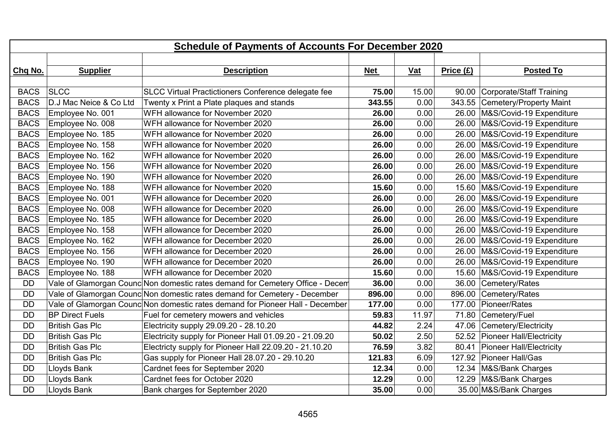| <b>Schedule of Payments of Accounts For December 2020</b> |                        |                                                                               |            |       |           |                                  |  |
|-----------------------------------------------------------|------------------------|-------------------------------------------------------------------------------|------------|-------|-----------|----------------------------------|--|
|                                                           |                        |                                                                               |            |       |           |                                  |  |
| Chq No.                                                   | <b>Supplier</b>        | <b>Description</b>                                                            | <b>Net</b> | $vat$ | Price (E) | <b>Posted To</b>                 |  |
|                                                           |                        |                                                                               |            |       |           |                                  |  |
| <b>BACS</b>                                               | SLCC                   | SLCC Virtual Practictioners Conference delegate fee                           | 75.00      | 15.00 |           | 90.00 Corporate/Staff Training   |  |
| <b>BACS</b>                                               | D.J Mac Neice & Co Ltd | Twenty x Print a Plate plaques and stands                                     | 343.55     | 0.00  |           | 343.55 Cemetery/Property Maint   |  |
| <b>BACS</b>                                               | Employee No. 001       | WFH allowance for November 2020                                               | 26.00      | 0.00  |           | 26.00 M&S/Covid-19 Expenditure   |  |
| <b>BACS</b>                                               | Employee No. 008       | WFH allowance for November 2020                                               | 26.00      | 0.00  |           | 26.00 M&S/Covid-19 Expenditure   |  |
| <b>BACS</b>                                               | Employee No. 185       | WFH allowance for November 2020                                               | 26.00      | 0.00  |           | 26.00 M&S/Covid-19 Expenditure   |  |
| <b>BACS</b>                                               | Employee No. 158       | WFH allowance for November 2020                                               | 26.00      | 0.00  | 26.00     | M&S/Covid-19 Expenditure         |  |
| <b>BACS</b>                                               | Employee No. 162       | WFH allowance for November 2020                                               | 26.00      | 0.00  |           | 26.00   M&S/Covid-19 Expenditure |  |
| <b>BACS</b>                                               | Employee No. 156       | WFH allowance for November 2020                                               | 26.00      | 0.00  |           | 26.00   M&S/Covid-19 Expenditure |  |
| <b>BACS</b>                                               | Employee No. 190       | WFH allowance for November 2020                                               | 26.00      | 0.00  |           | 26.00 M&S/Covid-19 Expenditure   |  |
| <b>BACS</b>                                               | Employee No. 188       | WFH allowance for November 2020                                               | 15.60      | 0.00  |           | 15.60   M&S/Covid-19 Expenditure |  |
| <b>BACS</b>                                               | Employee No. 001       | WFH allowance for December 2020                                               | 26.00      | 0.00  |           | 26.00 M&S/Covid-19 Expenditure   |  |
| <b>BACS</b>                                               | Employee No. 008       | WFH allowance for December 2020                                               | 26.00      | 0.00  |           | 26.00   M&S/Covid-19 Expenditure |  |
| <b>BACS</b>                                               | Employee No. 185       | WFH allowance for December 2020                                               | 26.00      | 0.00  |           | 26.00 M&S/Covid-19 Expenditure   |  |
| <b>BACS</b>                                               | Employee No. 158       | WFH allowance for December 2020                                               | 26.00      | 0.00  |           | 26.00   M&S/Covid-19 Expenditure |  |
| <b>BACS</b>                                               | Employee No. 162       | WFH allowance for December 2020                                               | 26.00      | 0.00  | 26.00     | M&S/Covid-19 Expenditure         |  |
| <b>BACS</b>                                               | Employee No. 156       | WFH allowance for December 2020                                               | 26.00      | 0.00  | 26.00     | M&S/Covid-19 Expenditure         |  |
| <b>BACS</b>                                               | Employee No. 190       | WFH allowance for December 2020                                               | 26.00      | 0.00  |           | 26.00   M&S/Covid-19 Expenditure |  |
| <b>BACS</b>                                               | Employee No. 188       | WFH allowance for December 2020                                               | 15.60      | 0.00  |           | 15.60 M&S/Covid-19 Expenditure   |  |
| <b>DD</b>                                                 |                        | Vale of Glamorgan Counc Non domestic rates demand for Cemetery Office - Decem | 36.00      | 0.00  | 36.00     | Cemetery/Rates                   |  |
| <b>DD</b>                                                 |                        | Vale of Glamorgan Counc Non domestic rates demand for Cemetery - December     | 896.00     | 0.00  | 896.00    | Cemetery/Rates                   |  |
| <b>DD</b>                                                 |                        | Vale of Glamorgan Counc Non domestic rates demand for Pioneer Hall - December | 177.00     | 0.00  | 177.00    | Pioneer/Rates                    |  |
| <b>DD</b>                                                 | <b>BP Direct Fuels</b> | Fuel for cemetery mowers and vehicles                                         | 59.83      | 11.97 | 71.80     | Cemetery/Fuel                    |  |
| <b>DD</b>                                                 | <b>British Gas Plc</b> | Electricity supply 29.09.20 - 28.10.20                                        | 44.82      | 2.24  | 47.06     | Cemetery/Electricity             |  |
| <b>DD</b>                                                 | <b>British Gas Plc</b> | Electricity supply for Pioneer Hall 01.09.20 - 21.09.20                       | 50.02      | 2.50  |           | 52.52 Pioneer Hall/Electricity   |  |
| <b>DD</b>                                                 | <b>British Gas Plc</b> | Electricty supply for Pioneer Hall 22.09.20 - 21.10.20                        | 76.59      | 3.82  | 80.41     | Pioneer Hall/Electricity         |  |
| <b>DD</b>                                                 | <b>British Gas Plc</b> | Gas supply for Pioneer Hall 28.07.20 - 29.10.20                               | 121.83     | 6.09  |           | 127.92 Pioneer Hall/Gas          |  |
| <b>DD</b>                                                 | Lloyds Bank            | Cardnet fees for September 2020                                               | 12.34      | 0.00  |           | 12.34   M&S/Bank Charges         |  |
| <b>DD</b>                                                 | Lloyds Bank            | Cardnet fees for October 2020                                                 | 12.29      | 0.00  |           | 12.29 M&S/Bank Charges           |  |
| <b>DD</b>                                                 | Lloyds Bank            | Bank charges for September 2020                                               | 35.00      | 0.00  |           | 35.00 M&S/Bank Charges           |  |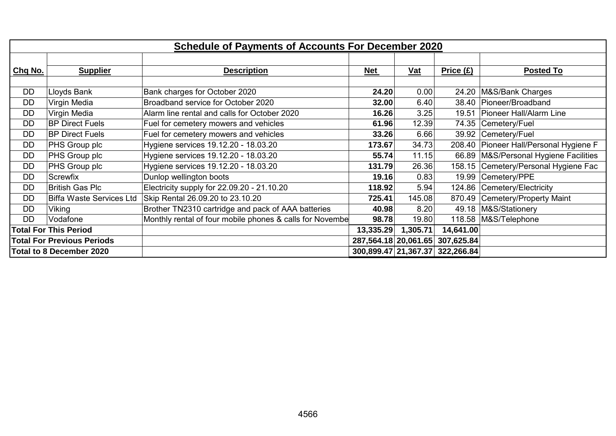|           |                                   | <b>Schedule of Payments of Accounts For December 2020</b> |            |          |                                 |                                        |
|-----------|-----------------------------------|-----------------------------------------------------------|------------|----------|---------------------------------|----------------------------------------|
|           |                                   |                                                           |            |          |                                 |                                        |
| Chq No.   | <b>Supplier</b>                   | <b>Description</b>                                        | <b>Net</b> | $vat$    | Price (E)                       | <b>Posted To</b>                       |
|           |                                   |                                                           |            |          |                                 |                                        |
| <b>DD</b> | Lloyds Bank                       | Bank charges for October 2020                             | 24.20      | 0.00     |                                 | 24.20 M&S/Bank Charges                 |
| <b>DD</b> | Virgin Media                      | Broadband service for October 2020                        | 32.00      | 6.40     |                                 | 38.40 Pioneer/Broadband                |
| <b>DD</b> | Virgin Media                      | Alarm line rental and calls for October 2020              | 16.26      | 3.25     | 19.51                           | <b>Pioneer Hall/Alarm Line</b>         |
| DD        | <b>BP Direct Fuels</b>            | Fuel for cemetery mowers and vehicles                     | 61.96      | 12.39    |                                 | 74.35 Cemetery/Fuel                    |
| <b>DD</b> | <b>BP Direct Fuels</b>            | Fuel for cemetery mowers and vehicles                     | 33.26      | 6.66     |                                 | 39.92 Cemetery/Fuel                    |
| <b>DD</b> | PHS Group plc                     | Hygiene services 19.12.20 - 18.03.20                      | 173.67     | 34.73    |                                 | 208.40 Pioneer Hall/Personal Hygiene F |
| <b>DD</b> | PHS Group plc                     | Hygiene services 19.12.20 - 18.03.20                      | 55.74      | 11.15    |                                 | 66.89 M&S/Personal Hygiene Facilities  |
| <b>DD</b> | PHS Group plc                     | Hygiene services 19.12.20 - 18.03.20                      | 131.79     | 26.36    |                                 | 158.15 Cemetery/Personal Hygiene Fac   |
| <b>DD</b> | Screwfix                          | Dunlop wellington boots                                   | 19.16      | 0.83     |                                 | 19.99 Cemetery/PPE                     |
| <b>DD</b> | <b>British Gas Plc</b>            | Electricity supply for 22.09.20 - 21.10.20                | 118.92     | 5.94     |                                 | 124.86 Cemetery/Electricity            |
| <b>DD</b> | <b>Biffa Waste Services Ltd</b>   | Skip Rental 26.09.20 to 23.10.20                          | 725.41     | 145.08   |                                 | 870.49 Cemetery/Property Maint         |
| <b>DD</b> | Viking                            | Brother TN2310 cartridge and pack of AAA batteries        | 40.98      | 8.20     |                                 | 49.18   M&S/Stationery                 |
| <b>DD</b> | Vodafone                          | Monthly rental of four mobile phones & calls for Novembe  | 98.78      | 19.80    |                                 | 118.58   M&S/Telephone                 |
|           | <b>Total For This Period</b>      |                                                           | 13,335.29  | 1,305.71 | 14,641.00                       |                                        |
|           | <b>Total For Previous Periods</b> |                                                           |            |          | 287,564.18 20,061.65 307,625.84 |                                        |
|           | <b>Total to 8 December 2020</b>   |                                                           |            |          | 300,899.47 21,367.37 322,266.84 |                                        |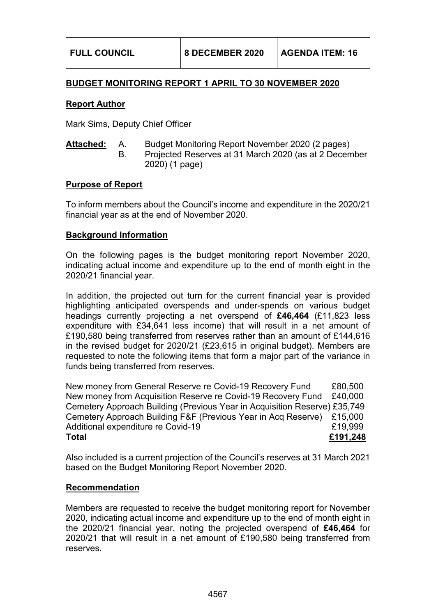# **BUDGET MONITORING REPORT 1 APRIL TO 30 NOVEMBER 2020**

#### **Report Author**

Mark Sims, Deputy Chief Officer

- **Attached:** A. Budget Monitoring Report November 2020 (2 pages)
	- B. Projected Reserves at 31 March 2020 (as at 2 December 2020) (1 page)

## **Purpose of Report**

To inform members about the Council's income and expenditure in the 2020/21 financial year as at the end of November 2020.

## **Background Information**

On the following pages is the budget monitoring report November 2020, indicating actual income and expenditure up to the end of month eight in the 2020/21 financial year.

In addition, the projected out turn for the current financial year is provided highlighting anticipated overspends and under-spends on various budget headings currently projecting a net overspend of **£46,464** (£11,823 less expenditure with £34,641 less income) that will result in a net amount of £190,580 being transferred from reserves rather than an amount of £144,616 in the revised budget for 2020/21 (£23,615 in original budget). Members are requested to note the following items that form a major part of the variance in funds being transferred from reserves.

New money from General Reserve re Covid-19 Recovery Fund £80,500 New money from Acquisition Reserve re Covid-19 Recovery Fund £40,000 Cemetery Approach Building (Previous Year in Acquisition Reserve) £35,749 Cemetery Approach Building F&F (Previous Year in Acq Reserve) £15,000 Additional expenditure re Covid-19 **E**19,999 **Total £191,248**

Also included is a current projection of the Council's reserves at 31 March 2021 based on the Budget Monitoring Report November 2020.

## **Recommendation**

Members are requested to receive the budget monitoring report for November 2020, indicating actual income and expenditure up to the end of month eight in the 2020/21 financial year, noting the projected overspend of **£46,464** for 2020/21 that will result in a net amount of £190,580 being transferred from reserves.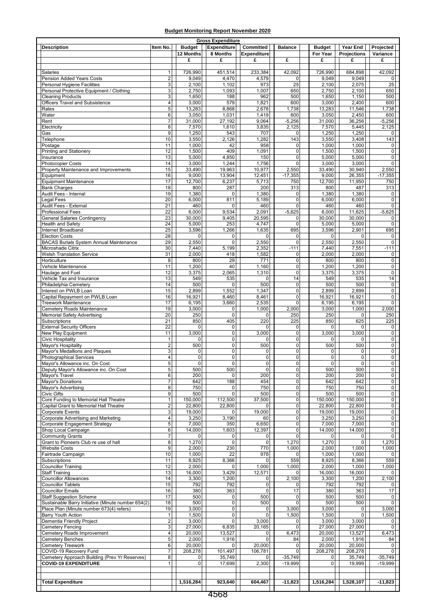#### **Budget Monitoring Report November 2020**

|                                                    |                  |               | <b>Gross Expenditure</b> |             |                |               |                |                |
|----------------------------------------------------|------------------|---------------|--------------------------|-------------|----------------|---------------|----------------|----------------|
| <b>Description</b>                                 | Item No.         | <b>Budget</b> | <b>Expenditure</b>       | Committed   | <b>Balance</b> | <b>Budget</b> | Year End       | Projected      |
|                                                    |                  | 12 Months     | 8 Months                 | Expenditure |                | For Year      | Projections    | Variance       |
|                                                    |                  | £             | £                        | £           | £              | £             | £              | £              |
|                                                    |                  |               |                          |             |                |               |                |                |
| Salaries                                           | $\mathbf{1}$     | 726,990       | 451,514                  | 233,384     | 42,092         | 726,990       | 684,898        | 42,092         |
| Pension Added Years Costs                          | $\mathbf 2$      | 9,049         | 4,470                    | 4,579       | $\Omega$       | 9,049         | 9,049          | 0              |
| Personal Hygiene Facilities                        | 3                | 2,100         | 1,102                    | 973         | 25             | 2,100         | 2,075          | 25             |
| Personal Protective Equipment / Clothing           | 3                | 2,750         | 1,093                    | 1,007       | 650            | 2,750         | 2,100          | 650            |
| <b>Cleaning Products</b>                           | 3                | 1,650         | 188                      | 962         | 500            | 1,650         | 1,150          | 500            |
| Officers Travel and Subsistence                    | 4                | 3,000         | 579                      | 1,821       | 600            | 3,000         | 2,400          | 600            |
| Rates                                              | 5                | 13,283        | 8,868                    | 2,678       | 1,738          | 13,283        | 11,546         | 1,738          |
| Water                                              | 6                | 3,050         | 1,031                    | 1,419       | 600            | 3,050         | 2,450          | 600            |
| Rent                                               | $\overline{7}$   | 31,000        | 27,192                   | 9,064       | $-5,256$       | 31,000        | 36,256         | $-5,256$       |
| Electricity                                        | 8                | 7,570         | 1,610                    | 3,835       | 2,125          | 7,570         | 5,445          | 2,125          |
| Gas                                                | 9                | 1,250         | 543                      | 707         | $\mathbf 0$    | 1,250         | 1,250          | 0              |
| Telephone                                          | 10               | 3,550         | 2,126                    | 1,282       | 143            | 3,550         | 3,408          | 143            |
| Postage                                            | 11               | 1,000         | 42                       | 958         | $\mathbf 0$    | 1,000         | 1,000          | $\overline{0}$ |
| Printing and Stationery                            | 12               | 1,500         | 409                      | 1,091       | $\mathbf 0$    | 1,500         | 1,500          | $\overline{0}$ |
| Insurance                                          | 13               | 5,000         | 4,850                    | 150         | $\mathbf 0$    | 5,000         | 5,000          | 0              |
| <b>Photocopier Costs</b>                           | 14               | 3,000         | 1,244                    | 1,756       | $\pmb{0}$      | 3,000         | 3,000          | $\overline{0}$ |
| Property Maintenance and Improvements              | 15               | 33,490        | 19,963                   | 10,977      | 2,550          | 33,490        | 30,940         | 2,550          |
| Equipment                                          | 16               | 9,000         | 13,904                   | 12,451      | $-17,355$      | 9,000         | 26,355         | $-17,355$      |
| <b>Equipment Maintenance</b>                       | 17               | 12,700        | 6,237                    | 5,713       | 750            | 12,700        | 11,950         | 750            |
| <b>Bank Charges</b>                                | 18               | 800           | 287                      | 200         | 313            | 800           | 487            | 313            |
| Audit Fees - Internal                              | 19               | 1,380         | $\mathbf 0$              | 1,380       | 0              | 1,380         | 1,380          | $\overline{0}$ |
| <b>Legal Fees</b>                                  | 20               | 6,000         | 811                      | 5,189       | $\mathbf 0$    | 6,000         | 6,000          | $\overline{0}$ |
| Audit Fees - External                              | $\overline{21}$  | 460           | 0                        | 460         | $\Omega$       | 460           | 460            | 0              |
| <b>Professional Fees</b>                           | 22               | 6,000         | 9,534                    | 2,091       | $-5,625$       | 6,000         | 11,625         | $-5,625$       |
| <b>General Salaries Contingency</b>                | 23               | 30,000        | 9,405                    | 20,595      | $\Omega$       | 30.000        | 30,000         | 0              |
| <b>Health and Safety</b>                           | 24               | 5,000         | 253                      | 4,747       | $\mathbf 0$    | 5,000         | 5,000          | $\overline{0}$ |
| Internet Broadband                                 | 25               | 3,596         | 1,266                    | 1,635       | 695            | 3,596         | 2,901          | 695            |
| <b>Election Costs</b>                              | 28               | 0             | 0                        | 0           | $\Omega$       | 0             | $\mathbf 0$    | 0              |
| <b>BACAS Burials System Annual Maintenance</b>     | 29               | 2,550         | $\overline{0}$           | 2,550       | $\mathbf 0$    | 2,550         | 2,550          | $\overline{0}$ |
| Microshade Citrix                                  | 30               | 7,440         | 5,199                    | 2,352       | $-111$         | 7,440         | 7,551          | $-111$         |
|                                                    | 31               |               |                          |             |                |               |                |                |
| <b>Welsh Translation Service</b>                   |                  | 2,000         | 418                      | 1,582       | 0              | 2,000         | 2,000          | $\overline{0}$ |
| Horticulture                                       | 8                | 800           | 29                       | 771         | $\mathbf 0$    | 800           | 800            | $\overline{0}$ |
| Vehicle Maintenance                                | 11               | 1,200         | 40                       | 1,160       | $\pmb{0}$      | 1,200         | 1,200          | $\overline{0}$ |
| Haulage and Fuel                                   | 12               | 3,375         | 2,065                    | 1,310       | $\mathbf 0$    | 3,375         | 3,375          | $\overline{0}$ |
| Vehicle Tax and Insurance                          | 13               | 549           | 535                      | 0           | 14             | 549           | 535            | 14             |
| Philadelphia Cemetery                              | 14               | 500           | 0                        | 500         | $\mathbf 0$    | 500           | 500            | $\overline{0}$ |
| Interest on PWLB Loan                              | 15               | 2,899         | 1,552                    | 1,347       | $\pmb{0}$      | 2,899         | 2,899          | $\overline{0}$ |
| Capital Repayment on PWLB Loan                     | 16               | 16,921        | 8,460                    | 8,461       | $\mathbf 0$    | 16,921        | 16,921         | $\overline{0}$ |
| <b>Treework Maintenance</b>                        | 17               | 6,195         | 3,660                    | 2,535       | $\mathbf 0$    | 6,195         | 6,195          | $\overline{0}$ |
| Cemetery Roads Maintenance                         | 19               | 3,000         | 0                        | 1,000       | 2,000          | 3,000         | 1,000          | 2,000          |
| <b>Memorial Safety Advertising</b>                 | 20               | 250           | $\mathbf 0$              | 0           | 250            | 250           | $\mathbf{0}$   | 250            |
| Subscriptions                                      | $\overline{21}$  | 850           | 405                      | 220         | 225            | 850           | 625            | 225            |
| <b>External Security Officers</b>                  | 22               | $\mathbf 0$   | $\pmb{0}$                | 0           | 0              | 0             | $\mathbf{0}$   | $\overline{0}$ |
| New Play Equipment                                 | 11               | 3,000         | $\mathbf 0$              | 3,000       | $\mathbf 0$    | 3,000         | 3,000          | $\overline{0}$ |
| <b>Civic Hospitality</b>                           | $\mathbf{1}$     | 0             | $\pmb{0}$                | $\mathbf 0$ | $\pmb{0}$      | 0             | $\mathbf{0}$   | $\overline{0}$ |
| Mayor's Hospitality                                | $\boldsymbol{2}$ | 500           | 0                        | 500         | $\pmb{0}$      | 500           | 500            | $\overline{0}$ |
| Mayor's Medallions and Plaques                     | 3                | 0             | 0                        | 0           | $\pmb{0}$      | 0             | $\overline{0}$ | $\overline{0}$ |
| <b>Photographical Services</b>                     | $\overline{4}$   | $\mathbf 0$   | 0                        | $\mathbf 0$ | $\mathbf 0$    | 0             | $\overline{0}$ | $\overline{0}$ |
| Mayor's Allowance inc. On Cost                     | 5                | $\mathbf 0$   | 0                        | $\mathbf 0$ | $\mathbf 0$    | 0             | $\overline{0}$ | $\overline{0}$ |
| Deputy Mayor's Allowance inc. On Cost              | $\overline{5}$   | 500           | 500                      | 0           | $\mathbf 0$    | 500           | 500            | 0              |
| Mayor's Travel                                     | 6                | 200           | $\mathbf 0$              | 200         | $\mathbf 0$    | 200           | 200            | $\overline{0}$ |
| Mayor's Donations                                  | $\overline{7}$   | 642           | 188                      | 454         | $\mathbf 0$    | 642           | 642            | 0              |
| Mayor's Advertising                                | 8                | 750           | 0                        | 750         | 0              | 750           | 750            | $\overline{0}$ |
| <b>Civic Gifts</b>                                 | 9                | 500           | $\mathbf{0}$             | 500         | $\pmb{0}$      | 500           | 500            | $\overline{0}$ |
| Core Funding to Memorial Hall Theatre              | $\mathbf{1}$     | 150,000       | 112,500                  | 37,500      | 0              | 150,000       | 150,000        | $\overline{0}$ |
| Capital Grant to Memorial Hall Theatre             | $\overline{2}$   | 22,800        | 22,800                   | 0           | $\pmb{0}$      | 22,800        | 22,800         | $\overline{0}$ |
| Corporate Events                                   | 3                | 19,000        | 0                        | 19,000      | $\pmb{0}$      | 19,000        | 19,000         | $\overline{0}$ |
| Corporate Advertising and Marketing                | 4                | 3,250         | 3,190                    | 60          | $\pmb{0}$      | 3,250         | 3,250          | $\overline{0}$ |
| Corporate Engagement Strategy                      | 5                | 7,000         | 350                      | 6,650       | $\mathbf 0$    | 7,000         | 7,000          | $\overline{0}$ |
| Shop Local Campaign                                | 6                | 14,000        | 1,603                    | 12,397      | $\pmb{0}$      | 14,000        | 14,000         | $\overline{0}$ |
| <b>Community Grants</b>                            | $\overline{7}$   | 0             | 0                        | 0           | $\mathbf 0$    | 0             | $\overline{0}$ | $\overline{0}$ |
| Grant to Pioneers Club re use of hall              | 8                | 1,270         | $\mathbf 0$              | $\mathbf 0$ | 1,270          | 1,270         | $\overline{0}$ | 1,270          |
| <b>Website Costs</b>                               | 9                | 2,000         | 230                      | 770         | 1,000          | 2,000         | 1,000          | 1,000          |
| Fairtrade Campaign                                 | 10               | 1,000         | 22                       | 978         | 0              | 1,000         | 1,000          | 0              |
| Subscriptions                                      | 11               | 8,925         | 8,366                    | 0           | 559            | 8,925         | 8,366          | 559            |
| <b>Councillor Training</b>                         | 12               | 2,000         | $\mathbf 0$              | 1,000       | 1,000          | 2,000         | 1,000          | 1,000          |
| <b>Staff Training</b>                              | 13               | 16,000        | 3,429                    | 12,571      | $\Omega$       | 16,000        | 16,000         | 0              |
| <b>Councillor Allowances</b>                       | 14               | 3,300         | 1,200                    | 0           | 2,100          | 3,300         | 1,200          | 2,100          |
| <b>Councillor Tablets</b>                          | 15               | 792           | 792                      | 0           | $\Omega$       | 792           | 792            | $\mathbf{0}$   |
| <b>Councillor Emails</b>                           | 16               | 380           | 363                      | $\mathbf 0$ | 17             | 380           | 363            | 17             |
| <b>Staff Suggestion Scheme</b>                     | 17               | 500           | 0                        | 500         | $\pmb{0}$      | 500           | 500            | $\overline{0}$ |
| Sustainable Barry Initiative (Minute number 654(2) | 18               | 500           | $\pmb{0}$                | 500         | $\mathbf 0$    | 500           | 500            | $\overline{0}$ |
| Place Plan (Minute number 673(4) refers)           | 19               | 3,000         | 0                        | 0           | 3,000          | 3,000         | $\overline{0}$ | 3,000          |
| Barry Youth Action                                 | $\mathbf{1}$     | 1,500         | 0                        | $\mathbf 0$ | 1,500          | 1,500         | $\mathbf{0}$   | 1,500          |
| Dementia Friendly Project                          | $\overline{c}$   | 3,000         | $\mathbf{0}$             | 3,000       | $\Omega$       | 3,000         | 3,000          | 0              |
| <b>Cemetery Fencing</b>                            | 3                | 27,000        | 6,835                    | 20,165      | $\mathbf 0$    | 27,000        | 27,000         | $\overline{0}$ |
| Cemetery Roads Improvement                         | $\overline{4}$   | 20,000        | 13,527                   | 0           | 6,473          | 20,000        | 13,527         | 6,473          |
| <b>Cemetery Benches</b>                            | 5                | 2,000         | 1,916                    | 0           | 84             | 2,000         | 1,916          | 84             |
| <b>Cemetery Treework</b>                           | 6                | 20,000        | 0                        | 20,000      | 0              | 20,000        | 20,000         | $\overline{0}$ |
| COVID-19 Recovery Fund                             | $\overline{7}$   | 208,278       | 101,497                  | 106,781     | 0              | 208,278       | 208,278        | $\overline{0}$ |
| Cemetery Approach Building (Prev Yr Reserves)      | 8                | 0             | 35,749                   | 0           | $-35,749$      | 0             | 35,749         | $-35,749$      |
| <b>COVID-19 EXPENDITURE</b>                        | $\mathbf{1}$     | $\mathbf 0$   | 17,699                   | 2,300       | $-19,999$      | 0             | 19,999         | $-19,999$      |
|                                                    |                  |               |                          |             |                |               |                |                |
|                                                    |                  |               |                          |             |                |               |                |                |
| <b>Total Expenditure</b>                           |                  | 1,516,284     | 923,640                  | 604,467     | $-11,823$      | 1,516,284     | 1,528,107      | $-11,823$      |
|                                                    |                  |               |                          |             |                |               |                |                |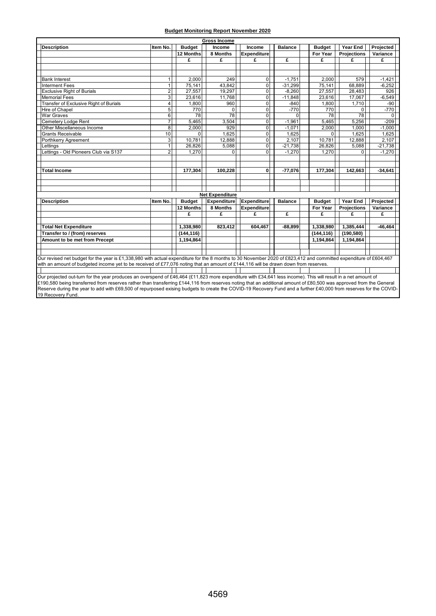| <b>Budget Monitoring Report November 2020</b> |  |  |  |
|-----------------------------------------------|--|--|--|
|-----------------------------------------------|--|--|--|

| <b>Gross Income</b>                                                                                                                                                |                |               |                        |                    |                |               |                    |           |
|--------------------------------------------------------------------------------------------------------------------------------------------------------------------|----------------|---------------|------------------------|--------------------|----------------|---------------|--------------------|-----------|
| <b>Description</b>                                                                                                                                                 | Item No.       | <b>Budget</b> | Income                 | Income             | <b>Balance</b> | <b>Budget</b> | Year End           | Projected |
|                                                                                                                                                                    |                | 12 Months     | 8 Months               | <b>Expenditure</b> |                | For Year      | <b>Projections</b> | Variance  |
|                                                                                                                                                                    |                | £             | £                      | £                  | £              | £             | £                  | £         |
|                                                                                                                                                                    |                |               |                        |                    |                |               |                    |           |
|                                                                                                                                                                    |                |               |                        |                    |                |               |                    |           |
| <b>Bank Interest</b>                                                                                                                                               | 1              | 2.000         | 249                    | 0                  | $-1.751$       | 2,000         | 579                | $-1,421$  |
| <b>Interment Fees</b>                                                                                                                                              | $\mathbf{1}$   | 75,141        | 43.842                 | $\mathbf 0$        | $-31,299$      | 75,141        | 68.889             | $-6,252$  |
| <b>Exclusive Right of Burials</b>                                                                                                                                  | 2              | 27,557        | 19,297                 | 0                  | $-8,260$       | 27,557        | 28,483             | 926       |
| <b>Memorial Fees</b>                                                                                                                                               | 3              | 23,616        | 11,768                 | $\mathbf 0$        | $-11,848$      | 23,616        | 17,067             | $-6,549$  |
| Transfer of Exclusive Right of Burials                                                                                                                             | 4              | 1,800         | 960                    | $\Omega$           | $-840$         | 1,800         | 1,710              | $-90$     |
| Hire of Chapel                                                                                                                                                     | 5              | 770           | 0                      | 0                  | $-770$         | 770           | 0                  | $-770$    |
| <b>War Graves</b>                                                                                                                                                  | 6              | 78            | 78                     | 0                  | $\Omega$       | 78            | 78                 | $\Omega$  |
| Cemetery Lodge Rent                                                                                                                                                | $\overline{7}$ | 5.465         | 3.504                  | 0                  | $-1.961$       | 5.465         | 5.256              | $-209$    |
| Other Miscellaneous Income                                                                                                                                         | 8              | 2.000         | 929                    | 0                  | $-1.071$       | 2,000         | 1.000              | $-1.000$  |
| <b>Grants Receivable</b>                                                                                                                                           | 10             | $\Omega$      | 1,625                  | $\mathbf 0$        | 1,625          | 0             | 1,625              | 1,625     |
| Porthkerry Agreement                                                                                                                                               | 3              | 10,781        | 12,888                 | $\mathbf 0$        | 2,107          | 10,781        | 12,888             | 2,107     |
| Lettings                                                                                                                                                           | $\overline{1}$ | 26,826        | 5,088                  | $\overline{0}$     | $-21,738$      | 26,826        | 5,088              | $-21,738$ |
| Lettings - Old Pioneers Club via S137                                                                                                                              | $\overline{2}$ | 1.270         | $\Omega$               | $\mathbf 0$        | $-1,270$       | 1.270         | 0                  | $-1,270$  |
|                                                                                                                                                                    |                |               |                        |                    |                |               |                    |           |
|                                                                                                                                                                    |                |               |                        |                    |                |               |                    |           |
| <b>Total Income</b>                                                                                                                                                |                | 177,304       | 100.228                | $\mathbf 0$        | $-77.076$      | 177,304       | 142.663            | $-34.641$ |
|                                                                                                                                                                    |                |               |                        |                    |                |               |                    |           |
|                                                                                                                                                                    |                |               |                        |                    |                |               |                    |           |
|                                                                                                                                                                    |                |               |                        |                    |                |               |                    |           |
|                                                                                                                                                                    |                |               | <b>Net Expenditure</b> |                    |                |               |                    |           |
| <b>Description</b>                                                                                                                                                 | Item No.       | <b>Budget</b> | Expenditure            | Expenditure        | <b>Balance</b> | <b>Budget</b> | Year End           | Projected |
|                                                                                                                                                                    |                | 12 Months     | 8 Months               | <b>Expenditure</b> |                | For Year      | <b>Projections</b> | Variance  |
|                                                                                                                                                                    |                | £             | £                      | £                  | £              | £             | £                  | £         |
|                                                                                                                                                                    |                |               |                        |                    |                |               |                    |           |
| <b>Total Net Expenditure</b>                                                                                                                                       |                | 1,338,980     | 823,412                | 604,467            | $-88,899$      | 1,338,980     | 1,385,444          | $-46,464$ |
| Transfer to / (from) reserves                                                                                                                                      |                | (144, 116)    |                        |                    |                | (144, 116)    | (190, 580)         |           |
| Amount to be met from Precept                                                                                                                                      |                | 1,194,864     |                        |                    |                | 1,194,864     | 1,194,864          |           |
|                                                                                                                                                                    |                |               |                        |                    |                |               |                    |           |
|                                                                                                                                                                    |                |               |                        |                    |                |               |                    |           |
| Our revised net budget for the year is £1,338,980 with actual expenditure for the 8 months to 30 November 2020 of £823,412 and committed expenditure of £604,467   |                |               |                        |                    |                |               |                    |           |
| with an amount of budgeted income yet to be received of £77,076 noting that an amount of £144,116 will be drawn down from reserves.                                |                |               |                        |                    |                |               |                    |           |
|                                                                                                                                                                    |                |               |                        |                    |                |               |                    |           |
| Our projected out-turn for the year produces an overspend of £46,464 (£11,823 more expenditure with £34,641 less income). This will result in a net amount of      |                |               |                        |                    |                |               |                    |           |
| £190,580 being transferred from reserves rather than transferring £144,116 from reserves noting that an additional amount of £80,500 was approved from the General |                |               |                        |                    |                |               |                    |           |
| Reserve during the year to add with £69,500 of repurposed exising budgets to create the COVID-19 Recovery Fund and a further £40,000 from reserves for the COVID-  |                |               |                        |                    |                |               |                    |           |
| 19 Recovery Fund.                                                                                                                                                  |                |               |                        |                    |                |               |                    |           |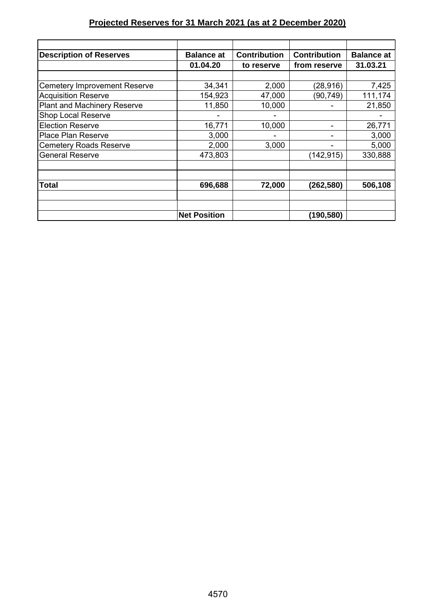# **Projected Reserves for 31 March 2021 (as at 2 December 2020)**

| <b>Description of Reserves</b>      | <b>Balance at</b>   | <b>Contribution</b> | <b>Contribution</b> | <b>Balance at</b> |
|-------------------------------------|---------------------|---------------------|---------------------|-------------------|
|                                     | 01.04.20            | to reserve          | from reserve        | 31.03.21          |
|                                     |                     |                     |                     |                   |
| <b>Cemetery Improvement Reserve</b> | 34,341              | 2,000               | (28, 916)           | 7,425             |
| <b>Acquisition Reserve</b>          | 154,923             | 47,000              | (90,749)            | 111,174           |
| <b>Plant and Machinery Reserve</b>  | 11,850              | 10,000              |                     | 21,850            |
| Shop Local Reserve                  |                     |                     |                     |                   |
| <b>Election Reserve</b>             | 16,771              | 10,000              |                     | 26,771            |
| <b>Place Plan Reserve</b>           | 3,000               |                     |                     | 3,000             |
| <b>Cemetery Roads Reserve</b>       | 2,000               | 3,000               |                     | 5,000             |
| <b>General Reserve</b>              | 473,803             |                     | (142, 915)          | 330,888           |
|                                     |                     |                     |                     |                   |
| <b>Total</b>                        | 696,688             | 72,000              | (262, 580)          | 506,108           |
|                                     |                     |                     |                     |                   |
|                                     |                     |                     |                     |                   |
|                                     | <b>Net Position</b> |                     | (190, 580)          |                   |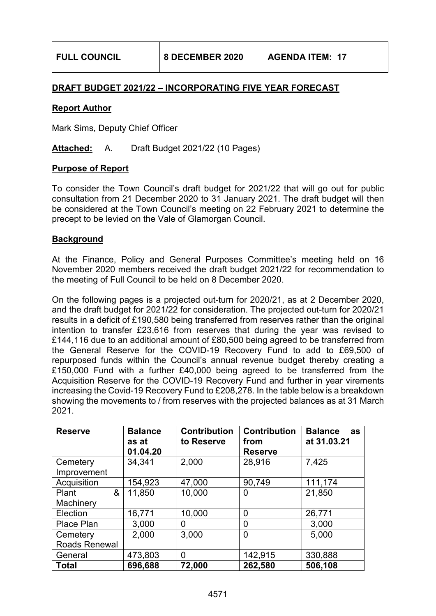# **DRAFT BUDGET 2021/22 – INCORPORATING FIVE YEAR FORECAST**

## **Report Author**

Mark Sims, Deputy Chief Officer

**Attached:** A. Draft Budget 2021/22 (10 Pages)

## **Purpose of Report**

To consider the Town Council's draft budget for 2021/22 that will go out for public consultation from 21 December 2020 to 31 January 2021. The draft budget will then be considered at the Town Council's meeting on 22 February 2021 to determine the precept to be levied on the Vale of Glamorgan Council.

#### **Background**

At the Finance, Policy and General Purposes Committee's meeting held on 16 November 2020 members received the draft budget 2021/22 for recommendation to the meeting of Full Council to be held on 8 December 2020.

On the following pages is a projected out-turn for 2020/21, as at 2 December 2020, and the draft budget for 2021/22 for consideration. The projected out-turn for 2020/21 results in a deficit of £190,580 being transferred from reserves rather than the original intention to transfer £23,616 from reserves that during the year was revised to £144,116 due to an additional amount of £80,500 being agreed to be transferred from the General Reserve for the COVID-19 Recovery Fund to add to £69,500 of repurposed funds within the Council's annual revenue budget thereby creating a £150,000 Fund with a further £40,000 being agreed to be transferred from the Acquisition Reserve for the COVID-19 Recovery Fund and further in year virements increasing the Covid-19 Recovery Fund to £208,278. In the table below is a breakdown showing the movements to / from reserves with the projected balances as at 31 March 2021.

| <b>Reserve</b> | <b>Balance</b><br>as at<br>01.04.20 | <b>Contribution</b><br>to Reserve | <b>Contribution</b><br>from<br><b>Reserve</b> | <b>Balance</b><br>as<br>at 31.03.21 |
|----------------|-------------------------------------|-----------------------------------|-----------------------------------------------|-------------------------------------|
| Cemetery       | 34,341                              | 2,000                             | 28,916                                        | 7,425                               |
| Improvement    |                                     |                                   |                                               |                                     |
| Acquisition    | 154,923                             | 47,000                            | 90,749                                        | 111,174                             |
| &<br>Plant     | 11,850                              | 10,000                            | 0                                             | 21,850                              |
| Machinery      |                                     |                                   |                                               |                                     |
| Election       | 16,771                              | 10,000                            | 0                                             | 26,771                              |
| Place Plan     | 3,000                               | 0                                 | 0                                             | 3,000                               |
| Cemetery       | 2,000                               | 3,000                             | 0                                             | 5,000                               |
| Roads Renewal  |                                     |                                   |                                               |                                     |
| General        | 473,803                             | $\mathbf 0$                       | 142,915                                       | 330,888                             |
| <b>Total</b>   | 696,688                             | 72,000                            | 262,580                                       | 506,108                             |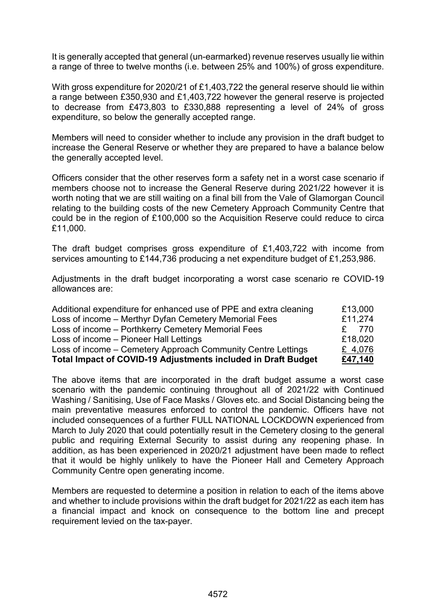It is generally accepted that general (un-earmarked) revenue reserves usually lie within a range of three to twelve months (i.e. between 25% and 100%) of gross expenditure.

With gross expenditure for 2020/21 of £1,403,722 the general reserve should lie within a range between £350,930 and £1,403,722 however the general reserve is projected to decrease from £473,803 to £330,888 representing a level of 24% of gross expenditure, so below the generally accepted range.

Members will need to consider whether to include any provision in the draft budget to increase the General Reserve or whether they are prepared to have a balance below the generally accepted level.

Officers consider that the other reserves form a safety net in a worst case scenario if members choose not to increase the General Reserve during 2021/22 however it is worth noting that we are still waiting on a final bill from the Vale of Glamorgan Council relating to the building costs of the new Cemetery Approach Community Centre that could be in the region of £100,000 so the Acquisition Reserve could reduce to circa £11,000.

The draft budget comprises gross expenditure of £1,403,722 with income from services amounting to £144,736 producing a net expenditure budget of £1,253,986.

Adjustments in the draft budget incorporating a worst case scenario re COVID-19 allowances are:

| Additional expenditure for enhanced use of PPE and extra cleaning | £13,000 |
|-------------------------------------------------------------------|---------|
| Loss of income – Merthyr Dyfan Cemetery Memorial Fees             | £11,274 |
| Loss of income – Porthkerry Cemetery Memorial Fees                | $£$ 770 |
| Loss of income – Pioneer Hall Lettings                            | £18,020 |
| Loss of income – Cemetery Approach Community Centre Lettings      | £ 4,076 |
| Total Impact of COVID-19 Adjustments included in Draft Budget     | £47,140 |

The above items that are incorporated in the draft budget assume a worst case scenario with the pandemic continuing throughout all of 2021/22 with Continued Washing / Sanitising, Use of Face Masks / Gloves etc. and Social Distancing being the main preventative measures enforced to control the pandemic. Officers have not included consequences of a further FULL NATIONAL LOCKDOWN experienced from March to July 2020 that could potentially result in the Cemetery closing to the general public and requiring External Security to assist during any reopening phase. In addition, as has been experienced in 2020/21 adjustment have been made to reflect that it would be highly unlikely to have the Pioneer Hall and Cemetery Approach Community Centre open generating income.

Members are requested to determine a position in relation to each of the items above and whether to include provisions within the draft budget for 2021/22 as each item has a financial impact and knock on consequence to the bottom line and precept requirement levied on the tax-payer.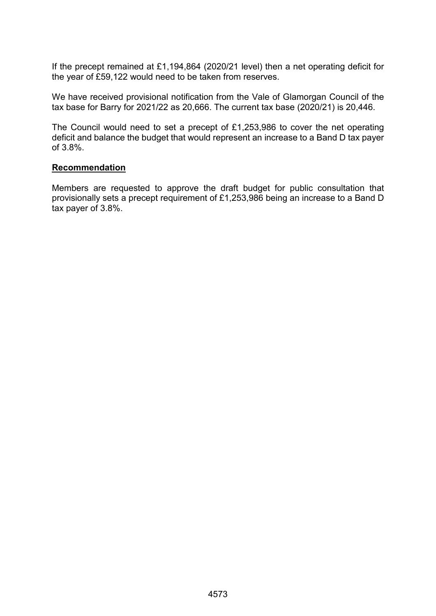If the precept remained at £1,194,864 (2020/21 level) then a net operating deficit for the year of £59,122 would need to be taken from reserves.

We have received provisional notification from the Vale of Glamorgan Council of the tax base for Barry for 2021/22 as 20,666. The current tax base (2020/21) is 20,446.

The Council would need to set a precept of £1,253,986 to cover the net operating deficit and balance the budget that would represent an increase to a Band D tax payer of 3.8%.

#### **Recommendation**

Members are requested to approve the draft budget for public consultation that provisionally sets a precept requirement of £1,253,986 being an increase to a Band D tax payer of 3.8%.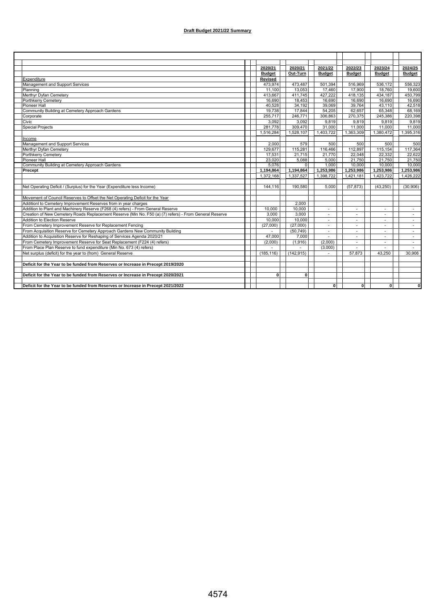#### **Draft Budget 2021/22 Summary**

|                                                                                                        | 2020/21       |              | 2020/21      | 2021/22       | 2022/23       | 2023/24       | 2024/25       |
|--------------------------------------------------------------------------------------------------------|---------------|--------------|--------------|---------------|---------------|---------------|---------------|
|                                                                                                        | <b>Budget</b> |              | Out-Turn     | <b>Budget</b> | <b>Budget</b> | <b>Budget</b> | <b>Budget</b> |
| Expenditure                                                                                            | Revised       |              |              |               |               |               |               |
| Management and Support Services                                                                        | 473.974       |              | 473,487      | 501,394       | 516,969       | 536,172       | 556,323       |
| Planning                                                                                               | 11,100        |              | 13,053       | 17,460        | 17,900        | 18,760        | 19,600        |
| Merthyr Dyfan Cemetery                                                                                 | 413,667       |              | 411,745      | 427,222       | 418,135       | 434,187       | 450,799       |
| Porthkerry Cemetery                                                                                    | 16.690        |              | 18.453       | 16.690        | 16.690        | 16.690        | 16.690        |
| Pioneer Hall                                                                                           | 40,528        |              | 34,192       | 39,069        | 39,764        | 43,110        | 42,518        |
| Community Building at Cemetery Approach Gardens                                                        | 19.738        |              | 17,844       | 54,205        | 62.657        | 65.348        | 68.169        |
| Corporate                                                                                              | 255,717       |              | 246,771      | 306,863       | 270,375       | 245,386       | 220,398       |
| Civic                                                                                                  |               | 3.092        | 3,092        | 9,819         | 9,819         | 9,819         | 9,819         |
| <b>Special Projects</b>                                                                                | 281,778       |              | 309,470      | 31,000        | 11,000        | 11,000        | 11,000        |
|                                                                                                        | 1,516,284     |              | 1,528,107    | 1,403,722     | 1,363,309     | 1,380,472     | 1,395,316     |
| Income                                                                                                 |               |              |              |               |               |               |               |
| Management and Support Services                                                                        |               | 2,000        | 579          | 500           | 500           | 500           | 500           |
| Merthyr Dyfan Cemetery                                                                                 | 129,677       |              | 115,281      | 116,466       | 112,897       | 115,154       | 117,364       |
| Porthkerry Cemetery                                                                                    | 17,531        |              | 21,715       | 21,770        | 22,048        | 22,332        | 22,622        |
| Pioneer Hall                                                                                           | 23.020        |              | 5,088        | 5.000         | 21,750        | 21,750        | 21,750        |
| Community Building at Cemetery Approach Gardens                                                        |               | 5,076        | $\Omega$     | 1,000         | 10,000        | 10,000        | 10,000        |
| Precept                                                                                                | 1,194,864     |              | 1,194,864    | 1,253,986     | 1,253,986     | 1,253,986     | 1,253,986     |
|                                                                                                        | 1,372,168     |              | 1,337,527    | 1,398,722     | 1,421,181     | 1,423,722     | 1,426,222     |
|                                                                                                        | 144.116       |              | 190,580      | 5.000         | (57.873)      | (43.250)      | (30,906)      |
| Net Operating Deficit / (Surplus) for the Year (Expenditure less Income)                               |               |              |              |               |               |               |               |
| Movement of Council Reserves to Offset the Net Operating Deficit for the Year                          |               |              |              |               |               |               |               |
| AdditionI to Cemetery Improvement Reserves from in year charges                                        |               |              | 2.000        |               |               |               |               |
| Addition to Plant and Machinery Reserve (F268 (4) refers) - From General Reserve                       | 10.000        |              | 10.000       |               |               | ÷.            |               |
| Creation of New Cemetery Roads Replacement Reserve (Min No. F50 (a) (7) refers) - From General Reserve | 3.000         |              | 3.000        | $\sim$        | $\sim$        | $\sim$        | $\sim$        |
| Addition to Election Reserve                                                                           |               | 10,000       | 10,000       |               |               | ٠             | $\sim$        |
| From Cemetery Improvement Reserve for Replacement Fencing                                              | (27,000)      |              | (27,000)     | $\sim$        | $\sim$        | $\sim$        | $\sim$        |
| From Acquisition Reserve for Cemetery Approach Gardens New Community Building                          |               |              | (50, 749)    |               |               | ٠             |               |
| Addition to Acquisition Reserve for Reshaping of Services Agenda 2020/21                               | 47.000        |              | 7,000        | $\sim$        | $\sim$        | $\sim$        | $\sim$        |
| From Cemetery Improvement Reserve for Seat Replacement (F224 (4) refers)                               | (2,000)       |              | (1,916)      | (2,000)       | ٠             | ٠             | $\sim$        |
| From Place Plan Reserve to fund expenditure (Min No. 673 (4) refers)                                   | $\sim$        |              | ×.           | (3,000)       | $\sim$        | ٠             | $\sim$        |
| Net surplus (deficit) for the year to (from) General Reserve                                           | (185, 116)    |              | (142, 915)   |               | 57,873        | 43.250        | 30.906        |
|                                                                                                        |               |              |              |               |               |               |               |
| Deficit for the Year to be funded from Reserves or Increase in Precept 2019/2020                       |               |              |              |               |               |               |               |
|                                                                                                        |               |              |              |               |               |               |               |
| Deficit for the Year to be funded from Reserves or Increase in Precept 2020/2021                       |               | $\mathbf{0}$ | $\mathbf{0}$ |               |               |               |               |
|                                                                                                        |               |              |              |               |               |               |               |
| Deficit for the Year to be funded from Reserves or Increase in Precept 2021/2022                       |               |              |              | $\mathbf{0}$  | 0             | 0             | $\bf{0}$      |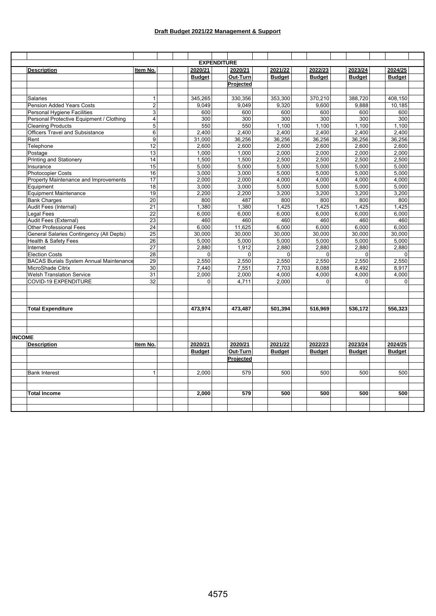#### **Draft Budget 2021/22 Management & Support**

|               |                                                |                 |               | <b>EXPENDITURE</b> |              |               |               |                |               |               |  |
|---------------|------------------------------------------------|-----------------|---------------|--------------------|--------------|---------------|---------------|----------------|---------------|---------------|--|
|               | <b>Description</b>                             | Item No.        | 2020/21       |                    | 2020/21      | 2021/22       | 2022/23       |                | 2023/24       | 2024/25       |  |
|               |                                                |                 | <b>Budget</b> |                    | Out-Turn     | <b>Budget</b> | <b>Budget</b> |                | <b>Budget</b> | <b>Budget</b> |  |
|               |                                                |                 |               |                    | Projected    |               |               |                |               |               |  |
|               |                                                |                 |               |                    |              |               |               |                |               |               |  |
|               | Salaries                                       | $\mathbf{1}$    | 345,265       |                    | 330,356      | 353,300       | 370,210       |                | 388,720       | 408,150       |  |
|               | <b>Pension Added Years Costs</b>               | $\overline{2}$  | 9,049         |                    | 9,049        | 9,320         | 9,600         |                | 9,888         | 10,185        |  |
|               | Personal Hygiene Facilities                    | $\overline{3}$  | 600           |                    | 600          | 600           |               | 600            | 600           | 600           |  |
|               | Personal Protective Equipment / Clothing       | $\overline{4}$  | 300           |                    | 300          | 300           |               | 300            | 300           | 300           |  |
|               | <b>Cleaning Products</b>                       | $\overline{5}$  | 550           |                    | 550          | 1,100         | 1,100         |                | 1,100         | 1,100         |  |
|               | <b>Officers Travel and Subsistance</b>         | 6               | 2,400         |                    | 2,400        | 2,400         | 2,400         |                | 2,400         | 2,400         |  |
|               | Rent                                           | 9               | 31,000        |                    | 36,256       | 36,256        | 36,256        |                | 36,256        | 36,256        |  |
|               | Telephone                                      | 12              | 2.600         |                    | 2.600        | 2,600         | 2.600         |                | 2.600         | 2.600         |  |
|               | Postage                                        | 13              | 1,000         |                    | 1,000        | 2,000         | 2,000         |                | 2,000         | 2,000         |  |
|               | Printing and Stationery                        | 14              | 1,500         |                    | 1,500        | 2,500         | 2,500         |                | 2,500         | 2,500         |  |
|               | Insurance                                      | 15              | 5,000         |                    | 5,000        | 5,000         | 5,000         |                | 5,000         | 5,000         |  |
|               | <b>Photocopier Costs</b>                       | 16              | 3,000         |                    | 3,000        | 5,000         | 5,000         |                | 5,000         | 5,000         |  |
|               | Property Maintenance and Improvements          | 17              | 2,000         |                    | 2,000        | 4,000         | 4,000         |                | 4,000         | 4,000         |  |
|               | Equipment                                      | 18              | 3,000         |                    | 3,000        | 5,000         | 5,000         |                | 5,000         | 5,000         |  |
|               | Equipment Maintenance                          | 19              | 2,200         |                    | 2,200        | 3,200         | 3,200         |                | 3,200         | 3,200         |  |
|               | <b>Bank Charges</b>                            | 20              | 800           |                    | 487          | 800           |               | 800            | 800           | 800           |  |
|               | Audit Fees (Internal)                          | 21              | 1,380         |                    | 1,380        | 1,425         | 1,425         |                | 1,425         | 1,425         |  |
|               | Legal Fees                                     | 22              | 6,000         |                    | 6,000        | 6,000         | 6,000         |                | 6,000         | 6,000         |  |
|               | Audit Fees (External)                          | 23              | 460           |                    | 460          | 460           |               | 460            | 460           | 460           |  |
|               | <b>Other Professional Fees</b>                 | 24              | 6,000         |                    | 11,625       | 6,000         | 6,000         |                | 6,000         | 6,000         |  |
|               | General Salaries Contingency (All Depts)       | 25              | 30,000        |                    | 30,000       | 30.000        | 30,000        |                | 30,000        | 30,000        |  |
|               | Health & Safety Fees                           | 26              | 5,000         |                    | 5.000        | 5.000         | 5.000         |                | 5.000         | 5.000         |  |
|               | Internet                                       | $\overline{27}$ | 2,880         |                    | 1,912        | 2,880         | 2,880         |                | 2,880         | 2,880         |  |
|               | <b>Election Costs</b>                          | 28              | 0             |                    | $\mathbf{0}$ | $\Omega$      |               | $\Omega$       | $\Omega$      | $\Omega$      |  |
|               | <b>BACAS Burials System Annual Maintenance</b> | 29              | 2,550         |                    | 2,550        | 2,550         | 2,550         |                | 2,550         | 2,550         |  |
|               | MicroShade Citrix                              | 30              | 7,440         |                    | 7,551        | 7,703         | 8,088         |                | 8,492         | 8,917         |  |
|               | <b>Welsh Translation Service</b>               | 31              | 2,000         |                    | 2,000        | 4,000         | 4,000         |                | 4,000         | 4,000         |  |
|               | COVID-19 EXPENDITURE                           | 32              | $\mathbf 0$   |                    | 4,711        | 2,000         |               | $\overline{0}$ | 0             | $\mathbf{0}$  |  |
|               |                                                |                 |               |                    |              |               |               |                |               |               |  |
|               |                                                |                 |               |                    |              |               |               |                |               |               |  |
|               |                                                |                 |               |                    |              |               |               |                |               |               |  |
|               | <b>Total Expenditure</b>                       |                 | 473,974       |                    | 473,487      | 501,394       | 516,969       |                | 536,172       | 556,323       |  |
|               |                                                |                 |               |                    |              |               |               |                |               |               |  |
|               |                                                |                 |               |                    |              |               |               |                |               |               |  |
|               |                                                |                 |               |                    |              |               |               |                |               |               |  |
| <b>INCOME</b> |                                                |                 |               |                    |              |               |               |                |               |               |  |
|               | <b>Description</b>                             | Item No.        | 2020/21       |                    | 2020/21      | 2021/22       | 2022/23       |                | 2023/24       | 2024/25       |  |
|               |                                                |                 | <b>Budget</b> |                    | Out-Turn     | <b>Budget</b> | <b>Budget</b> |                | <b>Budget</b> | <b>Budget</b> |  |
|               |                                                |                 |               |                    | Projected    |               |               |                |               |               |  |
|               |                                                |                 |               |                    |              |               |               |                |               |               |  |
|               | <b>Bank Interest</b>                           | $\mathbf{1}$    | 2,000         |                    | 579          | 500           |               | 500            | 500           | 500           |  |
|               |                                                |                 |               |                    |              |               |               |                |               |               |  |
|               |                                                |                 |               |                    |              |               |               |                |               |               |  |
|               | <b>Total Income</b>                            |                 | 2,000         |                    | 579          | 500           | 500           |                | 500           | 500           |  |
|               |                                                |                 |               |                    |              |               |               |                |               |               |  |
|               |                                                |                 |               |                    |              |               |               |                |               |               |  |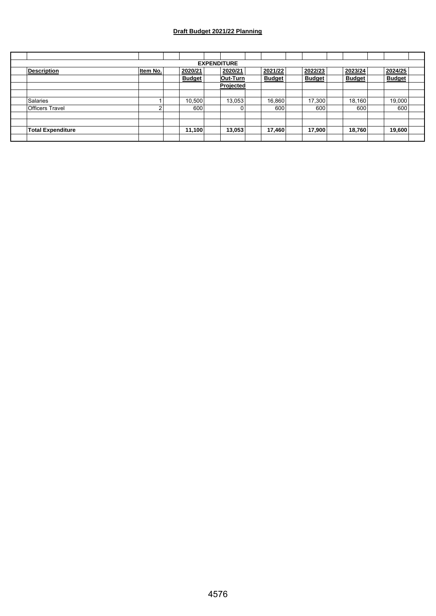#### **Draft Budget 2021/22 Planning**

|                          |          |               | <b>EXPENDITURE</b> |               |               |               |               |
|--------------------------|----------|---------------|--------------------|---------------|---------------|---------------|---------------|
| <b>Description</b>       | Item No. | 2020/21       | 2020/21            | 2021/22       | 2022/23       | 2023/24       | 2024/25       |
|                          |          | <b>Budget</b> | Out-Turn           | <b>Budget</b> | <b>Budget</b> | <b>Budget</b> | <b>Budget</b> |
|                          |          |               | Projected          |               |               |               |               |
|                          |          |               |                    |               |               |               |               |
| Salaries                 |          | 10,500        | 13,053             | 16,860        | 17,300        | 18,160        | 19,000        |
| <b>Officers Travel</b>   |          | 600           |                    | 600           | 600           | 600           | 600           |
|                          |          |               |                    |               |               |               |               |
| <b>Total Expenditure</b> |          | 11,100        | 13,053             | 17,460        | 17,900        | 18,760        | 19,600        |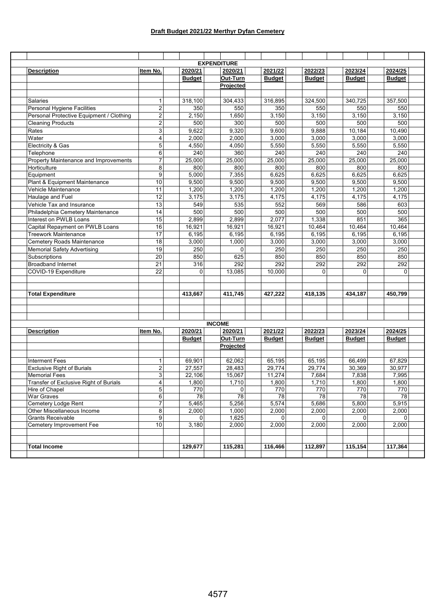#### **Draft Budget 2021/22 Merthyr Dyfan Cemetery**

|                                                                |                         |               | <b>EXPENDITURE</b> |                |               |                |                |
|----------------------------------------------------------------|-------------------------|---------------|--------------------|----------------|---------------|----------------|----------------|
| <b>Description</b>                                             | Item No.                | 2020/21       | 2020/21            | 2021/22        | 2022/23       | 2023/24        | 2024/25        |
|                                                                |                         | <b>Budget</b> | Out-Turn           | <b>Budget</b>  | <b>Budget</b> | <b>Budget</b>  | <b>Budget</b>  |
|                                                                |                         |               | Projected          |                |               |                |                |
|                                                                |                         |               |                    |                |               |                |                |
| Salaries                                                       | $\mathbf{1}$            | 318,100       | 304,433            | 316,895        | 324,500       | 340,725        | 357,500        |
| Personal Hygiene Facilities                                    | $\boldsymbol{2}$        | 350           | 550                | 350            | 550           | 550            | 550            |
| Personal Protective Equipment / Clothing                       | $\overline{c}$          | 2,150         | 1,650              | 3,150          | 3,150         | 3,150          | 3,150          |
| <b>Cleaning Products</b>                                       | $\overline{2}$          | 500           | 300                | 500            | 500           | 500            | 500            |
| Rates                                                          | $\overline{3}$          | 9,622         | 9,320              | 9,600          | 9,888         | 10,184         | 10,490         |
| Water                                                          | $\overline{4}$          | 2,000         | 2,000              | 3,000          | 3,000         | 3,000          | 3,000          |
| Electricity & Gas                                              | 5                       | 4,550         | 4,050              | 5,550          | 5,550         | 5,550          | 5,550          |
| Telephone                                                      | 6                       | 240           | 360                | 240            | 240           | 240            | 240            |
| Property Maintenance and Improvements                          | $\overline{7}$          | 25,000        | 25,000             | 25,000         | 25,000        | 25,000         | 25,000         |
| Horticulture                                                   | 8                       | 800           | 800                | 800            | 800           | 800            | 800            |
| Equipment                                                      | 9                       | 5,000         | 7,355              | 6,625          | 6,625         | 6,625          | 6,625          |
| Plant & Equipment Maintenance                                  | 10                      | 9,500         | 9,500              | 9,500          | 9,500         | 9,500          | 9,500          |
| Vehicle Maintenance                                            | 11                      | 1,200         | 1,200              | 1,200          | 1,200         | 1,200          | 1,200          |
| Haulage and Fuel                                               | 12                      | 3,175         | 3,175              | 4,175          | 4,175         | 4,175          | 4,175          |
| Vehicle Tax and Insurance                                      | 13                      | 549           | 535                | 552            | 569           | 586            | 603            |
| Philadelphia Cemetery Maintenance                              | 14                      | 500           | 500                | 500            | 500           | 500            | 500            |
| Interest on PWLB Loans                                         | 15                      | 2,899         | 2,899              | 2,077          | 1,338         | 851            | 365            |
|                                                                | 16                      |               |                    |                |               |                |                |
| Capital Repayment on PWLB Loans<br><b>Treework Maintenance</b> |                         | 16,921        | 16,921             | 16,921         | 10,464        | 10,464         | 10,464         |
|                                                                | 17                      | 6,195         | 6,195              | 6,195          | 6,195         | 6,195          | 6,195          |
| Cemetery Roads Maintenance                                     | 18                      | 3,000         | 1,000              | 3,000          | 3,000         | 3,000          | 3,000          |
| <b>Memorial Safety Advertising</b>                             | 19                      | 250           | $\Omega$           | 250            | 250           | 250            | 250            |
| Subscriptions                                                  | 20                      | 850           | 625                | 850            | 850           | 850            | 850            |
| <b>Broadband Internet</b>                                      | 21                      | 316           | 292                | 292            | 292           | 292            | 292            |
| COVID-19 Expenditure                                           | 22                      | $\mathbf 0$   | 13,085             | 10,000         | 0             | $\mathbf 0$    | $\Omega$       |
|                                                                |                         |               |                    |                |               |                |                |
|                                                                |                         |               |                    |                |               |                |                |
| <b>Total Expenditure</b>                                       |                         | 413,667       | 411,745            | 427,222        | 418,135       | 434,187        | 450,799        |
|                                                                |                         |               |                    |                |               |                |                |
|                                                                |                         |               |                    |                |               |                |                |
|                                                                |                         |               | <b>INCOME</b>      |                |               |                |                |
| <b>Description</b>                                             | Item No.                | 2020/21       | 2020/21            | 2021/22        | 2022/23       | 2023/24        | 2024/25        |
|                                                                |                         | <b>Budget</b> | Out-Turn           | <b>Budget</b>  | <b>Budget</b> | <b>Budget</b>  | <b>Budget</b>  |
|                                                                |                         |               | Projected          |                |               |                |                |
| <b>Interment Fees</b>                                          | 1                       | 69,901        | 62.062             | 65,195         | 65.195        | 66,499         | 67,829         |
| <b>Exclusive Right of Burials</b>                              | $\overline{\mathbf{c}}$ | 27,557        | 28,483             | 29,774         | 29,774        | 30,369         | 30,977         |
| <b>Memorial Fees</b>                                           | 3                       | 22,106        | 15,067             | 11,274         | 7,684         | 7,838          | 7,995          |
| Transfer of Exclusive Right of Burials                         | 4                       | 1,800         | 1,710              | 1,800          | 1,710         | 1,800          | 1,800          |
| Hire of Chapel                                                 | $\overline{5}$          | 770           | 0                  | 770            | 770           | 770            | 770            |
| War Graves                                                     | 6                       | 78            | $\overline{78}$    | 78             | 78            | 78             | 78             |
| Cemetery Lodge Rent                                            | $\overline{7}$          | 5,465         | 5,256              | 5,574          | 5,686         | 5,800          | 5,915          |
| Other Miscellaneous Income                                     | $\overline{8}$          | 2,000         | 1,000              | 2,000          | 2,000         | 2,000          | 2,000          |
| <b>Grants Receivable</b>                                       | 9                       | 0             | 1,625              | $\overline{0}$ | 0             | $\overline{0}$ | $\overline{0}$ |
| Cemetery Improvement Fee                                       | 10                      | 3,180         | 2,000              | 2,000          | 2,000         | 2,000          | 2,000          |
|                                                                |                         |               |                    |                |               |                |                |
| <b>Total Income</b>                                            |                         | 129,677       | 115,281            | 116,466        | 112,897       | 115,154        | 117,364        |
|                                                                |                         |               |                    |                |               |                |                |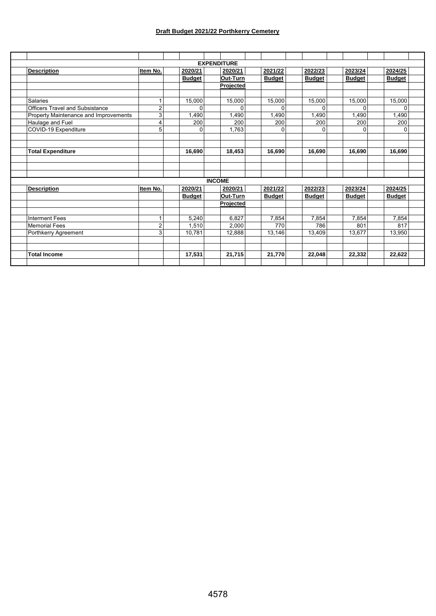#### **Draft Budget 2021/22 Porthkerry Cemetery**

|                                        |                |               | <b>EXPENDITURE</b> |               |               |               |               |
|----------------------------------------|----------------|---------------|--------------------|---------------|---------------|---------------|---------------|
| <b>Description</b>                     | Item No.       | 2020/21       | 2020/21            | 2021/22       | 2022/23       | 2023/24       | 2024/25       |
|                                        |                | <b>Budget</b> | Out-Turn           | <b>Budget</b> | <b>Budget</b> | <b>Budget</b> | <b>Budget</b> |
|                                        |                |               | Projected          |               |               |               |               |
| <b>Salaries</b>                        |                | 15,000        | 15,000             | 15,000        | 15,000        | 15,000        | 15,000        |
| <b>Officers Travel and Subsistance</b> | $\overline{c}$ | $\Omega$      | $\Omega$           | 0             | $\Omega$      | $\Omega$      | $\Omega$      |
| Property Maintenance and Improvements  | 3              | 1,490         | 1,490              | 1,490         | 1,490         | 1,490         | 1,490         |
| Haulage and Fuel                       | 4              | 200           | 200                | 200           | 200           | 200           | 200           |
| COVID-19 Expenditure                   | 5              | 0             | 1,763              | 0             | $\Omega$      | $\Omega$      | 0             |
| <b>Total Expenditure</b>               |                | 16,690        | 18,453             | 16,690        | 16,690        | 16,690        | 16,690        |
|                                        |                |               |                    |               |               |               |               |
|                                        |                |               | <b>INCOME</b>      |               |               |               |               |
| <b>Description</b>                     | Item No.       | 2020/21       | 2020/21            | 2021/22       | 2022/23       | 2023/24       | 2024/25       |
|                                        |                | <b>Budget</b> | Out-Turn           | <b>Budget</b> | <b>Budget</b> | <b>Budget</b> | <b>Budget</b> |
|                                        |                |               | <b>Projected</b>   |               |               |               |               |
| <b>Interment Fees</b>                  |                | 5,240         | 6.827              | 7,854         | 7,854         | 7,854         | 7,854         |
| Memorial Fees                          | $\overline{c}$ | 1,510         | 2,000              | 770           | 786           | 801           | 817           |
| Porthkerry Agreement                   | 3              | 10,781        | 12,888             | 13,146        | 13,409        | 13,677        | 13,950        |
| <b>Total Income</b>                    |                | 17,531        | 21,715             | 21,770        | 22,048        | 22,332        | 22,622        |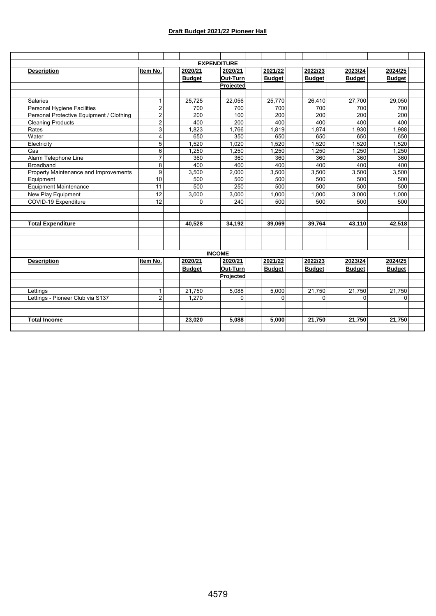#### **Draft Budget 2021/22 Pioneer Hall**

|                                          |                |               | <b>EXPENDITURE</b> |               |               |               |               |
|------------------------------------------|----------------|---------------|--------------------|---------------|---------------|---------------|---------------|
| <b>Description</b>                       | Item No.       | 2020/21       | 2020/21            | 2021/22       | 2022/23       | 2023/24       | 2024/25       |
|                                          |                | <b>Budget</b> | Out-Turn           | <b>Budget</b> | <b>Budget</b> | <b>Budget</b> | <b>Budget</b> |
|                                          |                |               | Projected          |               |               |               |               |
|                                          |                |               |                    |               |               |               |               |
| <b>Salaries</b>                          | $\mathbf{1}$   | 25,725        | 22,056             | 25,770        | 26,410        | 27,700        | 29,050        |
| Personal Hygiene Facilities              | $\overline{2}$ | 700           | 700                | 700           | 700           | 700           | 700           |
| Personal Protective Equipment / Clothing | $\overline{2}$ | 200           | 100                | 200           | 200           | 200           | 200           |
| <b>Cleaning Products</b>                 | $\overline{c}$ | 400           | 200                | 400           | 400           | 400           | 400           |
| Rates                                    | 3              | 1,823         | 1,766              | 1,819         | 1,874         | 1,930         | 1,988         |
| Water                                    | 4              | 650           | 350                | 650           | 650           | 650           | 650           |
| Electricity                              | 5              | 1,520         | 1,020              | 1,520         | 1,520         | 1,520         | 1,520         |
| Gas                                      | 6              | 1,250         | 1,250              | 1,250         | 1,250         | 1,250         | 1,250         |
| Alarm Telephone Line                     | $\overline{7}$ | 360           | 360                | 360           | 360           | 360           | 360           |
| Broadband                                | 8              | 400           | 400                | 400           | 400           | 400           | 400           |
| Property Maintenance and Improvements    | 9              | 3,500         | 2.000              | 3,500         | 3,500         | 3.500         | 3,500         |
| Equipment                                | 10             | 500           | 500                | 500           | 500           | 500           | 500           |
| Equipment Maintenance                    | 11             | 500           | 250                | 500           | 500           | 500           | 500           |
| New Play Equipment                       | 12             | 3,000         | 3,000              | 1,000         | 1,000         | 3,000         | 1,000         |
| COVID-19 Expenditure                     | 12             | $\Omega$      | 240                | 500           | 500           | 500           | 500           |
|                                          |                | 40,528        | 34,192             | 39.069        | 39,764        | 43,110        | 42,518        |
| <b>Total Expenditure</b>                 |                |               |                    |               |               |               |               |
|                                          |                |               |                    |               |               |               |               |
|                                          |                |               | <b>INCOME</b>      |               |               |               |               |
| <b>Description</b>                       | Item No.       | 2020/21       | 2020/21            | 2021/22       | 2022/23       | 2023/24       | 2024/25       |
|                                          |                | <b>Budget</b> | Out-Turn           | <b>Budget</b> | <b>Budget</b> | <b>Budget</b> | <b>Budget</b> |
|                                          |                |               | Projected          |               |               |               |               |
| Lettings                                 | $\mathbf{1}$   | 21,750        | 5,088              | 5,000         | 21,750        | 21,750        | 21,750        |
| Lettings - Pioneer Club via S137         | $\overline{2}$ | 1,270         | $\Omega$           | $\Omega$      | $\Omega$      | $\Omega$      | $\Omega$      |
|                                          |                |               |                    |               |               |               |               |
| <b>Total Income</b>                      |                | 23,020        | 5,088              | 5,000         | 21,750        | 21,750        | 21,750        |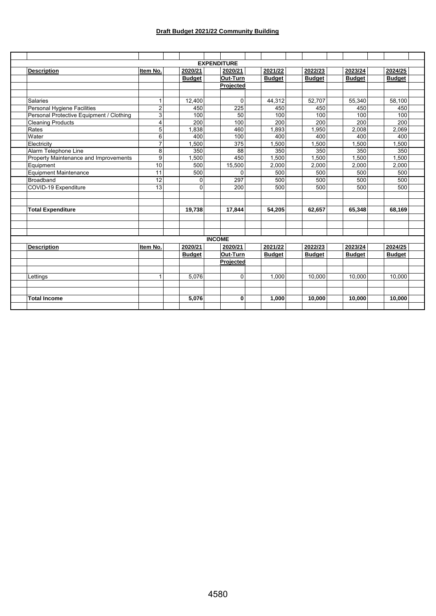#### **Draft Budget 2021/22 Community Building**

|                                          |                |                | <b>EXPENDITURE</b> |               |               |               |               |
|------------------------------------------|----------------|----------------|--------------------|---------------|---------------|---------------|---------------|
| <b>Description</b>                       | Item No.       | 2020/21        | 2020/21            | 2021/22       | 2022/23       | 2023/24       | 2024/25       |
|                                          |                | <b>Budget</b>  | Out-Turn           | <b>Budget</b> | <b>Budget</b> | <b>Budget</b> | <b>Budget</b> |
|                                          |                |                | Projected          |               |               |               |               |
|                                          |                |                |                    |               |               |               |               |
| <b>Salaries</b>                          | 1              | 12,400         | $\mathbf 0$        | 44,312        | 52,707        | 55,340        | 58,100        |
| Personal Hygiene Facilities              | $\overline{2}$ | 450            | 225                | 450           | 450           | 450           | 450           |
| Personal Protective Equipment / Clothing | 3              | 100            | 50                 | 100           | 100           | 100           | 100           |
| <b>Cleaning Products</b>                 | 4              | 200            | 100                | 200           | 200           | 200           | 200           |
| Rates                                    | 5              | 1,838          | 460                | 1,893         | 1,950         | 2,008         | 2,069         |
| Water                                    | 6              | 400            | 100                | 400           | 400           | 400           | 400           |
| Electricity                              | $\overline{7}$ | 1,500          | 375                | 1,500         | 1,500         | 1,500         | 1,500         |
| Alarm Telephone Line                     | 8              | 350            | 88                 | 350           | 350           | 350           | 350           |
| Property Maintenance and Improvements    | 9              | 1,500          | 450                | 1,500         | 1,500         | 1,500         | 1,500         |
| Equipment                                | 10             | 500            | 15,500             | 2,000         | 2,000         | 2,000         | 2,000         |
| Equipment Maintenance                    | 11             | 500            | $\Omega$           | 500           | 500           | 500           | 500           |
| Broadband                                | 12             | $\overline{0}$ | 297                | 500           | 500           | 500           | 500           |
| COVID-19 Expenditure                     | 13             | $\Omega$       | 200                | 500           | 500           | 500           | 500           |
|                                          |                |                |                    |               |               |               |               |
| <b>Total Expenditure</b>                 |                | 19,738         | 17,844             | 54,205        | 62,657        | 65,348        | 68,169        |
|                                          |                |                |                    |               |               |               |               |
|                                          |                |                |                    |               |               |               |               |
|                                          |                |                | <b>INCOME</b>      |               |               |               |               |
| <b>Description</b>                       | Item No.       | 2020/21        | 2020/21            | 2021/22       | 2022/23       | 2023/24       | 2024/25       |
|                                          |                | <b>Budget</b>  | Out-Turn           | <b>Budget</b> | <b>Budget</b> | <b>Budget</b> | <b>Budget</b> |
|                                          |                |                | Projected          |               |               |               |               |
|                                          |                |                |                    |               |               |               |               |
| Lettings                                 | $\mathbf{1}$   | 5,076          | $\Omega$           | 1,000         | 10.000        | 10.000        | 10,000        |
|                                          |                |                |                    |               |               |               |               |
| <b>Total Income</b>                      |                | 5,076          |                    | 1,000         | 10,000        | 10,000        | 10,000        |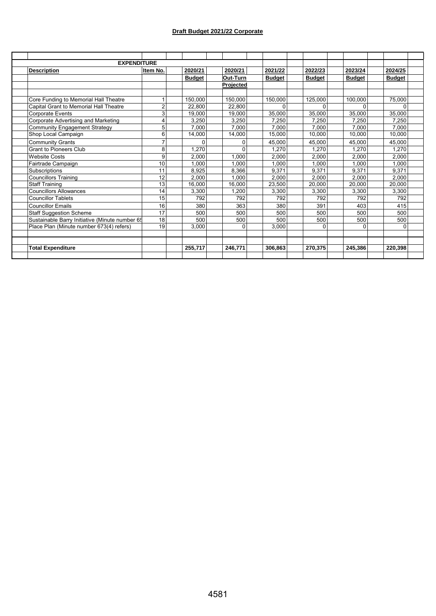#### **Draft Budget 2021/22 Corporate**

| <b>EXPENDITURE</b>                             |                |               |           |               |               |               |               |  |
|------------------------------------------------|----------------|---------------|-----------|---------------|---------------|---------------|---------------|--|
| <b>Description</b>                             | Item No.       | 2020/21       | 2020/21   | 2021/22       | 2022/23       | 2023/24       | 2024/25       |  |
|                                                |                | <b>Budget</b> | Out-Turn  | <b>Budget</b> | <b>Budget</b> | <b>Budget</b> | <b>Budget</b> |  |
|                                                |                |               | Projected |               |               |               |               |  |
|                                                |                |               |           |               |               |               |               |  |
| Core Funding to Memorial Hall Theatre          |                | 150.000       | 150.000   | 150.000       | 125.000       | 100.000       | 75,000        |  |
| Capital Grant to Memorial Hall Theatre         | $\overline{2}$ | 22.800        | 22.800    | 0             |               |               | $\Omega$      |  |
| <b>Corporate Events</b>                        | 3              | 19.000        | 19.000    | 35.000        | 35.000        | 35.000        | 35,000        |  |
| Corporate Advertising and Marketing            | 4              | 3,250         | 3,250     | 7,250         | 7,250         | 7,250         | 7,250         |  |
| <b>Community Engagement Strategy</b>           | 5              | 7.000         | 7.000     | 7.000         | 7.000         | 7.000         | 7.000         |  |
| Shop Local Campaign                            | 6              | 14,000        | 14,000    | 15,000        | 10,000        | 10.000        | 10,000        |  |
| <b>Community Grants</b>                        | 7              | U             | 0         | 45,000        | 45,000        | 45,000        | 45,000        |  |
| <b>Grant to Pioneers Club</b>                  | 8              | 1.270         | $\Omega$  | 1.270         | 1.270         | 1.270         | 1.270         |  |
| <b>Website Costs</b>                           | 9              | 2.000         | 1.000     | 2.000         | 2.000         | 2.000         | 2.000         |  |
| Fairtrade Campaign                             | 10             | 1.000         | 1.000     | 1.000         | 1.000         | 1.000         | 1,000         |  |
| Subscriptions                                  | 11             | 8.925         | 8,366     | 9.371         | 9,371         | 9.371         | 9.371         |  |
| <b>Councillors Training</b>                    | 12             | 2.000         | 1.000     | 2.000         | 2.000         | 2.000         | 2.000         |  |
| <b>Staff Training</b>                          | 13             | 16.000        | 16.000    | 23.500        | 20.000        | 20.000        | 20.000        |  |
| <b>Councillors Allowances</b>                  | 14             | 3.300         | .200      | 3.300         | 3.300         | 3,300         | 3.300         |  |
| <b>Councillor Tablets</b>                      | 15             | 792           | 792       | 792           | 792           | 792           | 792           |  |
| <b>Councillor Emails</b>                       | 16             | 380           | 363       | 380           | 391           | 403           | 415           |  |
| <b>Staff Suggestion Scheme</b>                 | 17             | 500           | 500       | 500           | 500           | 500           | 500           |  |
| Sustainable Barry Initiative (Minute number 65 | 18             | 500           | 500       | 500           | 500           | 500           | 500           |  |
| Place Plan (Minute number 673(4) refers)       | 19             | 3.000         | $\Omega$  | 3.000         | 0             | 0             | $\Omega$      |  |
|                                                |                |               |           |               |               |               |               |  |
|                                                |                |               |           |               |               |               |               |  |
| <b>Total Expenditure</b>                       |                | 255,717       | 246,771   | 306,863       | 270,375       | 245,386       | 220,398       |  |
|                                                |                |               |           |               |               |               |               |  |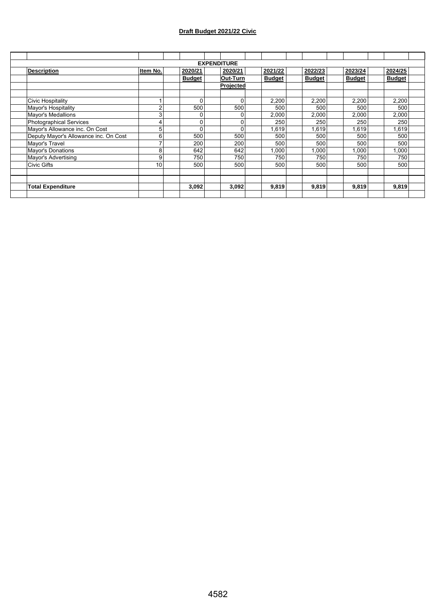#### **Draft Budget 2021/22 Civic**

|                                       |                |               | <b>EXPENDITURE</b> |               |               |               |               |
|---------------------------------------|----------------|---------------|--------------------|---------------|---------------|---------------|---------------|
| <b>Description</b>                    | Item No.       | 2020/21       | 2020/21            | 2021/22       | 2022/23       | 2023/24       | 2024/25       |
|                                       |                | <b>Budget</b> | Out-Turn           | <b>Budget</b> | <b>Budget</b> | <b>Budget</b> | <b>Budget</b> |
|                                       |                |               | Projected          |               |               |               |               |
|                                       |                |               |                    |               |               |               |               |
| Civic Hospitality                     |                | $\Omega$      | <sup>0</sup>       | 2,200         | 2,200         | 2,200         | 2,200         |
| Mayor's Hospitality                   | $\overline{ }$ | 500           | 500                | 500           | 500           | 500           | 500           |
| <b>Mayor's Medallions</b>             | 3              | 0             | 0                  | 2,000         | 2,000         | 2,000         | 2,000         |
| <b>Photographical Services</b>        | 4              | $\Omega$      | 0                  | 250           | 250           | 250           | 250           |
| Mayor's Allowance inc. On Cost        | 5              | $\Omega$      | 0                  | 1,619         | 1,619         | 1,619         | 1,619         |
| Deputy Mayor's Allowance inc. On Cost | 6              | 500           | 500                | 500           | 500           | 500           | 500           |
| Mayor's Travel                        |                | 200           | 200                | 500           | 500           | 500           | 500           |
| Mayor's Donations                     | 8              | 642           | 642                | 1,000         | 000,          | 1,000         | 1,000         |
| Mayor's Advertising                   | 9              | 750           | 750                | 750           | 750           | 750           | 750           |
| <b>Civic Gifts</b>                    | 10             | 500           | 500                | 500           | 500           | 500           | 500           |
|                                       |                |               |                    |               |               |               |               |
|                                       |                |               |                    |               |               |               |               |
| <b>Total Expenditure</b>              |                | 3,092         | 3,092              | 9,819         | 9,819         | 9,819         | 9,819         |
|                                       |                |               |                    |               |               |               |               |